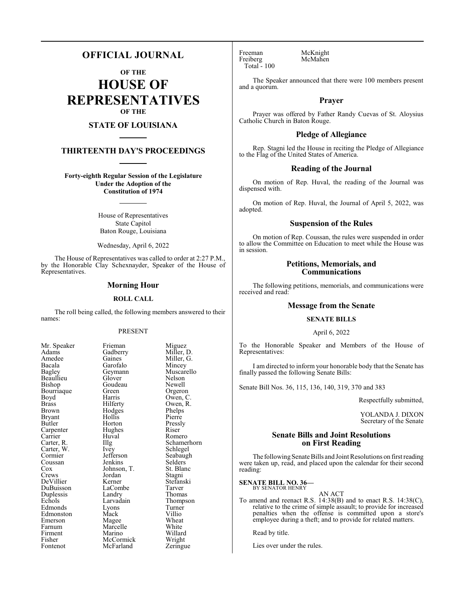# **OFFICIAL JOURNAL**

**OF THE**

**HOUSE OF REPRESENTATIVES OF THE**

# **STATE OF LOUISIANA**

# **THIRTEENTH DAY'S PROCEEDINGS**

**Forty-eighth Regular Session of the Legislature Under the Adoption of the Constitution of 1974**

> House of Representatives State Capitol Baton Rouge, Louisiana

> Wednesday, April 6, 2022

The House of Representatives was called to order at 2:27 P.M., by the Honorable Clay Schexnayder, Speaker of the House of Representatives.

#### **Morning Hour**

#### **ROLL CALL**

The roll being called, the following members answered to their names:

### PRESENT

Goudeau<br>Green

Hollis<br>Horton

Hughes<br>Huval

Jordan<br>Kerner

Lyons<br>Mack

Marcelle<br>Marino

LaCombe<br>Landry

| Mr. Speaker              |
|--------------------------|
| Adams                    |
| Amedee                   |
| Bacala                   |
| <b>Bagley</b>            |
| Beaullieu                |
| Bishop                   |
| Bourriaque               |
| Boyd                     |
| <b>Brass</b>             |
| Brown                    |
| Bryant                   |
| Butler                   |
| Carpenter<br>Carrier     |
|                          |
| Carter, R.               |
| Carter, W.<br>Carter, W. |
|                          |
| Coussan                  |
| Cox<br>Crews             |
|                          |
| DeVillier                |
| DuBuisson                |
| Duplessis                |
| Echols                   |
| Edmonds                  |
| Edmonston                |
| Emerson                  |
| Farnum                   |
| Firment                  |
| Fisher                   |
| Fontenot                 |

Frieman Miguez<br>Gadberry Miller, 1 Gadberry Miller, D.<br>Gaines Miller, G. Gaines Miller, G.<br>Garofalo Mincey Garofalo Mincey<br>Geymann Muscar Muscarello<br>Nelson Glover Nelson<br>Goudeau Newell Green Orgeron<br>Barris Owen C Harris Owen, C.<br>Hilferty Owen, R. Owen, R.<br>Phelps Hodges Phelps<br>Hollis Pierre Pressly<br>Riser Huval Romero<br>Illg Schame Illg Schamerhorn<br>Ivev Schlegel Schlegel<br>Seabaugh Jefferson Seabaughter Seabaughter Seabaughter Seabaughter Seabaughter Seabaughter Seabaughter Seabaughter Seabaughter Seabaughter Seabaughter Seabaughter Seabaughter Seabaughter Seabaughter Seabaughter Seabaughter Seabaugh Jenkins Selders<br>Johnson, T. St. Blanc Johnson, T.<br>
St. Blancor<br>
Stagni Stefanski<br>Tarver Landry Thomas<br>
Larvadain Thomps Thompson<br>Turner Villio<br>Wheat Magee Wheat<br>
Marcelle White Willard<br>Wright McCormick Wright<br>
McFarland Zeringue McFarland

Freeman McKnight<br>
Freiberg McMahen Freiberg Total - 100

The Speaker announced that there were 100 members present and a quorum.

## **Prayer**

Prayer was offered by Father Randy Cuevas of St. Aloysius Catholic Church in Baton Rouge.

## **Pledge of Allegiance**

Rep. Stagni led the House in reciting the Pledge of Allegiance to the Flag of the United States of America.

### **Reading of the Journal**

On motion of Rep. Huval, the reading of the Journal was dispensed with.

On motion of Rep. Huval, the Journal of April 5, 2022, was adopted.

### **Suspension of the Rules**

On motion of Rep. Coussan, the rules were suspended in order to allow the Committee on Education to meet while the House was in session.

### **Petitions, Memorials, and Communications**

The following petitions, memorials, and communications were received and read:

### **Message from the Senate**

# **SENATE BILLS**

#### April 6, 2022

To the Honorable Speaker and Members of the House of Representatives:

I am directed to inform your honorable body that the Senate has finally passed the following Senate Bills:

Senate Bill Nos. 36, 115, 136, 140, 319, 370 and 383

Respectfully submitted,

YOLANDA J. DIXON Secretary of the Senate

## **Senate Bills and Joint Resolutions on First Reading**

The following Senate Bills and Joint Resolutions on first reading were taken up, read, and placed upon the calendar for their second reading:

#### **SENATE BILL NO. 36—** BY SENATOR HENRY

AN ACT To amend and reenact R.S. 14:38(B) and to enact R.S. 14:38(C), relative to the crime of simple assault; to provide for increased penalties when the offense is committed upon a store's employee during a theft; and to provide for related matters.

Read by title.

Lies over under the rules.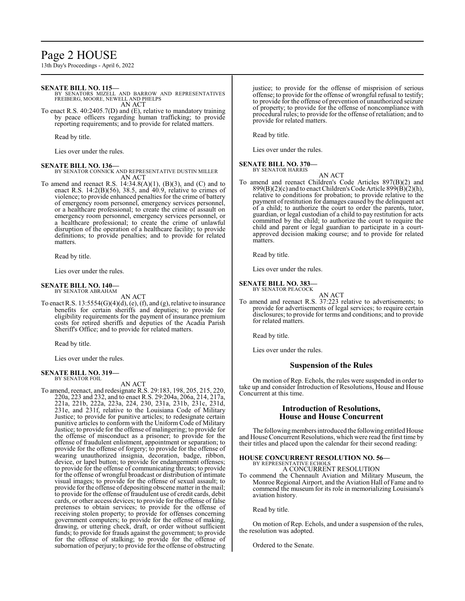# Page 2 HOUSE

13th Day's Proceedings - April 6, 2022

#### **SENATE BILL NO. 115—**

BY SENATORS MIZELL AND BARROW AND REPRESENTATIVES FREIBERG, MOORE, NEWELL AND PHELPS AN ACT

To enact R.S. 40:2405.7(D) and (E), relative to mandatory training by peace officers regarding human trafficking; to provide reporting requirements; and to provide for related matters.

Read by title.

Lies over under the rules.

#### **SENATE BILL NO. 136—**

BY SENATOR CONNICK AND REPRESENTATIVE DUSTIN MILLER AN ACT

To amend and reenact R.S.  $14:34.8(A)(1)$ ,  $(B)(3)$ , and  $(C)$  and to enact R.S.  $14:2(B)(56)$ ,  $38.5$ , and  $40.9$ , relative to crimes of violence; to provide enhanced penalties for the crime of battery of emergency room personnel, emergency services personnel, or a healthcare professional; to create the crime of assault on emergency room personnel, emergency services personnel, or a healthcare professional; to create the crime of unlawful disruption of the operation of a healthcare facility; to provide definitions; to provide penalties; and to provide for related matters.

Read by title.

Lies over under the rules.

#### **SENATE BILL NO. 140—** BY SENATOR ABRAHAM

AN ACT

To enact R.S. 13:5554(G)(4)(d), (e), (f), and (g), relative to insurance benefits for certain sheriffs and deputies; to provide for eligibility requirements for the payment of insurance premium costs for retired sheriffs and deputies of the Acadia Parish Sheriff's Office; and to provide for related matters.

Read by title.

Lies over under the rules.

#### **SENATE BILL NO. 319—** BY SENATOR FOIL

AN ACT

To amend, reenact, and redesignate R.S. 29:183, 198, 205, 215, 220, 220a, 223 and 232, and to enact R.S. 29:204a, 206a, 214, 217a, 221a, 221b, 222a, 223a, 224, 230, 231a, 231b, 231c, 231d, 231e, and 231f, relative to the Louisiana Code of Military Justice; to provide for punitive articles; to redesignate certain punitive articles to conform with the Uniform Code of Military Justice; to provide for the offense of malingering; to provide for the offense of misconduct as a prisoner; to provide for the offense of fraudulent enlistment, appointment or separation; to provide for the offense of forgery; to provide for the offense of wearing unauthorized insignia, decoration, badge, ribbon, device, or lapel button; to provide for endangerment offenses; to provide for the offense of communicating threats; to provide for the offense of wrongful broadcast or distribution of intimate visual images; to provide for the offense of sexual assault; to provide for the offense of depositing obscene matter in the mail; to provide for the offense of fraudulent use of credit cards, debit cards, or other access devices; to provide for the offense of false pretenses to obtain services; to provide for the offense of receiving stolen property; to provide for offenses concerning government computers; to provide for the offense of making, drawing, or uttering check, draft, or order without sufficient funds; to provide for frauds against the government; to provide for the offense of stalking; to provide for the offense of subornation of perjury; to provide for the offense of obstructing justice; to provide for the offense of misprision of serious offense; to provide for the offense of wrongful refusal to testify; to provide for the offense of prevention of unauthorized seizure of property; to provide for the offense of noncompliance with procedural rules; to provide for the offense of retaliation; and to provide for related matters.

Read by title.

Lies over under the rules.

#### **SENATE BILL NO. 370—**

BY SENATOR HARRIS AN ACT

To amend and reenact Children's Code Articles 897(B)(2) and  $899(B)(2)(c)$  and to enact Children's Code Article  $899(B)(2)(h)$ , relative to conditions for probation; to provide relative to the payment of restitution for damages caused by the delinquent act of a child; to authorize the court to order the parents, tutor, guardian, or legal custodian of a child to pay restitution for acts committed by the child; to authorize the court to require the child and parent or legal guardian to participate in a courtapproved decision making course; and to provide for related matters.

Read by title.

Lies over under the rules.

#### **SENATE BILL NO. 383—**

BY SENATOR PEACOCK

AN ACT To amend and reenact R.S. 37:223 relative to advertisements; to provide for advertisements of legal services; to require certain disclosures; to provide for terms and conditions; and to provide for related matters.

Read by title.

Lies over under the rules.

### **Suspension of the Rules**

On motion of Rep. Echols, the rules were suspended in order to take up and consider Introduction of Resolutions, House and House Concurrent at this time.

### **Introduction of Resolutions, House and House Concurrent**

The following members introduced the following entitled House and House Concurrent Resolutions, which were read the first time by their titles and placed upon the calendar for their second reading:

#### **HOUSE CONCURRENT RESOLUTION NO. 56—** BY REPRESENTATIVE ECHOLS

A CONCURRENT RESOLUTION

To commend the Chennault Aviation and Military Museum, the Monroe Regional Airport, and the Aviation Hall of Fame and to commend the museum for its role in memorializing Louisiana's aviation history.

Read by title.

On motion of Rep. Echols, and under a suspension of the rules, the resolution was adopted.

Ordered to the Senate.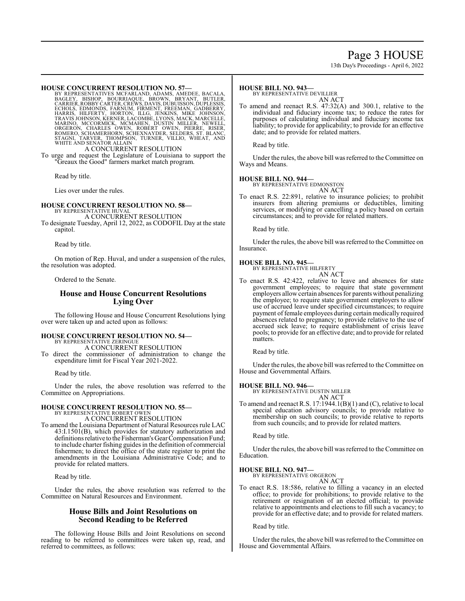# Page 3 HOUSE

13th Day's Proceedings - April 6, 2022

HOUSE CONCURRENT RESOLUTION NO. 57—<br>BY REPRESENTATIVES MCFARLAND, ADAMS, AMEDEE, BACALA,<br>BAGLEY, BISHOP, BOURRIAQUE, BROWN, BRYANT, BUTLER,<br>CARRIER, ROBBY CARTER, CREWS, DAVIS, DUBUISSON, DUPLESSIS,<br>ECHOLS, EDMONDS, FARNUM

#### A CONCURRENT RESOLUTION

To urge and request the Legislature of Louisiana to support the "Greaux the Good" farmers market match program.

Read by title.

Lies over under the rules.

#### **HOUSE CONCURRENT RESOLUTION NO. 58—** BY REPRESENTATIVE HUVAL

A CONCURRENT RESOLUTION To designate Tuesday, April 12, 2022, as CODOFIL Day at the state capitol.

Read by title.

On motion of Rep. Huval, and under a suspension of the rules, the resolution was adopted.

Ordered to the Senate.

# **House and House Concurrent Resolutions Lying Over**

The following House and House Concurrent Resolutions lying over were taken up and acted upon as follows:

### **HOUSE CONCURRENT RESOLUTION NO. 54—**

BY REPRESENTATIVE ZERINGUE

A CONCURRENT RESOLUTION To direct the commissioner of administration to change the expenditure limit for Fiscal Year 2021-2022.

Read by title.

Under the rules, the above resolution was referred to the Committee on Appropriations.

# **HOUSE CONCURRENT RESOLUTION NO. 55—** BY REPRESENTATIVE ROBERT OWEN

A CONCURRENT RESOLUTION

To amend the Louisiana Department of Natural Resources rule LAC 43:I.1501(B), which provides for statutory authorization and definitions relative to the Fisherman's Gear Compensation Fund; to include charter fishing guides in the definition of commercial fishermen; to direct the office of the state register to print the amendments in the Louisiana Administrative Code; and to provide for related matters.

Read by title.

Under the rules, the above resolution was referred to the Committee on Natural Resources and Environment.

#### **House Bills and Joint Resolutions on Second Reading to be Referred**

The following House Bills and Joint Resolutions on second reading to be referred to committees were taken up, read, and referred to committees, as follows:

#### **HOUSE BILL NO. 943—**

BY REPRESENTATIVE DEVILLIER

AN ACT To amend and reenact R.S. 47:32(A) and 300.1, relative to the individual and fiduciary income tax; to reduce the rates for purposes of calculating individual and fiduciary income tax liability; to provide for applicability; to provide for an effective date; and to provide for related matters.

Read by title.

Under the rules, the above bill was referred to the Committee on Ways and Means.

#### **HOUSE BILL NO. 944—**

BY REPRESENTATIVE EDMONSTON

AN ACT To enact R.S. 22:891, relative to insurance policies; to prohibit insurers from altering premiums or deductibles, limiting services, or modifying or cancelling a policy based on certain circumstances; and to provide for related matters.

Read by title.

Under the rules, the above bill was referred to the Committee on Insurance.

#### **HOUSE BILL NO. 945—**

BY REPRESENTATIVE HILFERTY AN ACT

To enact R.S. 42:422, relative to leave and absences for state government employees; to require that state government employers allow certain absences for parents without penalizing the employee; to require state government employers to allow use of accrued leave under specified circumstances; to require payment of female employees during certain medically required absences related to pregnancy; to provide relative to the use of accrued sick leave; to require establishment of crisis leave pools; to provide for an effective date; and to provide for related matters.

Read by title.

Under the rules, the above bill was referred to the Committee on House and Governmental Affairs.

#### **HOUSE BILL NO. 946—**

BY REPRESENTATIVE DUSTIN MILLER AN ACT

To amend and reenact R.S. 17:1944.1(B)(1) and (C), relative to local special education advisory councils; to provide relative to membership on such councils; to provide relative to reports from such councils; and to provide for related matters.

Read by title.

Under the rules, the above bill was referred to the Committee on Education.

#### **HOUSE BILL NO. 947—**

BY REPRESENTATIVE ORGERON AN ACT

To enact R.S. 18:586, relative to filling a vacancy in an elected office; to provide for prohibitions; to provide relative to the retirement or resignation of an elected official; to provide relative to appointments and elections to fill such a vacancy; to provide for an effective date; and to provide for related matters.

Read by title.

Under the rules, the above bill was referred to the Committee on House and Governmental Affairs.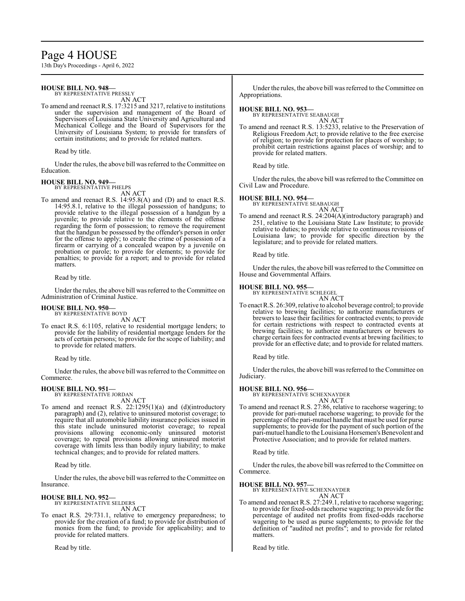# Page 4 HOUSE

13th Day's Proceedings - April 6, 2022

# **HOUSE BILL NO. 948—**

BY REPRESENTATIVE PRESSLY AN ACT

To amend and reenact R.S. 17:3215 and 3217, relative to institutions under the supervision and management of the Board of Supervisors of Louisiana State University and Agricultural and Mechanical College and the Board of Supervisors for the University of Louisiana System; to provide for transfers of certain institutions; and to provide for related matters.

Read by title.

Under the rules, the above bill was referred to the Committee on Education.

#### **HOUSE BILL NO. 949—** BY REPRESENTATIVE PHELPS

AN ACT

To amend and reenact R.S. 14:95.8(A) and (D) and to enact R.S. 14:95.8.1, relative to the illegal possession of handguns; to provide relative to the illegal possession of a handgun by a juvenile; to provide relative to the elements of the offense regarding the form of possession; to remove the requirement that the handgun be possessed by the offender's person in order for the offense to apply; to create the crime of possession of a firearm or carrying of a concealed weapon by a juvenile on probation or parole; to provide for elements; to provide for penalties; to provide for a report; and to provide for related matters.

Read by title.

Under the rules, the above bill was referred to the Committee on Administration of Criminal Justice.

#### **HOUSE BILL NO. 950—**

BY REPRESENTATIVE BOYD AN ACT

To enact R.S. 6:1105, relative to residential mortgage lenders; to provide for the liability of residential mortgage lenders for the acts of certain persons; to provide for the scope of liability; and to provide for related matters.

Read by title.

Under the rules, the above bill was referred to the Committee on Commerce.

# **HOUSE BILL NO. 951—** BY REPRESENTATIVE JORDAN

- AN ACT
- To amend and reenact R.S. 22:1295(1)(a) and (d)(introductory paragraph) and (2), relative to uninsured motorist coverage; to require that all automobile liability insurance policies issued in this state include uninsured motorist coverage; to repeal provisions allowing economic-only uninsured motorist coverage; to repeal provisions allowing uninsured motorist coverage with limits less than bodily injury liability; to make technical changes; and to provide for related matters.

Read by title.

Under the rules, the above bill was referred to the Committee on Insurance.

### **HOUSE BILL NO. 952—**

BY REPRESENTATIVE SELDERS AN ACT

To enact R.S. 29:731.1, relative to emergency preparedness; to provide for the creation of a fund; to provide for distribution of monies from the fund; to provide for applicability; and to provide for related matters.

Read by title.

Under the rules, the above bill was referred to the Committee on Appropriations.

#### **HOUSE BILL NO. 953—**

BY REPRESENTATIVE SEABAUGH AN ACT

To amend and reenact R.S. 13:5233, relative to the Preservation of Religious Freedom Act; to provide relative to the free exercise of religion; to provide for protection for places of worship; to prohibit certain restrictions against places of worship; and to provide for related matters.

Read by title.

Under the rules, the above bill was referred to the Committee on Civil Law and Procedure.

#### **HOUSE BILL NO. 954—**

BY REPRESENTATIVE SEABAUGH AN ACT

To amend and reenact R.S. 24:204(A)(introductory paragraph) and 251, relative to the Louisiana State Law Institute; to provide relative to duties; to provide relative to continuous revisions of Louisiana law; to provide for specific direction by the legislature; and to provide for related matters.

Read by title.

Under the rules, the above bill was referred to the Committee on House and Governmental Affairs.

#### **HOUSE BILL NO. 955—**

BY REPRESENTATIVE SCHLEGEL AN ACT

To enact R.S. 26:309, relative to alcohol beverage control; to provide relative to brewing facilities; to authorize manufacturers or brewers to lease their facilities for contracted events; to provide for certain restrictions with respect to contracted events at brewing facilities; to authorize manufacturers or brewers to charge certain fees for contracted events at brewing facilities; to provide for an effective date; and to provide for related matters.

Read by title.

Under the rules, the above bill was referred to the Committee on Judiciary.

#### **HOUSE BILL NO. 956—**

BY REPRESENTATIVE SCHEXNAYDER

- AN ACT
- To amend and reenact R.S. 27:86, relative to racehorse wagering; to provide for pari-mutuel racehorse wagering; to provide for the percentage ofthe pari-mutuel handle that must be used for purse supplements; to provide for the payment of such portion of the pari-mutuel handle to the Louisiana Horsemen's Benevolent and Protective Association; and to provide for related matters.

Read by title.

Under the rules, the above bill was referred to the Committee on Commerce.

#### **HOUSE BILL NO. 957—**

BY REPRESENTATIVE SCHEXNAYDER AN ACT

To amend and reenact R.S. 27:249.1, relative to racehorse wagering; to provide for fixed-odds racehorse wagering; to provide for the percentage of audited net profits from fixed-odds racehorse wagering to be used as purse supplements; to provide for the definition of "audited net profits"; and to provide for related matters.

Read by title.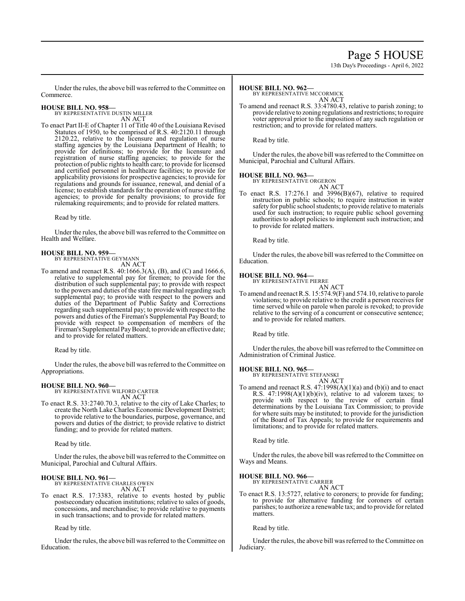# Page 5 HOUSE

13th Day's Proceedings - April 6, 2022

Under the rules, the above bill was referred to the Committee on Commerce.

# **HOUSE BILL NO. 958—** BY REPRESENTATIVE DUSTIN MILLER

AN ACT To enact Part II-E of Chapter 11 of Title 40 of the Louisiana Revised Statutes of 1950, to be comprised of R.S. 40:2120.11 through 2120.22, relative to the licensure and regulation of nurse staffing agencies by the Louisiana Department of Health; to provide for definitions; to provide for the licensure and registration of nurse staffing agencies; to provide for the protection of public rights to health care; to provide for licensed and certified personnel in healthcare facilities; to provide for applicability provisions for prospective agencies; to provide for regulations and grounds for issuance, renewal, and denial of a license; to establish standards for the operation of nurse staffing agencies; to provide for penalty provisions; to provide for rulemaking requirements; and to provide for related matters.

Read by title.

Under the rules, the above bill was referred to the Committee on Health and Welfare.

# **HOUSE BILL NO. 959—** BY REPRESENTATIVE GEYMANN

AN ACT

To amend and reenact R.S. 40:1666.3(A), (B), and (C) and 1666.6, relative to supplemental pay for firemen; to provide for the distribution of such supplemental pay; to provide with respect to the powers and duties of the state fire marshal regarding such supplemental pay; to provide with respect to the powers and duties of the Department of Public Safety and Corrections regarding such supplemental pay; to provide with respect to the powers and duties of the Fireman's Supplemental Pay Board; to provide with respect to compensation of members of the Fireman's Supplemental PayBoard; to provide an effective date; and to provide for related matters.

Read by title.

Under the rules, the above bill was referred to the Committee on Appropriations.

### **HOUSE BILL NO. 960—**

BY REPRESENTATIVE WILFORD CARTER AN ACT

To enact R.S. 33:2740.70.3, relative to the city of Lake Charles; to create the North Lake Charles Economic Development District; to provide relative to the boundaries, purpose, governance, and powers and duties of the district; to provide relative to district funding; and to provide for related matters.

Read by title.

Under the rules, the above bill was referred to the Committee on Municipal, Parochial and Cultural Affairs.

# **HOUSE BILL NO. 961—**

BY REPRESENTATIVE CHARLES OWEN AN ACT

To enact R.S. 17:3383, relative to events hosted by public postsecondary education institutions; relative to sales of goods, concessions, and merchandise; to provide relative to payments in such transactions; and to provide for related matters.

Read by title.

Under the rules, the above bill was referred to the Committee on Education.

#### **HOUSE BILL NO. 962—**

BY REPRESENTATIVE MCCORMICK AN ACT

To amend and reenact R.S. 33:4780.43, relative to parish zoning; to provide relative to zoning regulations and restrictions; to require voter approval prior to the imposition of any such regulation or restriction; and to provide for related matters.

Read by title.

Under the rules, the above bill was referred to the Committee on Municipal, Parochial and Cultural Affairs.

#### **HOUSE BILL NO. 963—**

BY REPRESENTATIVE ORGERON

AN ACT To enact R.S.  $17:276.1$  and  $3996(B)(67)$ , relative to required instruction in public schools; to require instruction in water safety for public school students; to provide relative to materials used for such instruction; to require public school governing authorities to adopt policies to implement such instruction; and to provide for related matters.

Read by title.

Under the rules, the above bill was referred to the Committee on Education.

#### **HOUSE BILL NO. 964—**

BY REPRESENTATIVE PIERRE

AN ACT To amend and reenact R.S. 15:574.9(F) and 574.10, relative to parole violations; to provide relative to the credit a person receives for time served while on parole when parole is revoked; to provide relative to the serving of a concurrent or consecutive sentence; and to provide for related matters.

Read by title.

Under the rules, the above bill was referred to the Committee on Administration of Criminal Justice.

**HOUSE BILL NO. 965—** BY REPRESENTATIVE STEFANSKI AN ACT

To amend and reenact R.S. 47:1998(A)(1)(a) and (b)(i) and to enact R.S.  $47:1998(A)(1)(b)(iv)$ , relative to ad valorem taxes; to provide with respect to the review of certain final determinations by the Louisiana Tax Commission; to provide for where suits may be instituted; to provide for the jurisdiction of the Board of Tax Appeals; to provide for requirements and limitations; and to provide for related matters.

Read by title.

Under the rules, the above bill was referred to the Committee on Ways and Means.

# **HOUSE BILL NO. 966—** BY REPRESENTATIVE CARRIER

AN ACT

To enact R.S. 13:5727, relative to coroners; to provide for funding; to provide for alternative funding for coroners of certain parishes; to authorize a renewable tax; and to provide for related matters.

Read by title.

Under the rules, the above bill was referred to the Committee on Judiciary.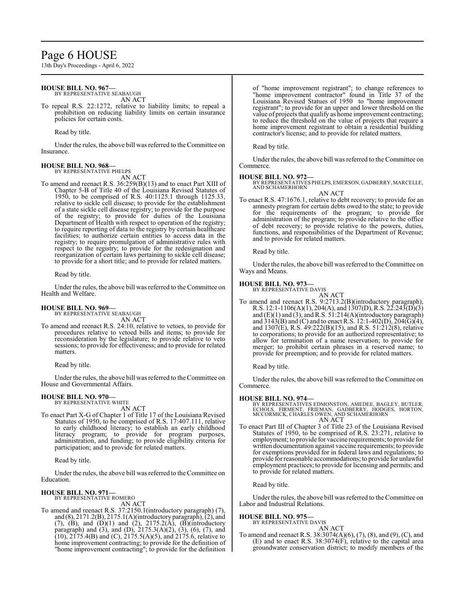# Page 6 HOUSE

13th Day's Proceedings - April 6, 2022

#### **HOUSE BILL NO. 967—**

BY REPRESENTATIVE SEABAUGH AN ACT

To repeal R.S. 22:1272, relative to liability limits; to repeal a prohibition on reducing liability limits on certain insurance policies for certain costs.

Read by title.

Under the rules, the above bill was referred to theCommittee on Insurance.

#### **HOUSE BILL NO. 968—**

BY REPRESENTATIVE PHELPS AN ACT

To amend and reenact R.S. 36:259(B)(13) and to enact Part XIII of Chapter 5-B of Title 40 of the Louisiana Revised Statutes of 1950, to be comprised of R.S. 40:1125.1 through 1125.33, relative to sickle cell disease; to provide for the establishment of a state sickle cell disease registry; to provide for the purpose of the registry; to provide for duties of the Louisiana Department of Health with respect to operation of the registry; to require reporting of data to the registry by certain healthcare facilities; to authorize certain entities to access data in the registry; to require promulgation of administrative rules with respect to the registry; to provide for the redesignation and reorganization of certain laws pertaining to sickle cell disease; to provide for a short title; and to provide for related matters.

Read by title.

Under the rules, the above bill was referred to the Committee on Health and Welfare.

#### **HOUSE BILL NO. 969—**

BY REPRESENTATIVE SEABAUGH AN ACT

To amend and reenact R.S. 24:10, relative to vetoes, to provide for procedures relative to vetoed bills and items; to provide for reconsideration by the legislature; to provide relative to veto sessions; to provide for effectiveness; and to provide for related matters.

Read by title.

Under the rules, the above bill was referred to the Committee on House and Governmental Affairs.

# **HOUSE BILL NO. 970—** BY REPRESENTATIVE WHITE

AN ACT

To enact Part X-G of Chapter 1 of Title 17 of the Louisiana Revised Statutes of 1950, to be comprised of R.S. 17:407.111, relative to early childhood literacy; to establish an early childhood literacy program; to provide for program purposes, administration, and funding; to provide eligibility criteria for participation; and to provide for related matters.

Read by title.

Under the rules, the above bill was referred to the Committee on Education.

#### **HOUSE BILL NO. 971—**

BY REPRESENTATIVE ROMERO AN ACT

To amend and reenact R.S. 37:2150.1(introductory paragraph) (7), and (8), 2171.2(B), 2175.1(A)(introductory paragraph), (2), and (7), (B), and  $(D)(1)$  and  $(2)$ , 2175.2(A),  $(B)$ (introductory paragraph) and (3), and (D),  $2175.3(A)(2)$ , (3), (6), (7), and  $(10)$ ,  $2175.4(B)$  and  $(C)$ ,  $2175.5(A)(5)$ , and  $2175.6$ , relative to home improvement contracting; to provide for the definition of "home improvement contracting"; to provide for the definition

of "home improvement registrant"; to change references to "home improvement contractor" found in Title 37 of the Louisiana Revised Statues of 1950 to "home improvement registrant"; to provide for an upper and lower threshold on the value of projects that qualify as home improvement contracting; to reduce the threshold on the value of projects that require a home improvement registrant to obtain a residential building contractor's license; and to provide for related matters.

Read by title.

Under the rules, the above bill was referred to the Committee on Commerce.

**HOUSE BILL NO. 972—** BY REPRESENTATIVES PHELPS, EMERSON, GADBERRY, MARCELLE, AND SCHAMERHORN AN ACT

To enact R.S. 47:1676.1, relative to debt recovery; to provide for an amnesty program for certain debts owed to the state; to provide for the requirements of the program; to provide for administration of the program; to provide relative to the office of debt recovery; to provide relative to the powers, duties, functions, and responsibilities of the Department of Revenue; and to provide for related matters.

Read by title.

Under the rules, the above bill was referred to the Committee on Ways and Means.

# **HOUSE BILL NO. 973—** BY REPRESENTATIVE DAVIS

AN ACT

To amend and reenact R.S. 9:2713.2(B)(introductory paragraph), R.S. 12:1-1106(A)(1), 204(A), and 1307(D), R.S. 22:243(D)(3) and (E)(1) and (3), and R.S. 51:214(A)(introductory paragraph) and  $3143(B)$  and (C) and to enact R.S. 12:1-402(D), 204(G)(4), and 1307(E), R.S. 49:222(B)(15), and R.S. 51:212(8), relative to corporations; to provide for an authorized representative; to allow for termination of a name reservation; to provide for merger; to prohibit certain phrases in a reserved name; to provide for preemption; and to provide for related matters.

Read by title.

Under the rules, the above bill was referred to the Committee on Commerce.

#### **HOUSE BILL NO. 974—**

BY REPRESENTATIVES EDMONSTON, AMEDEE, BAGLEY, BUTLER,<br>ECHOLS, FIRMENT, FRIEMAN, GADBERRY, HODGES, HORTON,<br>MCCORMICK,CHARLES OWEN, AND SCHAMERHORN AN ACT

To enact Part III of Chapter 3 of Title 23 of the Louisiana Revised Statutes of 1950, to be comprised of R.S. 23:271, relative to employment; to provide for vaccine requirements; to provide for written documentation against vaccine requirements; to provide for exemptions provided for in federal laws and regulations; to provide for reasonable accommodations; to provide for unlawful employment practices; to provide for licensing and permits; and to provide for related matters.

Read by title.

Under the rules, the above bill was referred to the Committee on Labor and Industrial Relations.

#### **HOUSE BILL NO. 975—**

BY REPRESENTATIVE DAVIS

### AN ACT

To amend and reenact R.S. 38:3074(A)(6), (7), (8), and (9), (C), and (E) and to enact R.S.  $38:3074(F)$ , relative to the capital area groundwater conservation district; to modify members of the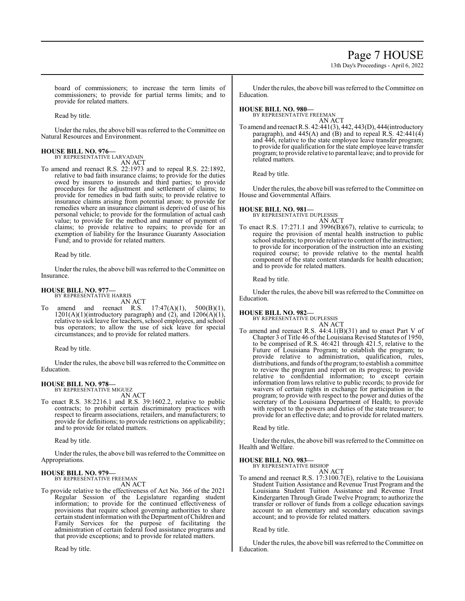# Page 7 HOUSE

13th Day's Proceedings - April 6, 2022

board of commissioners; to increase the term limits of commissioners; to provide for partial terms limits; and to provide for related matters.

Read by title.

Under the rules, the above bill was referred to the Committee on Natural Resources and Environment.

### **HOUSE BILL NO. 976—**

BY REPRESENTATIVE LARVADAIN AN ACT

To amend and reenact R.S. 22:1973 and to repeal R.S. 22:1892, relative to bad faith insurance claims; to provide for the duties owed by insurers to insureds and third parties; to provide procedures for the adjustment and settlement of claims; to provide for remedies in bad faith suits; to provide relative to insurance claims arising from potential arson; to provide for remedies where an insurance claimant is deprived of use of his personal vehicle; to provide for the formulation of actual cash value; to provide for the method and manner of payment of claims; to provide relative to repairs; to provide for an exemption of liability for the Insurance Guaranty Association Fund; and to provide for related matters.

Read by title.

Under the rules, the above bill was referred to the Committee on Insurance.

#### **HOUSE BILL NO. 977—** BY REPRESENTATIVE HARRIS

AN ACT

To amend and reenact R.S.  $17:47(A)(1)$ ,  $500(B)(1)$ ,  $1201(A)(1)$ (introductory paragraph) and  $(2)$ , and  $1206(A)(1)$ , relative to sick leave for teachers, school employees, and school bus operators; to allow the use of sick leave for special circumstances; and to provide for related matters.

Read by title.

Under the rules, the above bill was referred to the Committee on Education.

## **HOUSE BILL NO. 978—**

BY REPRESENTATIVE MIGUEZ AN ACT

To enact R.S. 38:2216.1 and R.S. 39:1602.2, relative to public contracts; to prohibit certain discriminatory practices with respect to firearm associations, retailers, and manufacturers; to provide for definitions; to provide restrictions on applicability; and to provide for related matters.

Read by title.

Under the rules, the above bill was referred to the Committee on Appropriations.

#### **HOUSE BILL NO. 979—** BY REPRESENTATIVE FREEMAN

AN ACT

To provide relative to the effectiveness of Act No. 366 of the 2021 Regular Session of the Legislature regarding student information; to provide for the continued effectiveness of provisions that require school governing authorities to share certain student information with the Department of Children and Family Services for the purpose of facilitating the administration of certain federal food assistance programs and that provide exceptions; and to provide for related matters.

Read by title.

Under the rules, the above bill was referred to the Committee on Education.

**HOUSE BILL NO. 980—** BY REPRESENTATIVE FREEMAN

AN ACT

To amend and reenact R.S. 42:441(3), 442, 443(D), 444(introductory paragraph), and  $445(A)$  and  $(B)$  and to repeal R.S.  $42:441(4)$ and 446, relative to the state employee leave transfer program; to provide for qualification for the state employee leave transfer program; to provide relative to parental leave; and to provide for related matters.

Read by title.

Under the rules, the above bill was referred to the Committee on House and Governmental Affairs.

**HOUSE BILL NO. 981—** BY REPRESENTATIVE DUPLESSIS AN ACT

To enact R.S. 17:271.1 and 3996(B)(67), relative to curricula; to require the provision of mental health instruction to public school students; to provide relative to content of the instruction; to provide for incorporation of the instruction into an existing required course; to provide relative to the mental health component of the state content standards for health education; and to provide for related matters.

Read by title.

Under the rules, the above bill was referred to the Committee on Education.

# **HOUSE BILL NO. 982—**

BY REPRESENTATIVE DUPLESSIS AN ACT

To amend and reenact R.S. 44:4.1(B)(31) and to enact Part V of Chapter 3 of Title 46 of the Louisiana Revised Statutes of 1950, to be comprised of R.S. 46:421 through 421.5, relative to the Future of Louisiana Program; to establish the program; to provide relative to administration, qualification, rules, distributions, and funds ofthe program; to establish a committee to review the program and report on its progress; to provide relative to confidential information; to except certain information from laws relative to public records; to provide for waivers of certain rights in exchange for participation in the program; to provide with respect to the power and duties of the secretary of the Louisiana Department of Health; to provide with respect to the powers and duties of the state treasurer; to provide for an effective date; and to provide for related matters.

Read by title.

Under the rules, the above bill was referred to the Committee on Health and Welfare.

### **HOUSE BILL NO. 983—**

BY REPRESENTATIVE BISHOP AN ACT

To amend and reenact R.S. 17:3100.7(E), relative to the Louisiana Student Tuition Assistance and Revenue Trust Program and the Louisiana Student Tuition Assistance and Revenue Trust Kindergarten Through Grade Twelve Program; to authorize the transfer or rollover of funds from a college education savings account to an elementary and secondary education savings account; and to provide for related matters.

Read by title.

Under the rules, the above bill was referred to the Committee on Education.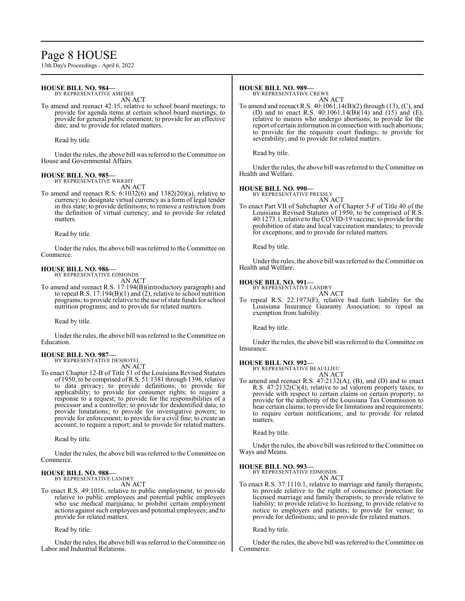# Page 8 HOUSE

13th Day's Proceedings - April 6, 2022

#### **HOUSE BILL NO. 984—** BY REPRESENTATIVE AMEDEE

AN ACT

To amend and reenact 42:15, relative to school board meetings; to provide for agenda items at certain school board meetings; to provide for general public comment; to provide for an effective date; and to provide for related matters.

Read by title.

Under the rules, the above bill was referred to the Committee on House and Governmental Affairs.

#### **HOUSE BILL NO. 985—**

BY REPRESENTATIVE WRIGHT AN ACT

To amend and reenact R.S. 6:1032(6) and 1382(20)(a), relative to currency; to designate virtual currency as a form of legal tender in this state; to provide definitions; to remove a restriction from the definition of virtual currency; and to provide for related matters.

Read by title.

Under the rules, the above bill was referred to the Committee on Commerce.

# **HOUSE BILL NO. 986—** BY REPRESENTATIVE EDMONDS

AN ACT

To amend and reenact R.S. 17:194(B)(introductory paragraph) and to repeal R.S. 17:194(B)(1) and (2), relative to school nutrition programs; to provide relative to the use ofstate funds for school nutrition programs; and to provide for related matters.

Read by title.

Under the rules, the above bill was referred to the Committee on Education.

#### **HOUSE BILL NO. 987—** BY REPRESENTATIVE DESHOTEL

AN ACT

To enact Chapter 12-B of Title 51 of the Louisiana Revised Statutes of 1950, to be comprised ofR.S. 51:1381 through 1396, relative to data privacy; to provide definitions; to provide for applicability; to provide for consumer rights; to require a response to a request; to provide for the responsibilities of a processor and a controller; to provide for deidentified data; to provide limitations; to provide for investigative powers; to provide for enforcement; to provide for a civil fine; to create an account; to require a report; and to provide for related matters.

Read by title.

Under the rules, the above bill was referred to the Committee on Commerce.

#### **HOUSE BILL NO. 988—** BY REPRESENTATIVE LANDRY

AN ACT

To enact R.S. 49:1016, relative to public employment; to provide relative to public employees and potential public employees who use medical marijuana; to prohibit certain employment actions against such employees and potential employees; and to provide for related matters.

Read by title.

Under the rules, the above bill was referred to the Committee on Labor and Industrial Relations.

#### **HOUSE BILL NO. 989—**

BY REPRESENTATIVE CREWS

AN ACT To amend and reenact R.S. 40:1061.14(B)(2) through (13), (C), and (D) and to enact R.S.  $40:1061.14(B)(14)$  and  $(15)$  and  $(E)$ , relative to minors who undergo abortions; to provide for the report of certain information in connection with such abortions; to provide for the requisite court findings; to provide for severability; and to provide for related matters.

Read by title.

Under the rules, the above bill was referred to the Committee on Health and Welfare.

#### **HOUSE BILL NO. 990— BE BILL NO. 990—**<br>BY REPRESENTATIVE PRESSLY

AN ACT

To enact Part VII of Subchapter A of Chapter 5-F of Title 40 of the Louisiana Revised Statutes of 1950, to be comprised of R.S. 40:1273.1, relative to the COVID-19 vaccine; to provide for the prohibition of state and local vaccination mandates; to provide for exceptions; and to provide for related matters.

Read by title.

Under the rules, the above bill was referred to the Committee on Health and Welfare.

#### **HOUSE BILL NO. 991—**

BY REPRESENTATIVE LANDRY AN ACT

To repeal R.S. 22:1973(F), relative bad faith liability for the Louisiana Insurance Guaranty Association; to repeal an exemption from liability.

Read by title.

Under the rules, the above bill was referred to the Committee on Insurance.

#### **HOUSE BILL NO. 992—**

BY REPRESENTATIVE BEAULLIEU AN ACT

To amend and reenact R.S. 47:2132(A), (B), and (D) and to enact R.S. 47:2132(C)(4), relative to ad valorem property taxes; to provide with respect to certain claims on certain property; to provide for the authority of the Louisiana Tax Commission to hear certain claims; to provide for limitations and requirements; to require certain notifications; and to provide for related matters.

Read by title.

Under the rules, the above bill was referred to the Committee on Ways and Means.

### **HOUSE BILL NO. 993—**

BY REPRESENTATIVE EDMONDS AN ACT

To enact R.S. 37:1110.1, relative to marriage and family therapists; to provide relative to the right of conscience protection for licensed marriage and family therapists; to provide relative to liability; to provide relative to licensing; to provide relative to notice to employers and patients; to provide for venue; to provide for definitions; and to provide for related matters.

Read by title.

Under the rules, the above bill was referred to the Committee on Commerce.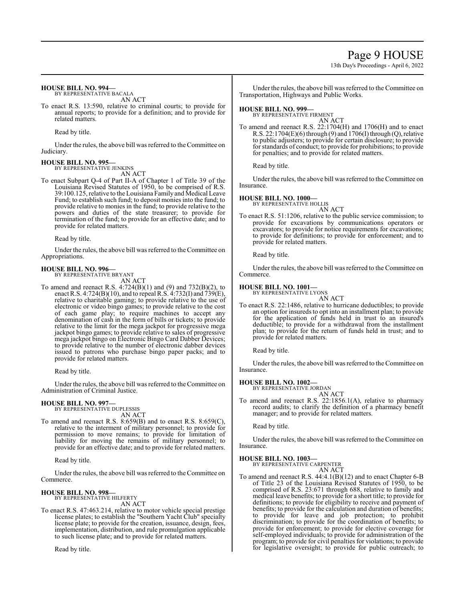# Page 9 HOUSE

13th Day's Proceedings - April 6, 2022

### **HOUSE BILL NO. 994—**

BY REPRESENTATIVE BACALA AN ACT

To enact R.S. 13:590, relative to criminal courts; to provide for annual reports; to provide for a definition; and to provide for related matters.

Read by title.

Under the rules, the above bill was referred to theCommittee on Judiciary.

### **HOUSE BILL NO. 995—**

BY REPRESENTATIVE JENKINS

AN ACT

To enact Subpart Q-4 of Part II-A of Chapter 1 of Title 39 of the Louisiana Revised Statutes of 1950, to be comprised of R.S. 39:100.125, relative to the Louisiana Family and Medical Leave Fund; to establish such fund; to deposit monies into the fund; to provide relative to monies in the fund; to provide relative to the powers and duties of the state treasurer; to provide for termination of the fund; to provide for an effective date; and to provide for related matters.

Read by title.

Under the rules, the above bill was referred to the Committee on Appropriations.

# **HOUSE BILL NO. 996—** BY REPRESENTATIVE BRYANT

AN ACT

To amend and reenact R.S. 4:724(B)(1) and (9) and 732(B)(2), to enact R.S. 4:724(B)(10), and to repeal R.S. 4:732(I) and 739(E), relative to charitable gaming; to provide relative to the use of electronic or video bingo games; to provide relative to the cost of each game play; to require machines to accept any denomination of cash in the form of bills or tickets; to provide relative to the limit for the mega jackpot for progressive mega jackpot bingo games; to provide relative to sales of progressive mega jackpot bingo on Electronic Bingo Card Dabber Devices; to provide relative to the number of electronic dabber devices issued to patrons who purchase bingo paper packs; and to provide for related matters.

Read by title.

Under the rules, the above bill was referred to the Committee on Administration of Criminal Justice.

#### **HOUSE BILL NO. 997—**

BY REPRESENTATIVE DUPLESSIS AN ACT

To amend and reenact R.S. 8:659(B) and to enact R.S. 8:659(C), relative to the interment of military personnel; to provide for permission to move remains; to provide for limitation of liability for moving the remains of military personnel; to provide for an effective date; and to provide for related matters.

Read by title.

Under the rules, the above bill was referred to the Committee on Commerce.

#### **HOUSE BILL NO. 998—**

BY REPRESENTATIVE HILFERTY AN ACT

To enact R.S. 47:463.214, relative to motor vehicle special prestige license plates; to establish the "Southern Yacht Club" specialty license plate; to provide for the creation, issuance, design, fees, implementation, distribution, and rule promulgation applicable to such license plate; and to provide for related matters.

Read by title.

Under the rules, the above bill was referred to the Committee on Transportation, Highways and Public Works.

# **HOUSE BILL NO. 999—** BY REPRESENTATIVE FIRMENT

AN ACT To amend and reenact R.S. 22:1704(H) and 1706(H) and to enact R.S. 22:1704 $(E)(6)$  through  $(9)$  and 1706 $(I)$  through  $(Q)$ , relative to public adjusters; to provide for certain disclosure; to provide for standards of conduct; to provide for prohibitions; to provide for penalties; and to provide for related matters.

Read by title.

Under the rules, the above bill was referred to the Committee on Insurance.

#### **HOUSE BILL NO. 1000—**

BY REPRESENTATIVE HOLLIS AN ACT

To enact R.S. 51:1206, relative to the public service commission; to provide for excavations by communications operators or excavators; to provide for notice requirements for excavations; to provide for definitions; to provide for enforcement; and to provide for related matters.

Read by title.

Under the rules, the above bill was referred to the Committee on Commerce.

#### **HOUSE BILL NO. 1001—**

BY REPRESENTATIVE LYONS

AN ACT To enact R.S. 22:1486, relative to hurricane deductibles; to provide an option for insureds to opt into an installment plan; to provide for the application of funds held in trust to an insured's deductible; to provide for a withdrawal from the installment plan; to provide for the return of funds held in trust; and to provide for related matters.

Read by title.

Under the rules, the above bill was referred to the Committee on Insurance.

**HOUSE BILL NO. 1002—**

BY REPRESENTATIVE JORDAN AN ACT

To amend and reenact R.S. 22:1856.1(A), relative to pharmacy record audits; to clarify the definition of a pharmacy benefit manager; and to provide for related matters.

Read by title.

Under the rules, the above bill was referred to the Committee on Insurance.

#### **HOUSE BILL NO. 1003—**

BY REPRESENTATIVE CARPENTER AN ACT

To amend and reenact R.S. 44:4.1(B)(12) and to enact Chapter 6-B of Title 23 of the Louisiana Revised Statutes of 1950, to be comprised of R.S. 23:671 through 688, relative to family and medical leave benefits; to provide for a short title; to provide for definitions; to provide for eligibility to receive and payment of benefits; to provide for the calculation and duration of benefits; to provide for leave and job protection; to prohibit discrimination; to provide for the coordination of benefits; to provide for enforcement; to provide for elective coverage for self-employed individuals; to provide for administration of the program; to provide for civil penalties for violations; to provide for legislative oversight; to provide for public outreach; to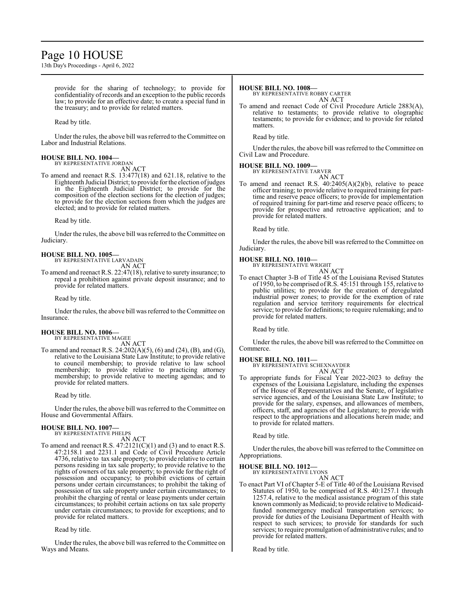# Page 10 HOUSE

13th Day's Proceedings - April 6, 2022

provide for the sharing of technology; to provide for confidentiality ofrecords and an exception to the public records law; to provide for an effective date; to create a special fund in the treasury; and to provide for related matters.

Read by title.

Under the rules, the above bill was referred to theCommittee on Labor and Industrial Relations.

#### **HOUSE BILL NO. 1004—** BY REPRESENTATIVE JORDAN

AN ACT

To amend and reenact R.S. 13:477(18) and 621.18, relative to the Eighteenth Judicial District; to provide for the election ofjudges in the Eighteenth Judicial District; to provide for the composition of the election sections for the election of judges; to provide for the election sections from which the judges are elected; and to provide for related matters.

Read by title.

Under the rules, the above bill was referred to theCommittee on Judiciary.

#### **HOUSE BILL NO. 1005—** BY REPRESENTATIVE LARVADAIN

AN ACT

To amend and reenact R.S. 22:47(18), relative to surety insurance; to repeal a prohibition against private deposit insurance; and to provide for related matters.

Read by title.

Under the rules, the above bill was referred to the Committee on Insurance.

#### **HOUSE BILL NO. 1006—** BY REPRESENTATIVE MAGEE

AN ACT

To amend and reenact R.S. 24:202(A)(5), (6) and (24), (B), and (G), relative to the Louisiana State Law Institute; to provide relative to council membership; to provide relative to law school membership; to provide relative to practicing attorney membership; to provide relative to meeting agendas; and to provide for related matters.

Read by title.

Under the rules, the above bill was referred to the Committee on House and Governmental Affairs.

#### **HOUSE BILL NO. 1007—**

BY REPRESENTATIVE PHELPS AN ACT

To amend and reenact R.S.  $47:2121(C)(1)$  and (3) and to enact R.S. 47:2158.1 and 2231.1 and Code of Civil Procedure Article 4736, relative to tax sale property; to provide relative to certain persons residing in tax sale property; to provide relative to the rights of owners of tax sale property; to provide for the right of possession and occupancy; to prohibit evictions of certain persons under certain circumstances; to prohibit the taking of possession of tax sale property under certain circumstances; to prohibit the charging of rental or lease payments under certain circumstances; to prohibit certain actions on tax sale property under certain circumstances; to provide for exceptions; and to provide for related matters.

Read by title.

Under the rules, the above bill was referred to the Committee on Ways and Means.

#### **HOUSE BILL NO. 1008—**

BY REPRESENTATIVE ROBBY CARTER AN ACT

To amend and reenact Code of Civil Procedure Article 2883(A), relative to testaments; to provide relative to olographic testaments; to provide for evidence; and to provide for related matters.

Read by title.

Under the rules, the above bill was referred to the Committee on Civil Law and Procedure.

#### **HOUSE BILL NO. 1009—**

BY REPRESENTATIVE TARVER

- AN ACT
- To amend and reenact R.S. 40:2405(A)(2)(b), relative to peace officer training; to provide relative to required training for parttime and reserve peace officers; to provide for implementation of required training for part-time and reserve peace officers; to provide for prospective and retroactive application; and to provide for related matters.

Read by title.

Under the rules, the above bill was referred to the Committee on Judiciary.

#### **HOUSE BILL NO. 1010—**

BY REPRESENTATIVE WRIGHT AN ACT

To enact Chapter 3-B of Title 45 of the Louisiana Revised Statutes of 1950, to be comprised ofR.S. 45:151 through 155, relative to public utilities; to provide for the creation of deregulated industrial power zones; to provide for the exemption of rate regulation and service territory requirements for electrical service; to provide for definitions; to require rulemaking; and to provide for related matters.

Read by title.

Under the rules, the above bill was referred to the Committee on Commerce.

#### **HOUSE BILL NO. 1011—**

BY REPRESENTATIVE SCHEXNAYDER AN ACT

To appropriate funds for Fiscal Year 2022-2023 to defray the expenses of the Louisiana Legislature, including the expenses of the House of Representatives and the Senate, of legislative service agencies, and of the Louisiana State Law Institute; to provide for the salary, expenses, and allowances of members, officers, staff, and agencies of the Legislature; to provide with respect to the appropriations and allocations herein made; and to provide for related matters.

Read by title.

Under the rules, the above bill was referred to the Committee on Appropriations.

**HOUSE BILL NO. 1012—**

BY REPRESENTATIVE LYONS

AN ACT

To enact Part VI of Chapter 5-E of Title 40 of the Louisiana Revised Statutes of 1950, to be comprised of R.S. 40:1257.1 through 1257.4, relative to the medical assistance program of this state known commonly as Medicaid; to provide relative to Medicaidfunded nonemergency medical transportation services; to provide for duties of the Louisiana Department of Health with respect to such services; to provide for standards for such services; to require promulgation of administrative rules; and to provide for related matters.

Read by title.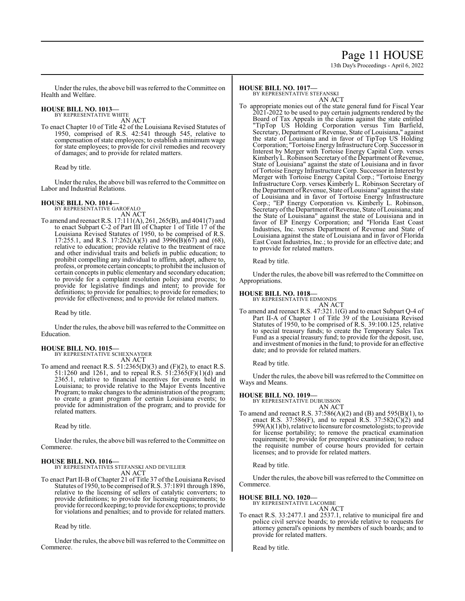# Page 11 HOUSE

13th Day's Proceedings - April 6, 2022

Under the rules, the above bill was referred to the Committee on Health and Welfare.

# **HOUSE BILL NO. 1013—** BY REPRESENTATIVE WHITE

AN ACT

To enact Chapter 10 of Title 42 of the Louisiana Revised Statutes of 1950, comprised of R.S. 42:541 through 545, relative to compensation of state employees; to establish a minimum wage for state employees; to provide for civil remedies and recovery of damages; and to provide for related matters.

Read by title.

Under the rules, the above bill was referred to the Committee on Labor and Industrial Relations.

# **HOUSE BILL NO. 1014—** BY REPRESENTATIVE GAROFALO

AN ACT

To amend and reenact R.S. 17:111(A), 261, 265(B), and 4041(7) and to enact Subpart C-2 of Part III of Chapter 1 of Title 17 of the Louisiana Revised Statutes of 1950, to be comprised of R.S. 17:255.1, and R.S. 17:262(A)(3) and 3996(B)( $\overline{67}$ ) and (68), relative to education; provide relative to the treatment of race and other individual traits and beliefs in public education; to prohibit compelling any individual to affirm, adopt, adhere to, profess, or promote certain concepts; to prohibit the inclusion of certain concepts in public elementary and secondary education; to provide for a complaint resolution policy and process; to provide for legislative findings and intent; to provide for definitions; to provide for penalties; to provide for remedies; to provide for effectiveness; and to provide for related matters.

Read by title.

Under the rules, the above bill was referred to the Committee on Education.

#### **HOUSE BILL NO. 1015—** BY REPRESENTATIVE SCHEXNAYDER

AN ACT

To amend and reenact R.S. 51:2365(D)(3) and (F)(2), to enact R.S. 51:1260 and 1261, and to repeal R.S. 51:2365(F)(1)(d) and 2365.1, relative to financial incentives for events held in Louisiana; to provide relative to the Major Events Incentive Program; to make changes to the administration of the program; to create a grant program for certain Louisiana events; to provide for administration of the program; and to provide for related matters.

Read by title.

Under the rules, the above bill was referred to the Committee on Commerce.

**HOUSE BILL NO. 1016—** BY REPRESENTATIVES STEFANSKI AND DEVILLIER AN ACT

To enact Part II-B of Chapter 21 of Title 37 of the Louisiana Revised Statutes of 1950, to be comprised ofR.S. 37:1891 through 1896, relative to the licensing of sellers of catalytic converters; to provide definitions; to provide for licensing requirements; to provide for record keeping; to provide for exceptions; to provide for violations and penalties; and to provide for related matters.

Read by title.

Under the rules, the above bill was referred to the Committee on Commerce.

#### **HOUSE BILL NO. 1017—** BY REPRESENTATIVE STEFANSKI

AN ACT

To appropriate monies out of the state general fund for Fiscal Year 2021-2022 to be used to pay certain judgments rendered by the Board of Tax Appeals in the claims against the state entitled "TipTop US Holding Corporation versus Tim Barfield, Secretary, Department of Revenue, State of Louisiana," against the state of Louisiana and in favor of TipTop US Holding Corporation; "Tortoise Energy Infrastructure Corp.Successor in Interest by Merger with Tortoise Energy Capital Corp. verses Kimberly L. Robinson Secretary of the Department of Revenue, State of Louisiana" against the state of Louisiana and in favor of Tortoise Energy Infrastructure Corp. Successor in Interest by Merger with Tortoise Energy Capital Corp.; "Tortoise Energy Infrastructure Corp. verses Kimberly L. Robinson Secretary of the Department of Revenue, State of Louisiana" against the state of Louisiana and in favor of Tortoise Energy Infrastructure Corp.; "EP Energy Corporation vs. Kimberly L. Robinson, Secretary of the Department of Revenue, State of Louisiana; and the State of Louisiana" against the state of Louisiana and in favor of EP Energy Corporation; and "Florida East Coast Industries, Inc. verses Department of Revenue and State of Louisiana against the state of Louisiana and in favor of Florida East Coast Industries, Inc.; to provide for an effective date; and to provide for related matters.

Read by title.

Under the rules, the above bill was referred to the Committee on Appropriations.

## **HOUSE BILL NO. 1018—**

BY REPRESENTATIVE EDMONDS

AN ACT To amend and reenact R.S. 47:321.1(G) and to enact Subpart Q-4 of Part II-A of Chapter 1 of Title 39 of the Louisiana Revised Statutes of 1950, to be comprised of R.S. 39:100.125, relative to special treasury funds; to create the Temporary Sales Tax Fund as a special treasury fund; to provide for the deposit, use, and investment of monies in the fund; to provide for an effective date; and to provide for related matters.

Read by title.

Under the rules, the above bill was referred to the Committee on Ways and Means.

# **HOUSE BILL NO. 1019—** BY REPRESENTATIVE DUBUISSON

AN ACT

To amend and reenact R.S. 37:586(A)(2) and (B) and 595(B)(1), to enact R.S. 37:586(F), and to repeal R.S. 37:582(C)(2) and 599(A)(1)(b), relative to licensure for cosmetologists; to provide for license portability; to remove the practical examination requirement; to provide for preemptive examination; to reduce the requisite number of course hours provided for certain licenses; and to provide for related matters.

Read by title.

Under the rules, the above bill was referred to the Committee on Commerce.

# **HOUSE BILL NO. 1020—** BY REPRESENTATIVE LACOMBE

AN ACT

To enact R.S. 33:2477.1 and 2537.1, relative to municipal fire and police civil service boards; to provide relative to requests for attorney general's opinions by members of such boards; and to provide for related matters.

Read by title.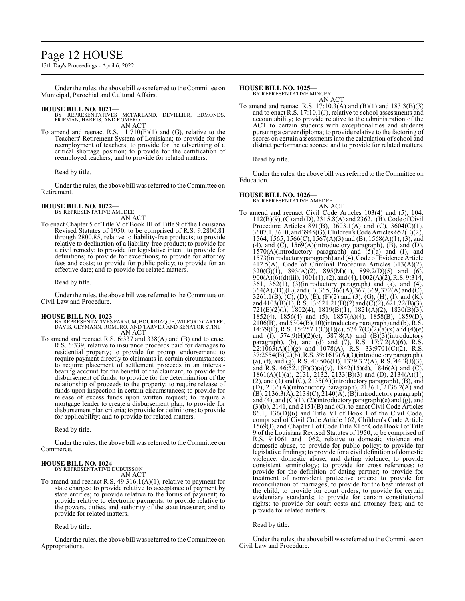# Page 12 HOUSE

13th Day's Proceedings - April 6, 2022

Under the rules, the above bill was referred to the Committee on Municipal, Parochial and Cultural Affairs.

- **HOUSE BILL NO. 1021—** BY REPRESENTATIVES MCFARLAND, DEVILLIER, EDMONDS, FRIEMAN, HARRIS, AND ROMERO AN ACT
- To amend and reenact R.S.  $11:710(F)(1)$  and (G), relative to the Teachers' Retirement System of Louisiana; to provide for the reemployment of teachers; to provide for the advertising of a critical shortage position; to provide for the certification of reemployed teachers; and to provide for related matters.

Read by title.

Under the rules, the above bill was referred to the Committee on Retirement.

#### **HOUSE BILL NO. 1022—** BY REPRESENTATIVE AMEDEE

AN ACT

To enact Chapter 5 of Title V of Book III of Title 9 of the Louisiana Revised Statutes of 1950, to be comprised of R.S. 9:2800.81 through 2800.85, relative to liability-free products; to provide relative to declination of a liability-free product; to provide for a civil remedy; to provide for legislative intent; to provide for definitions; to provide for exceptions; to provide for attorney fees and costs; to provide for public policy; to provide for an effective date; and to provide for related matters.

Read by title.

Under the rules, the above bill was referred to the Committee on Civil Law and Procedure.

#### **HOUSE BILL NO. 1023—**

BY REPRESENTATIVES FARNUM, BOURRIAQUE, WILFORD CARTER, DAVIS, GEYMANN, ROMERO, AND TARVER AND SENATOR STINE AN ACT

To amend and reenact R.S. 6:337 and 338(A) and (B) and to enact R.S. 6:339, relative to insurance proceeds paid for damages to residential property; to provide for prompt endorsement; to require payment directly to claimants in certain circumstances; to require placement of settlement proceeds in an interestbearing account for the benefit of the claimant; to provide for disbursement of funds; to provide for the determination of the relationship of proceeds to the property; to require release of funds upon inspection in certain circumstances; to provide for release of excess funds upon written request; to require a mortgage lender to create a disbursement plan; to provide for disbursement plan criteria; to provide for definitions; to provide for applicability; and to provide for related matters.

Read by title.

Under the rules, the above bill was referred to the Committee on Commerce.

#### **HOUSE BILL NO. 1024—**

BY REPRESENTATIVE DUBUISSON

AN ACT

To amend and reenact R.S. 49:316.1(A)(1), relative to payment for state charges; to provide relative to acceptance of payment by state entities; to provide relative to the forms of payment; to provide relative to electronic payments; to provide relative to the powers, duties, and authority of the state treasurer; and to provide for related matters.

Read by title.

Under the rules, the above bill was referred to theCommittee on Appropriations.

**HOUSE BILL NO. 1025—** BY REPRESENTATIVE MINCEY

AN ACT

To amend and reenact R.S. 17:10.3(A) and (B)(1) and 183.3(B)(3) and to enact R.S. 17:10.1(J), relative to school assessments and accountability; to provide relative to the administration of the ACT to certain students with exceptionalities and students pursuing a career diploma; to provide relative to the factoring of scores on certain assessments into the calculation of school and district performance scores; and to provide for related matters.

Read by title.

Under the rules, the above bill was referred to the Committee on Education.

**HOUSE BILL NO. 1026—** BY REPRESENTATIVE AMEDEE AN ACT To amend and reenact Civil Code Articles 103(4) and (5), 104, 112(B)(9), (C) and (D), 2315.8(A) and 2362.1(B), Code ofCivil Procedure Articles 891(B), 3603.1(A) and (C), 3604(C)(1),  $3607.1, 3610,$  and  $3945(\mathrm{G})$ , Children's Code Articles  $652(\mathrm{E})(2)$ , 1564, 1565, 1566(C), 1567(A)(3) and (B), 1568(A)(1), (3), and  $(4)$ , and  $(C)$ , 1569 $(A)$ (introductory paragraph),  $(B)$ , and  $(D)$ ,  $1570(A)$ (introductory paragraph) and  $(5)(a)$  and  $(I)$ , and 1573(introductory paragraph) and (4), Code ofEvidence Article 412.5(A), Code of Criminal Procedure Articles 313(A)(2),  $320(G)(1)$ ,  $893(A)(2)$ ,  $895(M)(1)$ ,  $899.2(D)(5)$  and (6), 900(A)(6)(d)(iii), 1001(1), (2), and (4), 1002(A)(2), R.S. 9:314,  $361, 362(1), (3)$ (introductory paragraph) and (a), and (4),  $364(A), (D), (E),$  and  $(F), 365, 366(A), 367, 369, 372(A)$  and  $(C),$ 3261.1(B), (C), (D), (E), (F)(2) and (3), (G), (H), (I), and (K), and 4103(B)(1), R.S. 13:621.21(B)(2) and (C)(2), 621.22(B)(3), 721(E)(2)(l), 1802(4), 1819(B)(1), 1821(A)(2), 1830(B)(3), 1852(4), 1856(4) and (5), 1857(A)(4), 1858(B), 1859(D),  $2106(B)$ , and  $5304(B)(10)$ (introductory paragraph) and (b), R.S. 14:79(E), R.S. 15:257.1(C)(1)(c), 574.7(C)(2)(a)(x) and (4)(e) and (f), 574.9(H)(2)(c), 587.8(A) and (B)(3)(introductory paragraph), (b), and (d) and (7), R.S.  $17:7.2(A)(6)$ , R.S.  $22:1\overline{0}63(A)(1)(g)$  and  $1078(A)$ , R.S. 33:9701(C)(2), R.S. 37:2554(B)(2)(b), R.S. 39:1619(A)(3)(introductory paragraph), (a), (f), and (g), R.S. 40:506(D), 1379.3.2(A), R.S. 44:3(J)(3), and R.S.  $46:52.1(F)(3)(a)(v)$ ,  $1842(15)(d)$ ,  $1846(A)$  and  $(C)$ , 1861(A)(1)(a), 2131, 2132, 2133(B)(3) and (D), 2134(A)(1),  $(2)$ , and  $(3)$  and  $(C)$ , 2135 $(A)$ (introductory paragraph),  $(B)$ , and  $(D)$ , 2136(A)(introductory paragraph), 2136.1, 2136.2(A) and  $(B)$ , 2136.3(A), 2138(C), 2140(A),  $(B)$ (introductory paragraph) and  $(4)$ , and  $(C)(1)$ ,  $(2)$ (introductory paragraph) $(e)$  and  $(g)$ , and (3)(b), 2141, and 2151(B) and (C), to enact Civil Code Articles 86.1, 136(D)(6) and Title VI of Book I of the Civil Code, comprised of Civil Code Article 162, Children's Code Article 1569(J), and Chapter 1 of Code Title XI of Code Book I of Title

9 of the Louisiana Revised Statutes of 1950, to be comprised of R.S. 9:1061 and 1062, relative to domestic violence and domestic abuse, to provide for public policy; to provide for legislative findings; to provide for a civil definition of domestic violence, domestic abuse, and dating violence; to provide consistent terminology; to provide for cross references; to provide for the definition of dating partner; to provide for treatment of nonviolent protective orders; to provide for reconciliation of marriages; to provide for the best interest of the child; to provide for court orders; to provide for certain evidentiary standards; to provide for certain constitutional rights; to provide for court costs and attorney fees; and to provide for related matters.

Read by title.

Under the rules, the above bill was referred to the Committee on Civil Law and Procedure.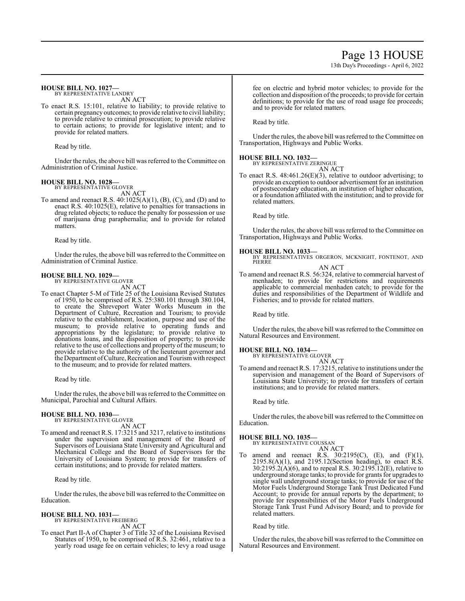# Page 13 HOUSE

13th Day's Proceedings - April 6, 2022

#### **HOUSE BILL NO. 1027—** BY REPRESENTATIVE LANDRY

AN ACT

To enact R.S. 15:101, relative to liability; to provide relative to certain pregnancy outcomes; to provide relative to civil liability; to provide relative to criminal prosecution; to provide relative to certain actions; to provide for legislative intent; and to provide for related matters.

Read by title.

Under the rules, the above bill was referred to the Committee on Administration of Criminal Justice.

#### **HOUSE BILL NO. 1028—** BY REPRESENTATIVE GLOVER

AN ACT

To amend and reenact R.S.  $40:1025(A)(1)$ ,  $(B)$ ,  $(C)$ , and  $(D)$  and to enact R.S. 40:1025(E), relative to penalties for transactions in drug related objects; to reduce the penalty for possession or use of marijuana drug paraphernalia; and to provide for related matters.

Read by title.

Under the rules, the above bill was referred to the Committee on Administration of Criminal Justice.

#### **HOUSE BILL NO. 1029—**

BY REPRESENTATIVE GLOVER AN ACT

To enact Chapter 5-M of Title 25 of the Louisiana Revised Statutes of 1950, to be comprised of R.S. 25:380.101 through 380.104, to create the Shreveport Water Works Museum in the Department of Culture, Recreation and Tourism; to provide relative to the establishment, location, purpose and use of the museum; to provide relative to operating funds and appropriations by the legislature; to provide relative to donations loans, and the disposition of property; to provide relative to the use of collections and property of the museum; to provide relative to the authority of the lieutenant governor and the Department ofCulture, Recreation and Tourismwith respect to the museum; and to provide for related matters.

Read by title.

Under the rules, the above bill was referred to the Committee on Municipal, Parochial and Cultural Affairs.

#### **HOUSE BILL NO. 1030—**

BY REPRESENTATIVE GLOVER AN ACT

To amend and reenact R.S. 17:3215 and 3217, relative to institutions under the supervision and management of the Board of Supervisors of Louisiana State University and Agricultural and Mechanical College and the Board of Supervisors for the University of Louisiana System; to provide for transfers of certain institutions; and to provide for related matters.

Read by title.

Under the rules, the above bill was referred to the Committee on Education.

#### **HOUSE BILL NO. 1031—**

BY REPRESENTATIVE FREIBERG

- AN ACT
- To enact Part II-A of Chapter 3 of Title 32 of the Louisiana Revised Statutes of 1950, to be comprised of R.S. 32:461, relative to a yearly road usage fee on certain vehicles; to levy a road usage

fee on electric and hybrid motor vehicles; to provide for the collection and disposition of the proceeds; to provide for certain definitions; to provide for the use of road usage fee proceeds; and to provide for related matters.

Read by title.

Under the rules, the above bill was referred to the Committee on Transportation, Highways and Public Works.

# **HOUSE BILL NO. 1032—** BY REPRESENTATIVE ZERINGUE

AN ACT

To enact R.S. 48:461.26(E)(3), relative to outdoor advertising; to provide an exception to outdoor advertisement for an institution of postsecondary education, an institution of higher education, or a foundation affiliated with the institution; and to provide for related matters.

Read by title.

Under the rules, the above bill was referred to the Committee on Transportation, Highways and Public Works.

#### **HOUSE BILL NO. 1033—**

BY REPRESENTATIVES ORGERON, MCKNIGHT, FONTENOT, AND **PIERRE** AN ACT

To amend and reenact R.S. 56:324, relative to commercial harvest of menhaden; to provide for restrictions and requirements applicable to commercial menhaden catch; to provide for the duties and responsibilities of the Department of Wildlife and Fisheries; and to provide for related matters.

Read by title.

Under the rules, the above bill was referred to the Committee on Natural Resources and Environment.

#### **HOUSE BILL NO. 1034—**

BY REPRESENTATIVE GLOVER

- AN ACT
- To amend and reenact R.S. 17:3215, relative to institutions under the supervision and management of the Board of Supervisors of Louisiana State University; to provide for transfers of certain institutions; and to provide for related matters.

Read by title.

Under the rules, the above bill was referred to the Committee on Education.

#### **HOUSE BILL NO. 1035—**

BY REPRESENTATIVE COUSSAN AN ACT

To amend and reenact R.S.  $30:2195(C)$ , (E), and (F)(1), 2195.8(A)(1), and 2195.12(Section heading), to enact R.S.  $30:2195.2(A)(6)$ , and to repeal R.S.  $30:2195.12(E)$ , relative to underground storage tanks; to provide for grants for upgrades to single wall underground storage tanks; to provide for use of the Motor Fuels Underground Storage Tank Trust Dedicated Fund Account; to provide for annual reports by the department; to provide for responsibilities of the Motor Fuels Underground Storage Tank Trust Fund Advisory Board; and to provide for related matters.

Read by title.

Under the rules, the above bill was referred to the Committee on Natural Resources and Environment.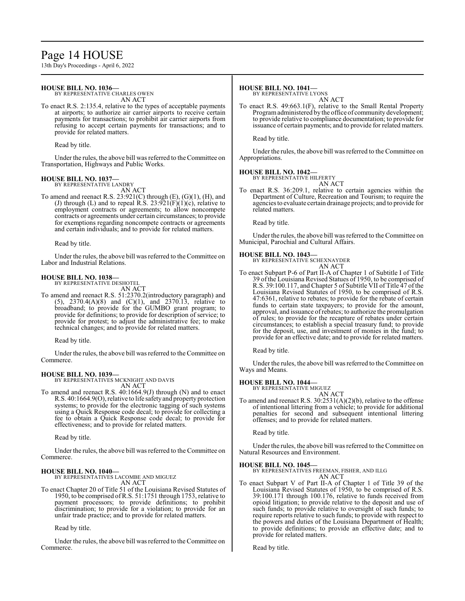# Page 14 HOUSE

13th Day's Proceedings - April 6, 2022

### **HOUSE BILL NO. 1036—**

BY REPRESENTATIVE CHARLES OWEN AN ACT

To enact R.S. 2:135.4, relative to the types of acceptable payments at airports; to authorize air carrier airports to receive certain payments for transactions; to prohibit air carrier airports from refusing to accept certain payments for transactions; and to provide for related matters.

Read by title.

Under the rules, the above bill was referred to theCommittee on Transportation, Highways and Public Works.

#### **HOUSE BILL NO. 1037—** BY REPRESENTATIVE LANDRY

AN ACT

To amend and reenact R.S. 23:921(C) through (E), (G)(1), (H), and (J) through (L) and to repeal R.S.  $23:921(F)(1)(c)$ , relative to employment contracts or agreements; to allow noncompete contracts or agreements under certain circumstances; to provide for exemptions regarding noncompete contracts or agreements and certain individuals; and to provide for related matters.

Read by title.

Under the rules, the above bill was referred to the Committee on Labor and Industrial Relations.

#### **HOUSE BILL NO. 1038—**

BY REPRESENTATIVE DESHOTEL

AN ACT To amend and reenact R.S. 51:2370.2(introductory paragraph) and (5), 2370.4(A)(8) and (C)(1), and 2370.13, relative to broadband; to provide for the GUMBO grant program; to provide for definitions; to provide for description of service; to provide for protest; to adjust the administrative fee; to make technical changes; and to provide for related matters.

Read by title.

Under the rules, the above bill was referred to the Committee on Commerce.

#### **HOUSE BILL NO. 1039—**

BY REPRESENTATIVES MCKNIGHT AND DAVIS AN ACT

To amend and reenact R.S. 40:1664.9(J) through (N) and to enact R.S. 40:1664.9(O), relative to life safetyand property protection systems; to provide for the electronic tagging of such systems using a Quick Response code decal; to provide for collecting a fee to obtain a Quick Response code decal; to provide for effectiveness; and to provide for related matters.

Read by title.

Under the rules, the above bill was referred to the Committee on Commerce.

### **HOUSE BILL NO. 1040—**

BY REPRESENTATIVES LACOMBE AND MIGUEZ AN ACT

To enact Chapter 20 of Title 51 of the Louisiana Revised Statutes of 1950, to be comprised ofR.S. 51:1751 through 1753, relative to payment processors; to provide definitions; to prohibit discrimination; to provide for a violation; to provide for an unfair trade practice; and to provide for related matters.

Read by title.

Under the rules, the above bill was referred to the Committee on Commerce.

### **HOUSE BILL NO. 1041—**

BY REPRESENTATIVE LYONS AN ACT

To enact R.S. 49:663.1(F), relative to the Small Rental Property Programadministered by the office of community development; to provide relative to compliance documentation; to provide for issuance of certain payments; and to provide for related matters.

Read by title.

Under the rules, the above bill was referred to the Committee on Appropriations.

### **HOUSE BILL NO. 1042—**

BY REPRESENTATIVE HILFERTY AN ACT

To enact R.S. 36:209.1, relative to certain agencies within the Department of Culture, Recreation and Tourism; to require the agencies to evaluate certain drainage projects; and to provide for related matters.

Read by title.

Under the rules, the above bill was referred to the Committee on Municipal, Parochial and Cultural Affairs.

#### **HOUSE BILL NO. 1043—**

BY REPRESENTATIVE SCHEXNAYDER AN ACT

To enact Subpart P-6 of Part II-A of Chapter 1 of Subtitle I of Title 39 ofthe Louisiana Revised Statues of 1950, to be comprised of R.S. 39:100.117, and Chapter 5 of Subtitle VII of Title 47 of the Louisiana Revised Statutes of 1950, to be comprised of R.S. 47:6361, relative to rebates; to provide for the rebate of certain funds to certain state taxpayers; to provide for the amount, approval, and issuance ofrebates; to authorize the promulgation of rules; to provide for the recapture of rebates under certain circumstances; to establish a special treasury fund; to provide for the deposit, use, and investment of monies in the fund; to provide for an effective date; and to provide for related matters.

Read by title.

Under the rules, the above bill was referred to the Committee on Ways and Means.

#### **HOUSE BILL NO. 1044—**

BY REPRESENTATIVE MIGUEZ

AN ACT To amend and reenact R.S. 30:2531(A)(2)(b), relative to the offense of intentional littering from a vehicle; to provide for additional penalties for second and subsequent intentional littering offenses; and to provide for related matters.

Read by title.

Under the rules, the above bill was referred to the Committee on Natural Resources and Environment.

#### **HOUSE BILL NO. 1045—**

BY REPRESENTATIVES FREEMAN, FISHER, AND ILLG AN ACT

To enact Subpart V of Part II-A of Chapter 1 of Title 39 of the Louisiana Revised Statutes of 1950, to be comprised of R.S. 39:100.171 through 100.176, relative to funds received from opioid litigation; to provide relative to the deposit and use of such funds; to provide relative to oversight of such funds; to require reports relative to such funds; to provide with respect to the powers and duties of the Louisiana Department of Health; to provide definitions; to provide an effective date; and to provide for related matters.

Read by title.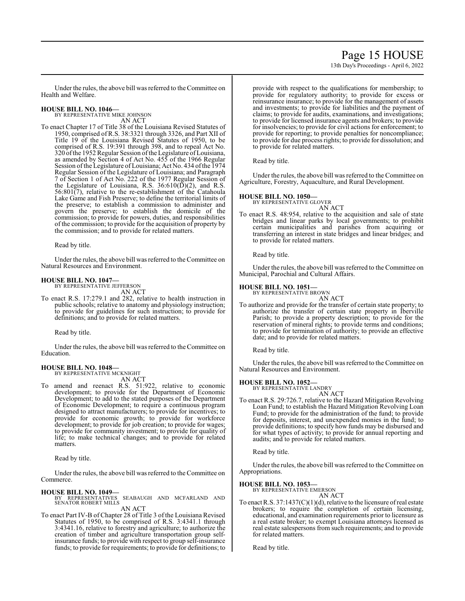# Page 15 HOUSE

13th Day's Proceedings - April 6, 2022

Under the rules, the above bill was referred to the Committee on Health and Welfare.

# **HOUSE BILL NO. 1046—** BY REPRESENTATIVE MIKE JOHNSON

AN ACT

To enact Chapter 17 of Title 38 of the Louisiana Revised Statutes of 1950, comprised of R.S. 38:3321 through 3326, and Part XII of Title 19 of the Louisiana Revised Statutes of 1950, to be comprised of R.S. 19:391 through 398, and to repeal Act No. 320 ofthe 1952Regular Session ofthe Legislature ofLouisiana, as amended by Section 4 of Act No. 455 of the 1966 Regular Session of the Legislature of Louisiana; Act No. 434 of the 1974 Regular Session of the Legislature of Louisiana; and Paragraph 7 of Section 1 of Act No. 222 of the 1977 Regular Session of the Legislature of Louisiana, R.S.  $36:610(\overline{D})(2)$ , and R.S.  $56:801(7)$ , relative to the re-establishment of the Catahoula Lake Game and Fish Preserve; to define the territorial limits of the preserve; to establish a commission to administer and govern the preserve; to establish the domicile of the commission; to provide for powers, duties, and responsibilities of the commission; to provide for the acquisition of property by the commission; and to provide for related matters.

Read by title.

Under the rules, the above bill was referred to the Committee on Natural Resources and Environment.

# **HOUSE BILL NO. 1047—**

BY REPRESENTATIVE JEFFERSON AN ACT

To enact R.S. 17:279.1 and 282, relative to health instruction in public schools; relative to anatomy and physiology instruction; to provide for guidelines for such instruction; to provide for definitions; and to provide for related matters.

Read by title.

Under the rules, the above bill was referred to the Committee on Education.

#### **HOUSE BILL NO. 1048—**

BY REPRESENTATIVE MCKNIGHT AN ACT

To amend and reenact R.S. 51:922, relative to economic development; to provide for the Department of Economic Development; to add to the stated purposes of the Department of Economic Development; to require a continuous program designed to attract manufacturers; to provide for incentives; to provide for economic growth; to provide for workforce development; to provide for job creation; to provide for wages; to provide for community investment; to provide for quality of life; to make technical changes; and to provide for related matters.

Read by title.

Under the rules, the above bill was referred to the Committee on Commerce.

### **HOUSE BILL NO. 1049—**

BY REPRESENTATIVES SEABAUGH AND MCFARLAND AND SENATOR ROBERT MILLS AN ACT

To enact Part IV-B of Chapter 28 of Title 3 of the Louisiana Revised Statutes of 1950, to be comprised of R.S. 3:4341.1 through 3:4341.16, relative to forestry and agriculture; to authorize the creation of timber and agriculture transportation group selfinsurance funds; to provide with respect to group self-insurance funds; to provide for requirements; to provide for definitions; to

provide with respect to the qualifications for membership; to provide for regulatory authority; to provide for excess or reinsurance insurance; to provide for the management of assets and investments; to provide for liabilities and the payment of claims; to provide for audits, examinations, and investigations; to provide for licensed insurance agents and brokers; to provide for insolvencies; to provide for civil actions for enforcement; to provide for reporting; to provide penalties for noncompliance; to provide for due process rights; to provide for dissolution; and to provide for related matters.

Read by title.

Under the rules, the above bill was referred to the Committee on Agriculture, Forestry, Aquaculture, and Rural Development.

#### **HOUSE BILL NO. 1050—**

BY REPRESENTATIVE GLOVER AN ACT

To enact R.S. 48:954, relative to the acquisition and sale of state bridges and linear parks by local governments; to prohibit certain municipalities and parishes from acquiring or transferring an interest in state bridges and linear bridges; and to provide for related matters.

Read by title.

Under the rules, the above bill was referred to the Committee on Municipal, Parochial and Cultural Affairs.

#### **HOUSE BILL NO. 1051—**

BY REPRESENTATIVE BROWN AN ACT

To authorize and provide for the transfer of certain state property; to authorize the transfer of certain state property in Iberville Parish; to provide a property description; to provide for the reservation of mineral rights; to provide terms and conditions; to provide for termination of authority; to provide an effective date; and to provide for related matters.

Read by title.

Under the rules, the above bill was referred to the Committee on Natural Resources and Environment.

#### **HOUSE BILL NO. 1052—**

BY REPRESENTATIVE LANDRY AN ACT

To enact R.S. 29:726.7, relative to the Hazard Mitigation Revolving Loan Fund; to establish the Hazard Mitigation Revolving Loan Fund; to provide for the administration of the fund; to provide for deposits, interest, and unexpended monies in the fund; to provide definitions; to specify how funds may be disbursed and for what types of activity; to provide for annual reporting and audits; and to provide for related matters.

Read by title.

Under the rules, the above bill was referred to the Committee on Appropriations.

#### **HOUSE BILL NO. 1053—**

BY REPRESENTATIVE EMERSON AN ACT

To enact R.S.  $37:1437(C)(1)(d)$ , relative to the licensure of real estate brokers; to require the completion of certain licensing, educational, and examination requirements prior to licensure as a real estate broker; to exempt Louisiana attorneys licensed as real estate salespersons from such requirements; and to provide for related matters.

Read by title.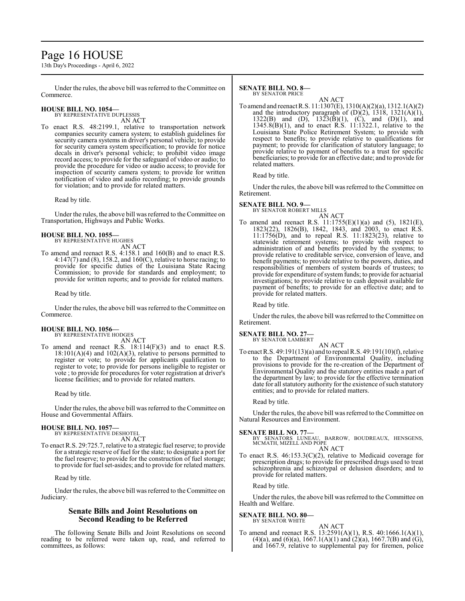# Page 16 HOUSE

13th Day's Proceedings - April 6, 2022

Under the rules, the above bill was referred to the Committee on Commerce.

# **HOUSE BILL NO. 1054—** BY REPRESENTATIVE DUPLESSIS

AN ACT

To enact R.S. 48:2199.1, relative to transportation network companies security camera system; to establish guidelines for security camera systems in driver's personal vehicle; to provide for security camera system specification; to provide for notice decals in driver's personal vehicle; to prohibit video image record access; to provide for the safeguard of video or audio; to provide the procedure for video or audio access; to provide for inspection of security camera system; to provide for written notification of video and audio recording; to provide grounds for violation; and to provide for related matters.

Read by title.

Under the rules, the above bill was referred to the Committee on Transportation, Highways and Public Works.

### **HOUSE BILL NO. 1055—**

BY REPRESENTATIVE HUGHES AN ACT

To amend and reenact R.S. 4:158.1 and 160(B) and to enact R.S. 4:147(7) and (8), 158.2, and 160(C), relative to horse racing; to provide for specific duties of the Louisiana State Racing Commission; to provide for standards and employment; to provide for written reports; and to provide for related matters.

Read by title.

Under the rules, the above bill was referred to the Committee on Commerce.

#### **HOUSE BILL NO. 1056—** BY REPRESENTATIVE HODGES

AN ACT

To amend and reenact R.S. 18:114(F)(3) and to enact R.S.  $18:101(A)(4)$  and  $102(A)(3)$ , relative to persons permitted to register or vote; to provide for applicants qualification to register to vote; to provide for persons ineligible to register or vote ; to provide for procedures for voter registration at driver's license facilities; and to provide for related matters.

Read by title.

Under the rules, the above bill was referred to the Committee on House and Governmental Affairs.

### **HOUSE BILL NO. 1057—**

BY REPRESENTATIVE DESHOTEL AN ACT

To enact R.S. 29:725.7, relative to a strategic fuel reserve; to provide for a strategic reserve of fuel for the state; to designate a port for the fuel reserve; to provide for the construction of fuel storage; to provide for fuel set-asides; and to provide for related matters.

Read by title.

Under the rules, the above bill was referred to the Committee on Judiciary.

### **Senate Bills and Joint Resolutions on Second Reading to be Referred**

The following Senate Bills and Joint Resolutions on second reading to be referred were taken up, read, and referred to committees, as follows:

#### **SENATE BILL NO. 8—** BY SENATOR PRICE

AN ACT

To amend and reenact R.S. 11:1307(E), 1310(A)(2)(a), 1312.1(A)(2) and the introductory paragraph of  $(D)(2)$ , 1318, 1321 $(A)(1)$ , 1322(B) and (D),  $1323(\dot{B})(1)$ , (C), and (D)(1), and 1345.8(B)(1), and to enact R.S. 11:1322.1, relative to the Louisiana State Police Retirement System; to provide with respect to benefits; to provide relative to qualifications for payment; to provide for clarification of statutory language; to provide relative to payment of benefits to a trust for specific beneficiaries; to provide for an effective date; and to provide for related matters.

Read by title.

Under the rules, the above bill was referred to the Committee on Retirement.

# **SENATE BILL NO. 9—** BY SENATOR ROBERT MILLS

AN ACT To amend and reenact R.S. 11:1755(E)(1)(a) and (5), 1821(E), 1823(22), 1826(B), 1842, 1843, and 2003, to enact R.S. 11:1756(D), and to repeal R.S. 11:1823(23), relative to statewide retirement systems; to provide with respect to administration of and benefits provided by the systems; to provide relative to creditable service, conversion of leave, and benefit payments; to provide relative to the powers, duties, and responsibilities of members of system boards of trustees; to provide for expenditure of system funds; to provide for actuarial investigations; to provide relative to cash deposit available for payment of benefits; to provide for an effective date; and to provide for related matters.

Read by title.

Under the rules, the above bill was referred to the Committee on Retirement.

# **SENATE BILL NO. 27—**

BY SENATOR LAMBERT AN ACT

To enact R.S. 49:191(13)(a) and to repeal R.S. 49:191(10)(f), relative to the Department of Environmental Quality, including provisions to provide for the re-creation of the Department of Environmental Quality and the statutory entities made a part of the department by law; to provide for the effective termination date for all statutory authority for the existence of such statutory entities; and to provide for related matters.

Read by title.

Under the rules, the above bill was referred to the Committee on Natural Resources and Environment.

#### **SENATE BILL NO. 77—**

BY SENATORS LUNEAU, BARROW, BOUDREAUX, HENSGENS, MCMATH, MIZELL AND POPE AN ACT

To enact R.S. 46:153.3(C)(2), relative to Medicaid coverage for prescription drugs; to provide for prescribed drugs used to treat schizophrenia and schizotypal or delusion disorders; and to provide for related matters.

Read by title.

Under the rules, the above bill was referred to the Committee on Health and Welfare.

**SENATE BILL NO. 80—** BY SENATOR WHITE

AN ACT

To amend and reenact R.S. 13:2591(A)(1), R.S. 40:1666.1(A)(1), (4)(a), and (6)(a), 1667.1(A)(1) and (2)(a), 1667.7(B) and (G), and 1667.9, relative to supplemental pay for firemen, police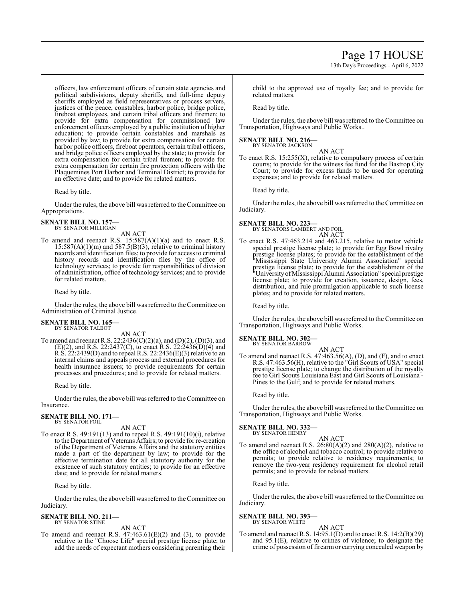13th Day's Proceedings - April 6, 2022

officers, law enforcement officers of certain state agencies and political subdivisions, deputy sheriffs, and full-time deputy sheriffs employed as field representatives or process servers, justices of the peace, constables, harbor police, bridge police, fireboat employees, and certain tribal officers and firemen; to provide for extra compensation for commissioned law enforcement officers employed by a public institution of higher education; to provide certain constables and marshals as provided by law; to provide for extra compensation for certain harbor police officers, fireboat operators, certain tribal officers, and bridge police officers employed by the state; to provide for extra compensation for certain tribal firemen; to provide for extra compensation for certain fire protection officers with the Plaquemines Port Harbor and Terminal District; to provide for an effective date; and to provide for related matters.

Read by title.

Under the rules, the above bill was referred to the Committee on Appropriations.

**SENATE BILL NO. 157—** BY SENATOR MILLIGAN

AN ACT

To amend and reenact R.S.  $15:587(A)(1)(a)$  and to enact R.S.  $15:587(A)(1)(m)$  and  $587.5(B)(3)$ , relative to criminal history records and identification files; to provide for access to criminal history records and identification files by the office of technology services; to provide for responsibilities of division of administration, office of technology services; and to provide for related matters.

Read by title.

Under the rules, the above bill was referred to theCommittee on Administration of Criminal Justice.

#### **SENATE BILL NO. 165—** BY SENATOR TALBOT

AN ACT

To amend and reenact R.S. 22:2436(C)(2)(a), and (D)(2), (D)(3), and  $(E)(2)$ , and R.S. 22:2437(C), to enact R.S. 22:2436(D)(4) and R.S. 22:2439(D) and to repeal R.S. 22:2436(E)(3) relative to an internal claims and appeals process and external procedures for health insurance issuers; to provide requirements for certain processes and procedures; and to provide for related matters.

Read by title.

Under the rules, the above bill was referred to the Committee on Insurance.

# **SENATE BILL NO. 171—**

BY SENATOR FOIL

AN ACT

To enact R.S. 49:191(13) and to repeal R.S. 49:191(10)(i), relative to the Department of Veterans Affairs; to provide for re-creation of the Department of Veterans Affairs and the statutory entities made a part of the department by law; to provide for the effective termination date for all statutory authority for the existence of such statutory entities; to provide for an effective date; and to provide for related matters.

Read by title.

Under the rules, the above bill was referred to the Committee on Judiciary.

#### **SENATE BILL NO. 211—** BY SENATOR STINE

AN ACT

To amend and reenact R.S. 47:463.61(E)(2) and (3), to provide relative to the "Choose Life" special prestige license plate; to add the needs of expectant mothers considering parenting their child to the approved use of royalty fee; and to provide for related matters.

Read by title.

Under the rules, the above bill was referred to the Committee on Transportation, Highways and Public Works..

#### **SENATE BILL NO. 216—** BY SENATOR JACKSON

AN ACT

To enact R.S.  $15:255(X)$ , relative to compulsory process of certain courts; to provide for the witness fee fund for the Bastrop City Court; to provide for excess funds to be used for operating expenses; and to provide for related matters.

Read by title.

Under the rules, the above bill was referred to the Committee on Judiciary.

### **SENATE BILL NO. 223—**

BY SENATORS LAMBERT AND FOIL AN ACT

To enact R.S. 47:463.214 and 463.215, relative to motor vehicle special prestige license plate; to provide for Egg Bowl rivalry prestige license plates; to provide for the establishment of the "Mississippi State University Alumni Association" special prestige license plate; to provide for the establishment of the "University ofMississippi Alumni Association" special prestige license plate; to provide for creation, issuance, design, fees, distribution, and rule promulgation applicable to such license plates; and to provide for related matters.

Read by title.

Under the rules, the above bill was referred to the Committee on Transportation, Highways and Public Works.

### **SENATE BILL NO. 302—**

BY SENATOR BARROW

AN ACT To amend and reenact R.S. 47:463.56(A), (D), and (F), and to enact R.S. 47:463.56(H), relative to the "Girl Scouts of USA" special prestige license plate; to change the distribution of the royalty fee to Girl Scouts Louisiana East and Girl Scouts of Louisiana - Pines to the Gulf; and to provide for related matters.

Read by title.

Under the rules, the above bill was referred to the Committee on Transportation, Highways and Public Works.

# **SENATE BILL NO. 332—**

BY SENATOR HENRY AN ACT

To amend and reenact R.S.  $26:80(A)(2)$  and  $280(A)(2)$ , relative to the office of alcohol and tobacco control; to provide relative to permits; to provide relative to residency requirements; to remove the two-year residency requirement for alcohol retail permits; and to provide for related matters.

Read by title.

Under the rules, the above bill was referred to the Committee on Judiciary.

#### **SENATE BILL NO. 393—** BY SENATOR WHITE

## AN ACT

To amend and reenact R.S. 14:95.1(D) and to enact R.S. 14:2(B)(29) and 95.1(E), relative to crimes of violence; to designate the crime of possession of firearm or carrying concealed weapon by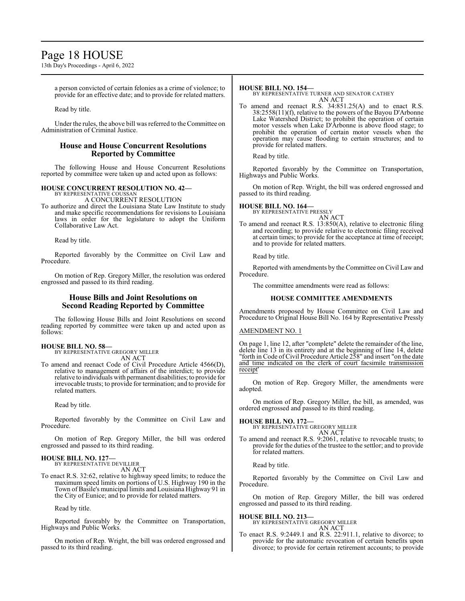# Page 18 HOUSE

13th Day's Proceedings - April 6, 2022

a person convicted of certain felonies as a crime of violence; to provide for an effective date; and to provide for related matters.

Read by title.

Under the rules, the above bill was referred to the Committee on Administration of Criminal Justice.

### **House and House Concurrent Resolutions Reported by Committee**

The following House and House Concurrent Resolutions reported by committee were taken up and acted upon as follows:

#### **HOUSE CONCURRENT RESOLUTION NO. 42—**

BY REPRESENTATIVE COUSSAN A CONCURRENT RESOLUTION

To authorize and direct the Louisiana State Law Institute to study and make specific recommendations for revisions to Louisiana laws in order for the legislature to adopt the Uniform Collaborative Law Act.

Read by title.

Reported favorably by the Committee on Civil Law and Procedure.

On motion of Rep. Gregory Miller, the resolution was ordered engrossed and passed to its third reading.

### **House Bills and Joint Resolutions on Second Reading Reported by Committee**

The following House Bills and Joint Resolutions on second reading reported by committee were taken up and acted upon as follows:

## **HOUSE BILL NO. 58—**

BY REPRESENTATIVE GREGORY MILLER AN ACT

To amend and reenact Code of Civil Procedure Article 4566(D), relative to management of affairs of the interdict; to provide relative to individuals with permanent disabilities; to provide for irrevocable trusts; to provide for termination; and to provide for related matters.

Read by title.

Reported favorably by the Committee on Civil Law and Procedure.

On motion of Rep. Gregory Miller, the bill was ordered engrossed and passed to its third reading.

#### **HOUSE BILL NO. 127—** BY REPRESENTATIVE DEVILLIER

AN ACT

To enact R.S. 32:62, relative to highway speed limits; to reduce the maximum speed limits on portions of U.S. Highway 190 in the Town of Basile's municipal limits and Louisiana Highway 91 in the City of Eunice; and to provide for related matters.

Read by title.

Reported favorably by the Committee on Transportation, Highways and Public Works.

On motion of Rep. Wright, the bill was ordered engrossed and passed to its third reading.

#### **HOUSE BILL NO. 154—**

BY REPRESENTATIVE TURNER AND SENATOR CATHEY AN ACT

To amend and reenact R.S. 34:851.25(A) and to enact R.S. 38:2558(11)(f), relative to the powers of the Bayou D'Arbonne Lake Watershed District; to prohibit the operation of certain motor vessels when Lake D'Arbonne is above flood stage; to prohibit the operation of certain motor vessels when the operation may cause flooding to certain structures; and to provide for related matters.

Read by title.

Reported favorably by the Committee on Transportation, Highways and Public Works.

On motion of Rep. Wright, the bill was ordered engrossed and passed to its third reading.

#### **HOUSE BILL NO. 164—**

BY REPRESENTATIVE PRESSLY AN ACT

To amend and reenact R.S. 13:850(A), relative to electronic filing and recording; to provide relative to electronic filing received at certain times; to provide for the acceptance at time of receipt; and to provide for related matters.

Read by title.

Reported with amendments by the Committee on Civil Law and Procedure.

The committee amendments were read as follows:

#### **HOUSE COMMITTEE AMENDMENTS**

Amendments proposed by House Committee on Civil Law and Procedure to Original House Bill No. 164 by Representative Pressly

AMENDMENT NO. 1

On page 1, line 12, after "complete" delete the remainder of the line, delete line 13 in its entirety and at the beginning of line 14, delete "forth in Code ofCivil Procedure Article 258" and insert "on the date and time indicated on the clerk of court facsimile transmission receipt'

On motion of Rep. Gregory Miller, the amendments were adopted.

On motion of Rep. Gregory Miller, the bill, as amended, was ordered engrossed and passed to its third reading.

**HOUSE BILL NO. 172—** BY REPRESENTATIVE GREGORY MILLER

AN ACT

To amend and reenact R.S. 9:2061, relative to revocable trusts; to provide for the duties of the trustee to the settlor; and to provide for related matters.

Read by title.

Reported favorably by the Committee on Civil Law and Procedure.

On motion of Rep. Gregory Miller, the bill was ordered engrossed and passed to its third reading.

**HOUSE BILL NO. 213—**

BY REPRESENTATIVE GREGORY MILLER AN ACT

To enact R.S. 9:2449.1 and R.S. 22:911.1, relative to divorce; to provide for the automatic revocation of certain benefits upon divorce; to provide for certain retirement accounts; to provide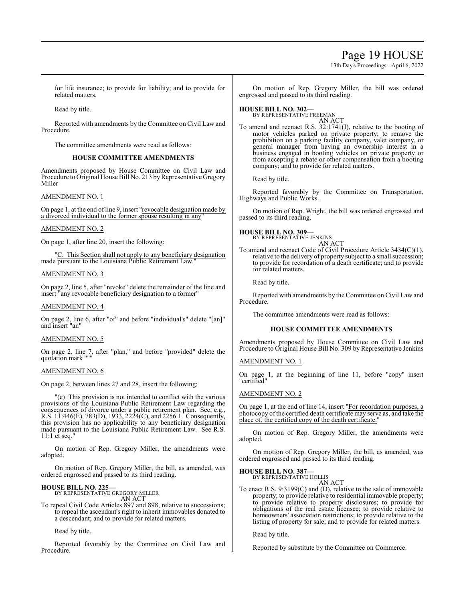# Page 19 HOUSE

13th Day's Proceedings - April 6, 2022

for life insurance; to provide for liability; and to provide for related matters.

Read by title.

Reported with amendments by the Committee on Civil Law and Procedure.

The committee amendments were read as follows:

#### **HOUSE COMMITTEE AMENDMENTS**

Amendments proposed by House Committee on Civil Law and Procedure to Original House Bill No. 213 by Representative Gregory Miller

### AMENDMENT NO. 1

On page 1, at the end ofline 9, insert "revocable designation made by a divorced individual to the former spouse resulting in any

#### AMENDMENT NO. 2

On page 1, after line 20, insert the following:

"C. This Section shall not apply to any beneficiary designation made pursuant to the Louisiana Public Retirement Law.

### AMENDMENT NO. 3

On page 2, line 5, after "revoke" delete the remainder of the line and insert "any revocable beneficiary designation to a former"

#### AMENDMENT NO. 4

On page 2, line 6, after "of" and before "individual's" delete "[an]" and insert "an"

### AMENDMENT NO. 5

On page 2, line 7, after "plan," and before "provided" delete the quotation mark """

#### AMENDMENT NO. 6

On page 2, between lines 27 and 28, insert the following:

"(e) This provision is not intended to conflict with the various provisions of the Louisiana Public Retirement Law regarding the consequences of divorce under a public retirement plan. See, e.g., R.S. 11:446(E), 783(D), 1933, 2224(C), and 2256.1. Consequently, this provision has no applicability to any beneficiary designation made pursuant to the Louisiana Public Retirement Law. See R.S. 11:1 et seq."

On motion of Rep. Gregory Miller, the amendments were adopted.

On motion of Rep. Gregory Miller, the bill, as amended, was ordered engrossed and passed to its third reading.

# **HOUSE BILL NO. 225—**

BY REPRESENTATIVE GREGORY MILLER AN ACT

To repeal Civil Code Articles 897 and 898, relative to successions; to repeal the ascendant's right to inherit immovables donated to a descendant; and to provide for related matters.

Read by title.

Reported favorably by the Committee on Civil Law and Procedure.

On motion of Rep. Gregory Miller, the bill was ordered engrossed and passed to its third reading.

#### **HOUSE BILL NO. 302—** BY REPRESENTATIVE FREEMAN

AN ACT

To amend and reenact R.S. 32:1741(I), relative to the booting of motor vehicles parked on private property; to remove the prohibition on a parking facility company, valet company, or general manager from having an ownership interest in a business engaged in booting vehicles on private property or from accepting a rebate or other compensation from a booting company; and to provide for related matters.

Read by title.

Reported favorably by the Committee on Transportation, Highways and Public Works.

On motion of Rep. Wright, the bill was ordered engrossed and passed to its third reading.

# **HOUSE BILL NO. 309—**

BY REPRESENTATIVE JENKINS AN ACT

To amend and reenact Code of Civil Procedure Article 3434(C)(1), relative to the delivery of property subject to a small succession; to provide for recordation of a death certificate; and to provide for related matters.

Read by title.

Reported with amendments by the Committee on Civil Law and Procedure.

The committee amendments were read as follows:

### **HOUSE COMMITTEE AMENDMENTS**

Amendments proposed by House Committee on Civil Law and Procedure to Original House Bill No. 309 by Representative Jenkins

### AMENDMENT NO. 1

On page 1, at the beginning of line 11, before "copy" insert "certified"

### AMENDMENT NO. 2

On page 1, at the end of line 14, insert "For recordation purposes, a photocopy of the certified death certificate may serve as, and take the place of, the certified copy of the death certificate.

On motion of Rep. Gregory Miller, the amendments were adopted.

On motion of Rep. Gregory Miller, the bill, as amended, was ordered engrossed and passed to its third reading.

# **HOUSE BILL NO. 387—**

BY REPRESENTATIVE HOLLIS AN ACT

To enact R.S. 9:3199(C) and (D), relative to the sale of immovable property; to provide relative to residential immovable property; to provide relative to property disclosures; to provide for obligations of the real estate licensee; to provide relative to homeowners' association restrictions; to provide relative to the listing of property for sale; and to provide for related matters.

Read by title.

Reported by substitute by the Committee on Commerce.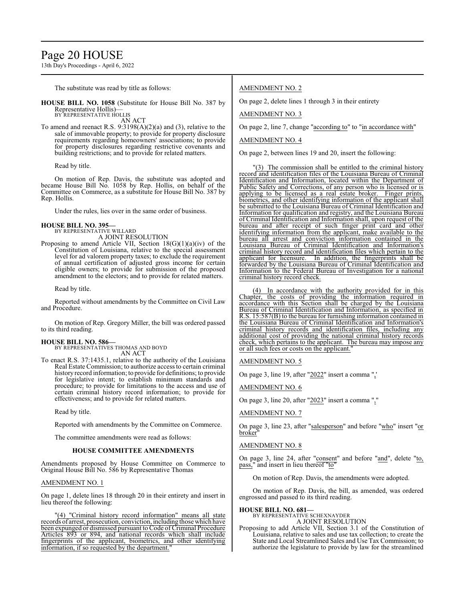# Page 20 HOUSE

13th Day's Proceedings - April 6, 2022

The substitute was read by title as follows:

**HOUSE BILL NO. 1058** (Substitute for House Bill No. 387 by Representative Hollis)— BY REPRESENTATIVE HOLLIS

AN ACT

To amend and reenact R.S.  $9:3198(A)(2)(a)$  and (3), relative to the sale of immovable property; to provide for property disclosure requirements regarding homeowners' associations; to provide for property disclosures regarding restrictive covenants and building restrictions; and to provide for related matters.

Read by title.

On motion of Rep. Davis, the substitute was adopted and became House Bill No. 1058 by Rep. Hollis, on behalf of the Committee on Commerce, as a substitute for House Bill No. 387 by Rep. Hollis.

Under the rules, lies over in the same order of business.

#### **HOUSE BILL NO. 395—**

BY REPRESENTATIVE WILLARD

A JOINT RESOLUTION Proposing to amend Article VII, Section  $18(G)(1)(a)(iv)$  of the Constitution of Louisiana, relative to the special assessment level for ad valorem property taxes; to exclude the requirement of annual certification of adjusted gross income for certain eligible owners; to provide for submission of the proposed amendment to the electors; and to provide for related matters.

Read by title.

Reported without amendments by the Committee on Civil Law and Procedure.

On motion of Rep. Gregory Miller, the bill was ordered passed to its third reading.

**HOUSE BILL NO. 586—** BY REPRESENTATIVES THOMAS AND BOYD AN ACT

To enact R.S. 37:1435.1, relative to the authority of the Louisiana Real Estate Commission; to authorize access to certain criminal history record information; to provide for definitions; to provide for legislative intent; to establish minimum standards and procedure; to provide for limitations to the access and use of certain criminal history record information; to provide for effectiveness; and to provide for related matters.

Read by title.

Reported with amendments by the Committee on Commerce.

The committee amendments were read as follows:

#### **HOUSE COMMITTEE AMENDMENTS**

Amendments proposed by House Committee on Commerce to Original House Bill No. 586 by Representative Thomas

#### AMENDMENT NO. 1

On page 1, delete lines 18 through 20 in their entirety and insert in lieu thereof the following:

"(4) "Criminal history record information" means all state records of arrest, prosecution, conviction, including those which have been expunged or dismissed pursuant to Code of Criminal Procedure Articles 893 or 894, and national records which shall include fingerprints of the applicant, biometrics, and other identifying information, if so requested by the department.

### AMENDMENT NO. 2

On page 2, delete lines 1 through 3 in their entirety

AMENDMENT NO. 3

On page 2, line 7, change "according to" to "in accordance with"

#### AMENDMENT NO. 4

On page 2, between lines 19 and 20, insert the following:

(3) The commission shall be entitled to the criminal history record and identification files of the Louisiana Bureau of Criminal Identification and Information, located within the Department of Public Safety and Corrections, of any person who is licensed or is applying to be licensed as a real estate broker. Finger prints, biometrics, and other identifying information of the applicant shall be submitted to the Louisiana Bureau of Criminal Identification and Information for qualification and registry, and the Louisiana Bureau of Criminal Identification and Information shall, upon request of the bureau and after receipt of such finger print card and other identifying information from the applicant, make available to the bureau all arrest and conviction information contained in the Louisiana Bureau of Criminal Identification and Information's criminal history record and identification files which pertain to the applicant for licensure. In addition, the fingerprints shall be forwarded by the Louisiana Bureau of Criminal Identification and Information to the Federal Bureau of Investigation for a national criminal history record check.

(4) In accordance with the authority provided for in this Chapter, the costs of providing the information required in accordance with this Section shall be charged by the Louisiana Bureau of Criminal Identification and Information, as specified in R.S. 15:587(B) to the bureau for furnishing information contained in the Louisiana Bureau of Criminal Identification and Information's criminal history records and identification files, including any additional cost of providing the national criminal history records check, which pertains to the applicant. The bureau may impose any or all such fees or costs on the applicant.

#### AMENDMENT NO. 5

On page 3, line 19, after "2022" insert a comma ",'

AMENDMENT NO. 6

On page 3, line 20, after "2023" insert a comma ","

AMENDMENT NO. 7

On page 3, line 23, after "salesperson" and before "who" insert "or broker<sup>"</sup>

#### AMENDMENT NO. 8

On page 3, line 24, after "consent" and before "and", delete "to, pass," and insert in lieu thereof "to"

On motion of Rep. Davis, the amendments were adopted.

On motion of Rep. Davis, the bill, as amended, was ordered engrossed and passed to its third reading.

# **HOUSE BILL NO. 681—** BY REPRESENTATIVE SCHEXNAYDER

A JOINT RESOLUTION

Proposing to add Article VII, Section 3.1 of the Constitution of Louisiana, relative to sales and use tax collection; to create the State and Local Streamlined Sales and Use Tax Commission; to authorize the legislature to provide by law for the streamlined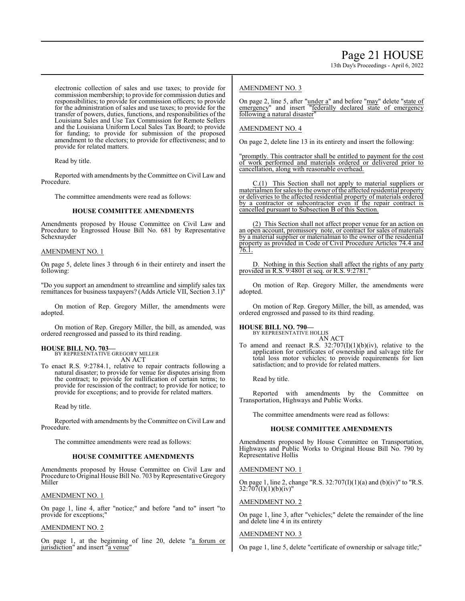electronic collection of sales and use taxes; to provide for commission membership; to provide for commission duties and responsibilities; to provide for commission officers; to provide for the administration of sales and use taxes; to provide for the transfer of powers, duties, functions, and responsibilities of the Louisiana Sales and Use Tax Commission for Remote Sellers and the Louisiana Uniform Local Sales Tax Board; to provide for funding; to provide for submission of the proposed amendment to the electors; to provide for effectiveness; and to provide for related matters.

Read by title.

Reported with amendments by the Committee on Civil Law and Procedure.

The committee amendments were read as follows:

### **HOUSE COMMITTEE AMENDMENTS**

Amendments proposed by House Committee on Civil Law and Procedure to Engrossed House Bill No. 681 by Representative Schexnayder

#### AMENDMENT NO. 1

On page 5, delete lines 3 through 6 in their entirety and insert the following:

"Do you support an amendment to streamline and simplify sales tax remittances for business taxpayers? (Adds Article VII, Section 3.1)"

On motion of Rep. Gregory Miller, the amendments were adopted.

On motion of Rep. Gregory Miller, the bill, as amended, was ordered reengrossed and passed to its third reading.

# **HOUSE BILL NO. 703—**

BY REPRESENTATIVE GREGORY MILLER AN ACT

To enact R.S. 9:2784.1, relative to repair contracts following a natural disaster; to provide for venue for disputes arising from the contract; to provide for nullification of certain terms; to provide for rescission of the contract; to provide for notice; to provide for exceptions; and to provide for related matters.

Read by title.

Reported with amendments by the Committee on Civil Law and Procedure.

The committee amendments were read as follows:

### **HOUSE COMMITTEE AMENDMENTS**

Amendments proposed by House Committee on Civil Law and Procedure to Original House Bill No. 703 by Representative Gregory Miller

### AMENDMENT NO. 1

On page 1, line 4, after "notice;" and before "and to" insert "to provide for exceptions;"

### AMENDMENT NO. 2

On page 1, at the beginning of line 20, delete "a forum or jurisdiction" and insert "a venue"

### AMENDMENT NO. 3

On page 2, line 5, after "under a" and before "may" delete "state of emergency" and insert "federally declared state of emergency following a natural disaster"

### AMENDMENT NO. 4

On page 2, delete line 13 in its entirety and insert the following:

"promptly. This contractor shall be entitled to payment for the cost of work performed and materials ordered or delivered prior to cancellation, along with reasonable overhead.

C.(1) This Section shall not apply to material suppliers or materialmen for sales to the owner ofthe affected residential property or deliveries to the affected residential property of materials ordered by a contractor or subcontractor even if the repair contract is cancelled pursuant to Subsection B of this Section.

(2) This Section shall not affect proper venue for an action on an open account, promissory note, or contract for sales of materials by a material supplier or materialman to the owner of the residential property as provided in Code of Civil Procedure Articles 74.4 and 76.1.

Nothing in this Section shall affect the rights of any party provided in R.S. 9:4801 et seq. or R.S. 9:2781.

On motion of Rep. Gregory Miller, the amendments were adopted.

On motion of Rep. Gregory Miller, the bill, as amended, was ordered engrossed and passed to its third reading.

**HOUSE BILL NO. 790—**

BY REPRESENTATIVE HOLLIS AN ACT

To amend and reenact R.S.  $32:707(I)(1)(b)(iv)$ , relative to the application for certificates of ownership and salvage title for total loss motor vehicles; to provide requirements for lien satisfaction; and to provide for related matters.

Read by title.

Reported with amendments by the Committee on Transportation, Highways and Public Works.

The committee amendments were read as follows:

### **HOUSE COMMITTEE AMENDMENTS**

Amendments proposed by House Committee on Transportation, Highways and Public Works to Original House Bill No. 790 by Representative Hollis

### AMENDMENT NO. 1

On page 1, line 2, change "R.S. 32:707(I)(1)(a) and (b)(iv)" to "R.S.  $32:\overline{7}0\overline{7}(I)(1)(b)(iv)$ "

### AMENDMENT NO. 2

On page 1, line 3, after "vehicles;" delete the remainder of the line and delete line 4 in its entirety

### AMENDMENT NO. 3

On page 1, line 5, delete "certificate of ownership or salvage title;"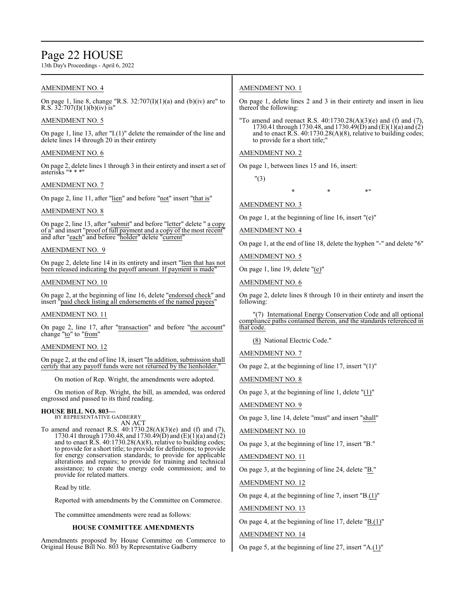# Page 22 HOUSE

13th Day's Proceedings - April 6, 2022

## AMENDMENT NO. 4

On page 1, line 8, change "R.S.  $32:707(I)(1)(a)$  and (b)(iv) are" to R.S.  $32:707(I)(1)(b)(iv)$  is"

### AMENDMENT NO. 5

On page 1, line 13, after "I.(1)" delete the remainder of the line and delete lines 14 through 20 in their entirety

### AMENDMENT NO. 6

On page 2, delete lines 1 through 3 in their entirety and insert a set of asterisks "\* \* \*

### AMENDMENT NO. 7

On page 2, line 11, after "lien" and before "not" insert "that is"

# AMENDMENT NO. 8

On page 2, line 13, after "submit" and before "letter" delete " a copy of a" and insert "proof of full payment and a copy of the most recent" and after "each" and before "holder" delete "current"

### AMENDMENT NO. 9

On page 2, delete line 14 in its entirety and insert "lien that has not been released indicating the payoff amount. If payment is made"

### AMENDMENT NO. 10

On page 2, at the beginning of line 16, delete "endorsed check" and insert "paid check listing all endorsements of the named payees'

### AMENDMENT NO. 11

On page 2, line 17, after "transaction" and before "the account" change "to" to "from"

# AMENDMENT NO. 12

On page 2, at the end of line 18, insert "In addition, submission shall certify that any payoff funds were not returned by the lienholder."

On motion of Rep. Wright, the amendments were adopted.

On motion of Rep. Wright, the bill, as amended, was ordered engrossed and passed to its third reading.

# **HOUSE BILL NO. 803—** BY REPRESENTATIVE GADBERRY

AN ACT To amend and reenact R.S. 40:1730.28(A)(3)(e) and (f) and (7), 1730.41 through 1730.48, and 1730.49(D) and (E)(1)(a) and (2) and to enact R.S.  $40:1730.28(A)(8)$ , relative to building codes; to provide for a short title; to provide for definitions; to provide for energy conservation standards; to provide for applicable alterations and repairs; to provide for training and technical assistance; to create the energy code commission; and to provide for related matters.

Read by title.

Reported with amendments by the Committee on Commerce.

The committee amendments were read as follows:

# **HOUSE COMMITTEE AMENDMENTS**

Amendments proposed by House Committee on Commerce to Original House Bill No. 803 by Representative Gadberry

# AMENDMENT NO. 1

On page 1, delete lines 2 and 3 in their entirety and insert in lieu thereof the following:

"To amend and reenact R.S.  $40:1730.28(A)(3)(e)$  and (f) and (7) 1730.41 through 1730.48, and 1730.49(D) and (E)(1)(a) and (2) and to enact R.S. 40:1730.28(A)(8), relative to building codes; to provide for a short title;"

## AMENDMENT NO. 2

On page 1, between lines 15 and 16, insert:

"(3)

 $*$  \*  $*$  \*  $*$  \*

# AMENDMENT NO. 3

On page 1, at the beginning of line 16, insert "(e)"

AMENDMENT NO. 4

On page 1, at the end of line 18, delete the hyphen "-" and delete "6"

AMENDMENT NO. 5

On page 1, line 19, delete "(e)"

### AMENDMENT NO. 6

On page 2, delete lines 8 through 10 in their entirety and insert the following:

"(7) International Energy Conservation Code and all optional compliance paths contained therein, and the standards referenced in that code.

(8) National Electric Code."

AMENDMENT NO. 7

On page 2, at the beginning of line  $17$ , insert " $(1)$ "

AMENDMENT NO. 8

On page 3, at the beginning of line 1, delete "(1)"

AMENDMENT NO. 9

On page 3, line 14, delete "must" and insert "shall"

AMENDMENT NO. 10

On page 3, at the beginning of line 17, insert "B."

AMENDMENT NO. 11

On page 3, at the beginning of line 24, delete "B."

AMENDMENT NO. 12

On page 4, at the beginning of line 7, insert "B. $(1)$ "

AMENDMENT NO. 13

On page 4, at the beginning of line 17, delete "B.(1)"

AMENDMENT NO. 14

On page 5, at the beginning of line 27, insert " $A(1)$ "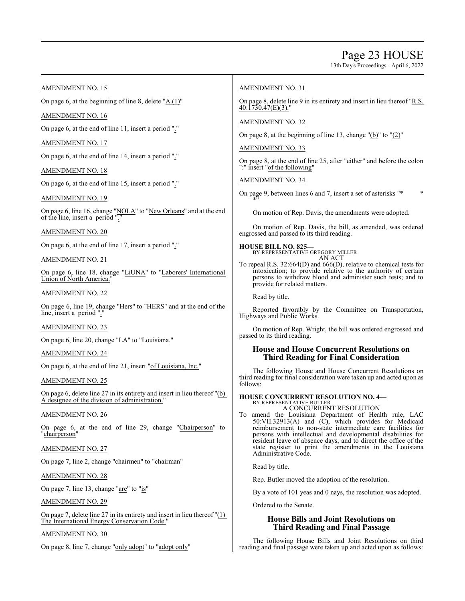13th Day's Proceedings - April 6, 2022

### AMENDMENT NO. 15

On page 6, at the beginning of line 8, delete "A.(1)"

### AMENDMENT NO. 16

On page 6, at the end of line 11, insert a period "."

AMENDMENT NO. 17

On page 6, at the end of line 14, insert a period "."

### AMENDMENT NO. 18

On page 6, at the end of line 15, insert a period "."

### AMENDMENT NO. 19

On page 6, line 16, change "NOLA" to "New Orleans" and at the end of the line, insert a period "."

### AMENDMENT NO. 20

On page 6, at the end of line 17, insert a period "."

### AMENDMENT NO. 21

On page 6, line 18, change "LiUNA" to "Laborers' International Union of North America."

### AMENDMENT NO. 22

On page 6, line 19, change "Hers" to "HERS" and at the end of the line, insert a period "."

### AMENDMENT NO. 23

On page 6, line 20, change "LA" to "Louisiana."

### AMENDMENT NO. 24

On page 6, at the end of line 21, insert "of Louisiana, Inc."

### AMENDMENT NO. 25

On page 6, delete line 27 in its entirety and insert in lieu thereof "(b) A designee of the division of administration."

### AMENDMENT NO. 26

On page 6, at the end of line 29, change "Chairperson" to "chairperson"

### AMENDMENT NO. 27

On page 7, line 2, change "chairmen" to "chairman"

### AMENDMENT NO. 28

On page 7, line 13, change "are" to "is"

### AMENDMENT NO. 29

On page 7, delete line 27 in its entirety and insert in lieu thereof "(1) The International Energy Conservation Code."

### AMENDMENT NO. 30

On page 8, line 7, change "only adopt" to "adopt only"

### AMENDMENT NO. 31

On page 8, delete line 9 in its entirety and insert in lieu thereof "R.S.  $40:1730.47(E)(3)$ .

AMENDMENT NO. 32

On page 8, at the beginning of line 13, change "(b)" to "(2)"

### AMENDMENT NO. 33

On page 8, at the end of line 25, after "either" and before the colon ":" insert "of the following"

### AMENDMENT NO. 34

On page 9, between lines 6 and 7, insert a set of asterisks "\* \*  $^{\sim}$   $*$ <sup> $\overline{0}$ </sup>

On motion of Rep. Davis, the amendments were adopted.

On motion of Rep. Davis, the bill, as amended, was ordered engrossed and passed to its third reading.

#### **HOUSE BILL NO. 825—** BY REPRESENTATIVE GREGORY MILLER

AN ACT

To repeal R.S. 32:664(D) and 666(D), relative to chemical tests for intoxication; to provide relative to the authority of certain persons to withdraw blood and administer such tests; and to provide for related matters.

Read by title.

Reported favorably by the Committee on Transportation, Highways and Public Works.

On motion of Rep. Wright, the bill was ordered engrossed and passed to its third reading.

### **House and House Concurrent Resolutions on Third Reading for Final Consideration**

The following House and House Concurrent Resolutions on third reading for final consideration were taken up and acted upon as follows:

#### **HOUSE CONCURRENT RESOLUTION NO. 4—** BY REPRESENTATIVE BUTLER

A CONCURRENT RESOLUTION

To amend the Louisiana Department of Health rule, LAC 50:VII.32913(A) and (C), which provides for Medicaid reimbursement to non-state intermediate care facilities for persons with intellectual and developmental disabilities for resident leave of absence days, and to direct the office of the state register to print the amendments in the Louisiana Administrative Code.

Read by title.

Rep. Butler moved the adoption of the resolution.

By a vote of 101 yeas and 0 nays, the resolution was adopted.

Ordered to the Senate.

# **House Bills and Joint Resolutions on Third Reading and Final Passage**

The following House Bills and Joint Resolutions on third reading and final passage were taken up and acted upon as follows: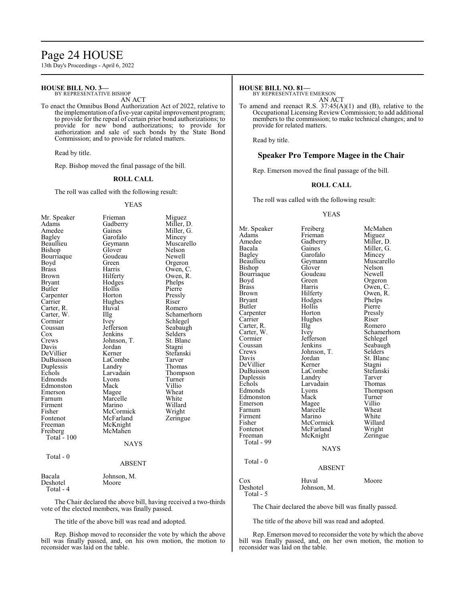# Page 24 HOUSE

13th Day's Proceedings - April 6, 2022

#### **HOUSE BILL NO. 3—** BY REPRESENTATIVE BISHOP

AN ACT

To enact the Omnibus Bond Authorization Act of 2022, relative to the implementation of a five-year capital improvement program; to provide for the repeal of certain prior bond authorizations; to provide for new bond authorizations; to provide for authorization and sale of such bonds by the State Bond Commission; and to provide for related matters.

Read by title.

Rep. Bishop moved the final passage of the bill.

#### **ROLL CALL**

The roll was called with the following result:

#### YEAS

| Mr. Speaker   | Frieman       | Miguez      |
|---------------|---------------|-------------|
| Adams         | Gadberry      | Miller, D.  |
| Amedee        | Gaines        | Miller, G.  |
| <b>Bagley</b> | Garofalo      | Mincey      |
| Beaullieu     | Geymann       | Muscarello  |
| Bishop        | Glover        | Nelson      |
| Bourriaque    | Goudeau       | Newell      |
| Boyd          | Green         | Orgeron     |
| <b>Brass</b>  | Harris        | Owen, C.    |
| Brown         | Hilferty      | Owen, R.    |
| <b>Bryant</b> | Hodges        | Phelps      |
| Butler        | Hollis        | Pierre      |
| Carpenter     | Horton        | Pressly     |
| Carrier       | Hughes        | Riser       |
| Carter, R.    | Huval         | Romero      |
| Carter, W.    | Illg          | Schamerhorn |
| Cormier       | Ivey          | Schlegel    |
| Coussan       | Jefferson     | Seabaugh    |
| Cox           | Jenkins       | Selders     |
| Crews         | Johnson, T.   | St. Blanc   |
| Davis         | Jordan        | Stagni      |
| DeVillier     | Kerner        | Stefanski   |
| DuBuisson     | LaCombe       | Tarver      |
| Duplessis     | Landry        | Thomas      |
| Echols        | Larvadain     | Thompson    |
| Edmonds       | Lyons         | Turner      |
| Edmonston     | Mack          | Villio      |
| Emerson       | Magee         | Wheat       |
| Farnum        | Marcelle      | White       |
| Firment       | Marino        | Willard     |
| Fisher        | McCormick     | Wright      |
| Fontenot      | McFarland     | Zeringue    |
| Freeman       | McKnight      |             |
| Freiberg      | McMahen       |             |
| Total $-100$  |               |             |
|               | <b>NAYS</b>   |             |
| Total - 0     |               |             |
|               | <b>ABSENT</b> |             |
| Bacala        | Johnson, M.   |             |
| $D = -1 - 1$  |               |             |

Deshotel Moore Total - 4

The Chair declared the above bill, having received a two-thirds vote of the elected members, was finally passed.

The title of the above bill was read and adopted.

Rep. Bishop moved to reconsider the vote by which the above bill was finally passed, and, on his own motion, the motion to reconsider was laid on the table.

#### **HOUSE BILL NO. 81—**

BY REPRESENTATIVE EMERSON AN ACT

To amend and reenact R.S. 37:45(A)(1) and (B), relative to the Occupational Licensing Review Commission; to add additional members to the commission; to make technical changes; and to provide for related matters.

Read by title.

#### **Speaker Pro Tempore Magee in the Chair**

Rep. Emerson moved the final passage of the bill.

#### **ROLL CALL**

The roll was called with the following result:

#### YEAS

Mr. Speaker Freiberg McMahen<br>Adams Frieman Miguez Adams Frieman<br>Amedee Gadberry Amedee Gadberry Miller, D.<br>Bacala Gaines Miller, G. Bacala Gaines Miller, G.<br>Bagley Garofalo Mincey Bagley Garofalo<br>Beaullieu Geymann Beaullieu Geymann Muscarello<br>Bishop Glover Nelson Glover Nelson<br>Goudeau Newell Bourriaque Goude<br>Boyd Green Boyd Green Orgeron<br>Brass Harris Owen Brass Harris Owen, C.<br>Brown Hilferty Owen, R. Brown Hilferty Owen, R.<br>Bryant Hodges Phelps Bryant Hodges Phelps<br>Butler Hollis Pierre Hollis Pierre<br>
Horton Pressly Carpenter Horton Pressl<br>Carrier Hughes Riser Hughes Riser<br>Illg Romero Carter, R. Illg Carter, W. Ivey Carter, W. Ivey Schamerhorn<br>
Cormier Jefferson Schlegel Cormier Jefferson<br>Coussan Jenkins Coussan Jenkins Seabaugh<br>Crews Johnson, T. Selders Crews Johnson, T.<br>Davis Jordan Jordan St. Blanc<br>Kerner Stagni DeVillier Kerner Stagni<br>DuBuisson LaCombe Stefanski DuBuisson LaCom<br>Duplessis Landry Duplessis Landry Tarver Echols Larvadain<br>Edmonds Lyons Eyons Thompson<br>
Mack Turner Edmonston Mack Turner<br>Emerson Magee Villio Emerson Magee Villio<br>
Farnum Marcelle Wheat Marcelle Wheat<br>
Marino White Firment Marino White<br>Fisher McCormick Willard Fisher McCormick Willard McFarland Freeman McKnight Zeringue Total - 99 NAYS Total - 0 ABSENT Cox Huval Moore<br>Deshotel Johnson M. Moore Johnson, M. Total - 5

The Chair declared the above bill was finally passed.

The title of the above bill was read and adopted.

Rep. Emerson moved to reconsider the vote by which the above bill was finally passed, and, on her own motion, the motion to reconsider was laid on the table.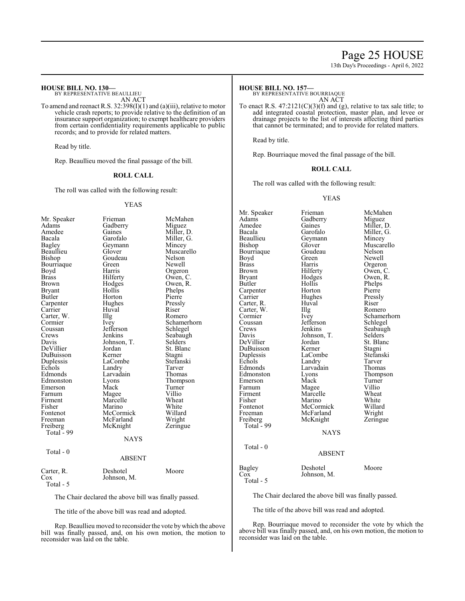# Page 25 HOUSE

13th Day's Proceedings - April 6, 2022

# **HOUSE BILL NO. 130—**

BY REPRESENTATIVE BEAULLIEU AN ACT

To amend and reenact R.S. 32:398(I)(1) and (a)(iii), relative to motor vehicle crash reports; to provide relative to the definition of an insurance support organization; to exempt healthcare providers from certain confidentiality requirements applicable to public records; and to provide for related matters.

Read by title.

Rep. Beaullieu moved the final passage of the bill.

### **ROLL CALL**

The roll was called with the following result:

#### YEAS

| Mr. Speaker<br>Adams<br>Amedee<br>Bacala<br><b>Bagley</b><br>Beaullieu<br>Bishop<br>Bourriaque<br>Boyd<br><b>Brass</b><br>Brown<br><b>Bryant</b><br>Butler<br>Carpenter<br>Carrier<br>Carter, W.<br>Cormier<br>Coussan<br>Crews<br>Davis<br>DeVillier<br>DuBuisson<br>Duplessis<br>Echols | Frieman<br>Gadberry<br>Gaines<br>Garofalo<br>Geymann<br>Glover<br>Goudeau<br>Green<br>Harris<br>Hilferty<br>Hodges<br>Hollis<br>Horton<br>Hughes<br>Huval<br>Illg<br>Ivey<br>Jefferson<br>Jenkins<br>Johnson, T.<br>Jordan<br>Kerner<br>LaCombe<br>Landry | McMahen<br>Miguez<br>Miller, D.<br>Miller, G.<br>Mincey<br>Muscarello<br>Nelson<br>Newell<br>Orgeron<br>Owen, C.<br>Owen, R.<br>Phelps<br>Pierre<br>Pressly<br>Riser<br>Romero<br>Schamerhorn<br>Schlegel<br>Seabaugh<br>Selders<br>St. Blanc<br>Stagni<br>Stefanski<br>Tarver |
|-------------------------------------------------------------------------------------------------------------------------------------------------------------------------------------------------------------------------------------------------------------------------------------------|-----------------------------------------------------------------------------------------------------------------------------------------------------------------------------------------------------------------------------------------------------------|--------------------------------------------------------------------------------------------------------------------------------------------------------------------------------------------------------------------------------------------------------------------------------|
| Edmonds<br>Edmonston                                                                                                                                                                                                                                                                      | Larvadain<br>Lyons                                                                                                                                                                                                                                        | Thomas<br>Thompson                                                                                                                                                                                                                                                             |
| Emerson                                                                                                                                                                                                                                                                                   | Mack                                                                                                                                                                                                                                                      | Turner                                                                                                                                                                                                                                                                         |
| Farnum<br>Firment                                                                                                                                                                                                                                                                         | Magee<br>Marcelle                                                                                                                                                                                                                                         | Villio<br>Wheat                                                                                                                                                                                                                                                                |
| Fisher                                                                                                                                                                                                                                                                                    | Marino                                                                                                                                                                                                                                                    | White                                                                                                                                                                                                                                                                          |
| Fontenot                                                                                                                                                                                                                                                                                  | McCormick                                                                                                                                                                                                                                                 | Willard                                                                                                                                                                                                                                                                        |
| Freeman                                                                                                                                                                                                                                                                                   | McFarland                                                                                                                                                                                                                                                 | Wright                                                                                                                                                                                                                                                                         |
| Freiberg                                                                                                                                                                                                                                                                                  | McKnight                                                                                                                                                                                                                                                  | Zeringue                                                                                                                                                                                                                                                                       |
| Total - 99                                                                                                                                                                                                                                                                                | NAYS                                                                                                                                                                                                                                                      |                                                                                                                                                                                                                                                                                |
| Total - 0                                                                                                                                                                                                                                                                                 |                                                                                                                                                                                                                                                           |                                                                                                                                                                                                                                                                                |
|                                                                                                                                                                                                                                                                                           | <b>ABSENT</b>                                                                                                                                                                                                                                             |                                                                                                                                                                                                                                                                                |
| Carter, R.<br>Cox<br>$T_{\alpha \uparrow \alpha}$ $\uparrow$                                                                                                                                                                                                                              | Deshotel<br>Johnson, M.                                                                                                                                                                                                                                   | Moore                                                                                                                                                                                                                                                                          |

Total - 5

The Chair declared the above bill was finally passed.

The title of the above bill was read and adopted.

Rep. Beaullieu moved to reconsider the vote bywhich the above bill was finally passed, and, on his own motion, the motion to reconsider was laid on the table.

#### **HOUSE BILL NO. 157—**

BY REPRESENTATIVE BOURRIAQUE AN ACT

To enact R.S.  $47:2121(C)(3)(f)$  and (g), relative to tax sale title; to add integrated coastal protection, master plan, and levee or drainage projects to the list of interests affecting third parties that cannot be terminated; and to provide for related matters.

Read by title.

Rep. Bourriaque moved the final passage of the bill.

#### **ROLL CALL**

The roll was called with the following result:

YEAS

Mr. Speaker Frieman McMahen<br>Adams Gadberry Miguez Adams Gadberry<br>Amedee Gaines Amedee Gaines Miller, D.<br>Bacala Garofalo Miller, G. Bacala Garofalo Miller, G.<br>Beaullieu Geymann Mincey Beaullieu Geymann<br>Bishop Glover Glover Muscarello<br>Goudeau Nelson Bourriaque Goude<br>Boyd Green Boyd Green Newell<br>Brass Harris Orgerol Brass Harris Orgeron<br>Brown Hilferty Owen, C Brown Hilferty Owen, C.<br>Bryant Hodges Owen, R. Bryant Hodges Owen, R.<br>Butler Hollis Phelps Hollis Phelps<br>Horton Pierre Carpenter Horton Pierre<br>Carrier Hughes Pressly Hughes Pressl<br>Huval Riser Carter, R. Huval Riser Carter, W. Illg<br>Cormier Ivey Cormier Ivey Schamerhorn<br>
Coussan Jefferson Schlegel Coussan Jefferson<br>Crews Jenkins Crews Jenkins Seabaugh<br>
Davis Johnson, T. Selders Johnson, T.<br>Jordan St. Blanc DeVillier Jordan St. Blanc<br>DuBuisson Kerner Stagni DuBuisson Kerner Stagni<br>
Duplessis LaCombe Stefanski Duplessis LaCombe Stefan:<br>Echols Landry Tarver Echols Landry Tarver<br>
Edmonds Larvadain Thomas Larvadain Thomas<br>
Lyons Thompson Edmonston Lyons Thomp<br>Emerson Mack Turner Emerson Mack Turner<br>
Farnum Magee Villio Farnum Magee Villio<br>Firment Marcelle Wheat Firment Marcelle Wheat<br>
Fisher Marino White Fisher Marino White<br>Fontenot McCormick Willard Fontenot McCormick Willard<br>Freeman McFarland Wright Freeman McFarland Wright<br>
Freiberg McKnight Zeringue McKnight Total  $\frac{6}{5}$  99 **NAYS**  Total - 0 ABSENT

| Deshotel<br>Moore |
|-------------------|
| Johnson, M.       |
|                   |
|                   |

The Chair declared the above bill was finally passed.

The title of the above bill was read and adopted.

Rep. Bourriaque moved to reconsider the vote by which the above bill was finally passed, and, on his own motion, the motion to reconsider was laid on the table.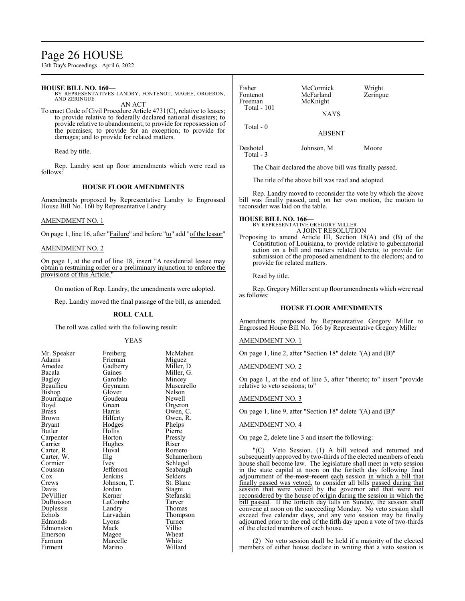# Page 26 HOUSE

13th Day's Proceedings - April 6, 2022

#### **HOUSE BILL NO. 160—**

BY REPRESENTATIVES LANDRY, FONTENOT, MAGEE, ORGERON, AND ZERINGUE AN ACT

To enact Code of Civil Procedure Article 4731(C), relative to leases; to provide relative to federally declared national disasters; to provide relative to abandonment; to provide for repossession of the premises; to provide for an exception; to provide for damages; and to provide for related matters.

Read by title.

Rep. Landry sent up floor amendments which were read as follows:

### **HOUSE FLOOR AMENDMENTS**

Amendments proposed by Representative Landry to Engrossed House Bill No. 160 by Representative Landry

#### AMENDMENT NO. 1

On page 1, line 16, after "Failure" and before "to" add "of the lessor"

#### AMENDMENT NO. 2

On page 1, at the end of line 18, insert "A residential lessee may obtain a restraining order or a preliminary injunction to enforce the provisions of this Article."

On motion of Rep. Landry, the amendments were adopted.

Rep. Landry moved the final passage of the bill, as amended.

#### **ROLL CALL**

The roll was called with the following result:

#### YEAS

| Mr. Speaker<br>Adams | Freiberg<br>Frieman | McMahen<br>Miguez |
|----------------------|---------------------|-------------------|
| Amedee               | Gadberry            | Miller, D.        |
| Bacala               | Gaines              | Miller, G.        |
| Bagley               | Garofalo            | Mincey            |
| Beaullieu            | Geymann             | Muscarello        |
| Bishop               | Glover              | Nelson            |
| Bourriaque           | Goudeau             | Newell            |
| Boyd                 | Green               | Orgeron           |
| <b>Brass</b>         | Harris              | Owen, C.          |
| Brown                | Hilferty            | Owen, R.          |
| Bryant               | Hodges              | Phelps            |
| Butler               | Hollis              | Pierre            |
| Carpenter            | Horton              | Pressly           |
| Carrier              | Hughes              | Riser             |
| Carter, R.           | Huval               | Romero            |
| Carter, W.           | Illg                | Schamerho         |
| Cormier              | Ivey                | Schlegel          |
| Coussan              | Jefferson           | Seabaugh          |
| Cox                  | Jenkins             | Selders           |
| Crews                | Johnson, T.         | St. Blanc         |
| Davis                | Jordan              | Stagni            |
| DeVillier            | Kerner              | Stefanski         |
| DuBuisson            | LaCombe             | Tarver            |
| Duplessis            | Landry              | Thomas            |
| Echols               | Larvadain           | Thompson          |
| Edmonds              | Lyons               | Turner            |
| Edmonston            | Mack                | Villio            |
| Emerson              | Magee               | Wheat             |
| Farnum               | Marcelle            | White             |
| Firment              | Marino              | Willard           |
|                      |                     |                   |

Muscarello Owen, C. Pressly<br>Riser Schamerhorn Selders<sup>'</sup> Stefanski Thomas

| Fisher<br>Fontenot<br>Freeman<br><b>Total - 101</b> | McCormick<br>McFarland<br>McKnight<br><b>NAYS</b> | Wright<br>Zeringue |
|-----------------------------------------------------|---------------------------------------------------|--------------------|
| Total $-0$                                          | <b>ABSENT</b>                                     |                    |
| Deshotel                                            | Johnson, M.                                       | Moore              |

Total - 3

The Chair declared the above bill was finally passed.

The title of the above bill was read and adopted.

Rep. Landry moved to reconsider the vote by which the above bill was finally passed, and, on her own motion, the motion to reconsider was laid on the table.

# **HOUSE BILL NO. 166—** BY REPRESENTATIVE GREGORY MILLER

A JOINT RESOLUTION

Proposing to amend Article III, Section 18(A) and (B) of the Constitution of Louisiana, to provide relative to gubernatorial action on a bill and matters related thereto; to provide for submission of the proposed amendment to the electors; and to provide for related matters.

Read by title.

Rep. Gregory Miller sent up floor amendments which were read as follows:

#### **HOUSE FLOOR AMENDMENTS**

Amendments proposed by Representative Gregory Miller to Engrossed House Bill No. 166 by Representative Gregory Miller

#### AMENDMENT NO. 1

On page 1, line 2, after "Section 18" delete "(A) and (B)"

AMENDMENT NO. 2

On page 1, at the end of line 3, after "thereto; to" insert "provide relative to veto sessions; to"

#### AMENDMENT NO. 3

On page 1, line 9, after "Section 18" delete "(A) and (B)"

#### AMENDMENT NO. 4

On page 2, delete line 3 and insert the following:

Veto Session. (1) A bill vetoed and returned and subsequently approved by two-thirds of the elected members of each house shall become law. The legislature shall meet in veto session in the state capital at noon on the fortieth day following final adjournment of the most recent each session in which a bill that finally passed was vetoed, to consider all bills passed during that session that were vetoed by the governor and that were not reconsidered by the house of origin during the session in which the bill passed. If the fortieth day falls on Sunday, the session shall convene at noon on the succeeding Monday. No veto session shall exceed five calendar days, and any veto session may be finally adjourned prior to the end of the fifth day upon a vote of two-thirds of the elected members of each house.

(2) No veto session shall be held if a majority of the elected members of either house declare in writing that a veto session is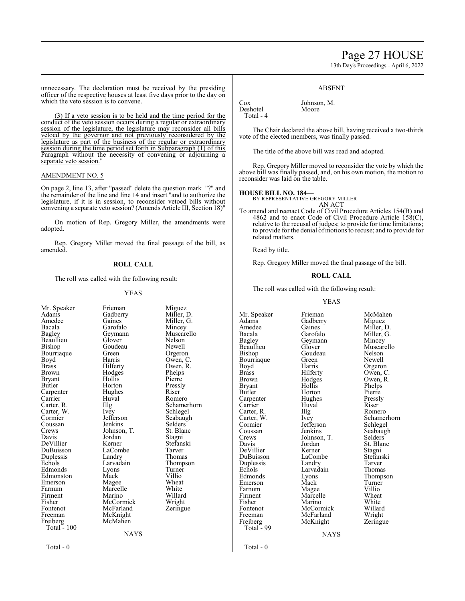# Page 27 HOUSE

13th Day's Proceedings - April 6, 2022

unnecessary. The declaration must be received by the presiding officer of the respective houses at least five days prior to the day on which the veto session is to convene.

(3) If a veto session is to be held and the time period for the conduct of the veto session occurs during a regular or extraordinary session of the legislature, the legislature may reconsider all bills vetoed by the governor and not previously reconsidered by the legislature as part of the business of the regular or extraordinary session during the time period set forth in Subparagraph (1) of this Paragraph without the necessity of convening or adjourning a separate veto session.

#### AMENDMENT NO. 5

On page 2, line 13, after "passed" delete the question mark "?" and the remainder of the line and line 14 and insert "and to authorize the legislature, if it is in session, to reconsider vetoed bills without convening a separate veto session? (Amends Article III, Section 18)"

On motion of Rep. Gregory Miller, the amendments were adopted.

Rep. Gregory Miller moved the final passage of the bill, as amended.

#### **ROLL CALL**

The roll was called with the following result:

#### YEAS

| Mr. Speaker        | Frieman     | Miguez      |
|--------------------|-------------|-------------|
| Adams              | Gadberry    | Miller, D.  |
| Amedee             | Gaines      | Miller, G.  |
| Bacala             | Garofalo    | Mincey      |
| Bagley             | Geymann     | Muscarello  |
| Beaullieu          | Glover      | Nelson      |
| Bishop             | Goudeau     | Newell      |
| Bourriaque         | Green       | Orgeron     |
| Boyd               | Harris      | Owen, C.    |
| Brass              | Hilferty    | Owen, R.    |
| Brown              | Hodges      | Phelps      |
| Bryant             | Hollis      | Pierre      |
| Butler             | Horton      | Pressly     |
| Carpenter          | Hughes      | Riser       |
| Carrier            | Huval       | Romero      |
| Carter, R.         | Illg        | Schamerhorn |
| Carter, W.         | Ivey        | Schlegel    |
| Cormier            | Jefferson   | Seabaugh    |
| Coussan            | Jenkins     | Selders     |
| Crews              | Johnson, T. | St. Blanc   |
| Davis              | Jordan      | Stagni      |
| DeVillier          | Kerner      | Stefanski   |
| DuBuisson          | LaCombe     | Tarver      |
| Duplessis          | Landry      | Thomas      |
| Echols             | Larvadain   | Thompson    |
| Edmonds            | Lyons       | Turner      |
| Edmonston          | Mack        | Villio      |
| Emerson            | Magee       | Wheat       |
| Farnum             | Marcelle    | White       |
| Firment            | Marino      | Willard     |
| Fisher             | McCormick   | Wright      |
| Fontenot           | McFarland   | Zeringue    |
| Freeman            | McKnight    |             |
| Freiberg           | McMahen     |             |
| <b>Total</b> - 100 |             |             |
|                    | NAYS        |             |
|                    |             |             |

#### Cox Johnson, M. Deshotel Total - 4

The Chair declared the above bill, having received a two-thirds vote of the elected members, was finally passed.

ABSENT

The title of the above bill was read and adopted.

Rep. Gregory Miller moved to reconsider the vote by which the above bill was finally passed, and, on his own motion, the motion to reconsider was laid on the table.

#### **HOUSE BILL NO. 184—**

BY REPRESENTATIVE GREGORY MILLER

AN ACT To amend and reenact Code of Civil Procedure Articles 154(B) and 4862 and to enact Code of Civil Procedure Article 158(C), relative to the recusal of judges; to provide for time limitations; to provide for the denial of motions to recuse; and to provide for related matters.

Read by title.

Rep. Gregory Miller moved the final passage of the bill.

#### **ROLL CALL**

The roll was called with the following result:

#### YEAS

Adams Gadberry<br>Amedee Gaines Bagley Geymann<br>Beaullieu Glover Bourriaque Green<br>Boyd Harris Boyd Harris Orgeron<br>Brass Hilferty Owen, C Brass Hilferty Owen, C.<br>Brown Hodges Owen, R. Brown Hodges Owen, R.<br>Bryant Hollis Phelps Bryant Hollis Phelps Carpenter Hughes Press<br>
Carrier Huval Riser Carter, R. Illg<br>Carter, W. Ivey Cormier Jefferson<br>Coussan Jenkins Crews Johnson, T.<br>Davis Jordan DeVillier Kerner Stagni<br>DuBuisson LaCombe Stefanski DuBuisson LaCombe Stefans<br>
Duplessis Landry Tarver Duplessis Landry Tarver<br>
Echols Larvadain Thomas Echols Larvadain<br>Edmonds Lyons Emerson Mack Turner<br>
Farnum Magee Villio Farnum Magee Villio<br>Firment Marcelle Wheat Firment Marcelle Wheat<br>Fisher Marino White Fisher Marino White<br>Fontenot McCormick Willard Fontenot McCormick Willard<br>
Freeman McFarland Wright Freeman McFarland Wright<br>
Freiberg McKnight Zeringue Total  $-99$ 

Goudeau Nelson<br>Green Newell Horton Pierre<br>
Hughes Pressly Huval Riser<br>Illg Romero McKnight

Mr. Speaker Frieman McMahen<br>Adams Gadberry Miguez Amedee Gaines Miller, D.<br>Bacala Garofalo Miller, G. Bacala Garofalo Miller, G.<br>Bagley Geymann Mincey Beaullieu Glover Muscarello<br>Bishop Goudeau Nelson Carter, W. Ivey Schamerhorn<br>
Cormier Jefferson Schlegel Coussan Jenkins Seabaugh<br>Crews Johnson T. Selders Jordan St. Blanc<br>Kerner Stagni Eyons Thompson<br>
Mack Turner

NAYS

Total - 0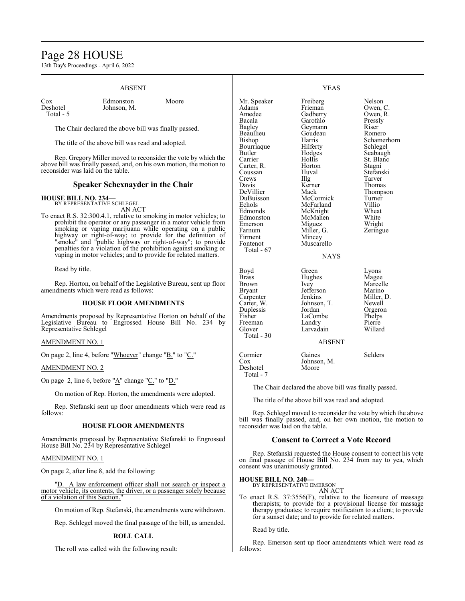# Page 28 HOUSE

13th Day's Proceedings - April 6, 2022

#### ABSENT Cox Edmonston Moore<br>Deshotel Johnson, M. Johnson, M. Total - 5 The Chair declared the above bill was finally passed. The title of the above bill was read and adopted. Rep. Gregory Miller moved to reconsider the vote by which the above bill was finally passed, and, on his own motion, the motion to reconsider was laid on the table. **Speaker Schexnayder in the Chair HOUSE BILL NO. 234—** BY REPRESENTATIVE SCHLEGEL AN ACT To enact R.S. 32:300.4.1, relative to smoking in motor vehicles; to prohibit the operator or any passenger in a motor vehicle from smoking or vaping marijuana while operating on a public highway or right-of-way; to provide for the definition of "smoke" and "public highway or right-of-way"; to provide penalties for a violation of the prohibition against smoking or vaping in motor vehicles; and to provide for related matters. Read by title. Rep. Horton, on behalf of the Legislative Bureau, sent up floor amendments which were read as follows: **HOUSE FLOOR AMENDMENTS** Amendments proposed by Representative Horton on behalf of the Legislative Bureau to Engrossed House Bill No. 234 by Representative Schlegel AMENDMENT NO. 1 YEAS Mr. Speaker Freiberg Nelson<br>Adams Frieman Owen, C Adams Frieman<br>Amedee Gadberry Amedee Gadberry Owen, R.<br>Bacala Garofalo Pressly Pressly Bagley Geymann Riser<br>Beaullieu Goudeau Romero Beaullieu Goudeau<br>Bishop Harris Harris Schamerhorn<br>Hilferty Schlegel Bourriaque Hilferty Schlegel<br>Butler Hodges Seabaugh Butler Hodges<br>Carrier Hollis Hollis St. Blanc<br>
Horton Stagni Carter, R. Horton Stagni Coussan Huval Stefans<br>Crews Hlg Tarver Crews Illg Tarver Davis Kerner Thomas<br>
DeVillier Mack Thomps DeVillier Mack Thompson DuBuisson McCormick Turner Echols McFarland Villio<br>Edmonds McKnight Wheat McKnight Wheat<br>
McMahen White Edmonston McMahen White<br>
Emerson Miguez Wright Emerson Miguez<br>Farnum Miller, G. Farnum Miller, G. Zeringue<br>Firment Mincey Firment Mincey<br>Fontenot Muscar Muscarello Total - 67 **NAYS** Boyd Green Lyons Brass Hughes Magee<br>Brown Ivey Marcel Brown Ivey Marcelle<br>Bryant Jefferson Marino Bryant Jefferson<br>Carpenter Jenkins Carpenter Jenkins Miller, D.<br>Carter, W. Johnson, T. Newell Johnson, T. Newell<br>Jordan Orgeron Duplessis Jordan Orgero<br>
Fisher LaCombe Phelps LaCombe<br>
Landry Phelps<br>
Pierre Freeman Landry Pierre<br>
Glover Larvadain Willard Larvadain Total - 30 ABSENT

On page 2, line 4, before "Whoever" change "B." to "C."

### AMENDMENT NO. 2

On page 2, line 6, before "A" change "C." to "D."

On motion of Rep. Horton, the amendments were adopted.

Rep. Stefanski sent up floor amendments which were read as follows:

#### **HOUSE FLOOR AMENDMENTS**

Amendments proposed by Representative Stefanski to Engrossed House Bill No. 234 by Representative Schlegel

#### AMENDMENT NO. 1

On page 2, after line 8, add the following:

A law enforcement officer shall not search or inspect a motor vehicle, its contents, the driver, or a passenger solely because of a violation of this Section."

On motion of Rep. Stefanski, the amendments were withdrawn.

Rep. Schlegel moved the final passage of the bill, as amended.

#### **ROLL CALL**

The roll was called with the following result:

# Cormier Gaines Selders<br>Cox Johnson, M. Selders Johnson, M.<br>Moore Deshotel Total - 7

The Chair declared the above bill was finally passed.

The title of the above bill was read and adopted.

Rep. Schlegel moved to reconsider the vote by which the above bill was finally passed, and, on her own motion, the motion to reconsider was laid on the table.

#### **Consent to Correct a Vote Record**

Rep. Stefanski requested the House consent to correct his vote on final passage of House Bill No. 234 from nay to yea, which consent was unanimously granted.

**HOUSE BILL NO. 240—**

BY REPRESENTATIVE EMERSON AN ACT

To enact R.S. 37:3556(F), relative to the licensure of massage therapists; to provide for a provisional license for massage therapy graduates; to require notification to a client; to provide for a sunset date; and to provide for related matters.

Read by title.

Rep. Emerson sent up floor amendments which were read as follows: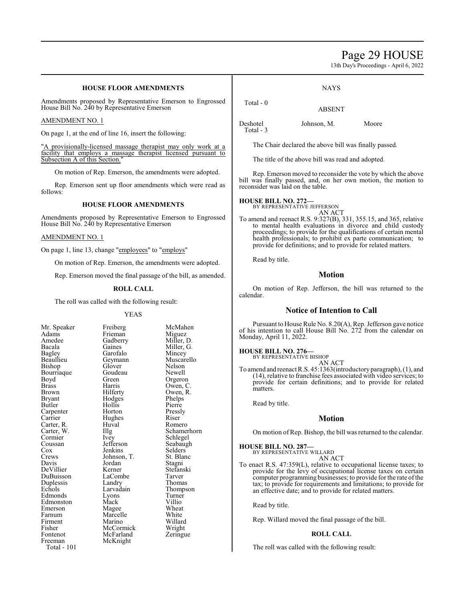# Page 29 HOUSE

13th Day's Proceedings - April 6, 2022

### **HOUSE FLOOR AMENDMENTS**

Amendments proposed by Representative Emerson to Engrossed House Bill No. 240 by Representative Emerson

#### AMENDMENT NO. 1

On page 1, at the end of line 16, insert the following:

"A provisionally-licensed massage therapist may only work at a facility that employs a massage therapist licensed pursuant to Subsection A of this Section.

On motion of Rep. Emerson, the amendments were adopted.

Rep. Emerson sent up floor amendments which were read as follows:

### **HOUSE FLOOR AMENDMENTS**

Amendments proposed by Representative Emerson to Engrossed House Bill No. 240 by Representative Emerson

#### AMENDMENT NO. 1

On page 1, line 13, change "employees" to "employs"

On motion of Rep. Emerson, the amendments were adopted.

Rep. Emerson moved the final passage of the bill, as amended.

#### **ROLL CALL**

The roll was called with the following result:

Frieman<br>Gadberry

Goudeau<br>Green

Hodges<br>Hollis

Hughes<br>Huval

LaCombe<br>Landry

McFarland McKnight

#### YEAS

| Mr. Speaker                         |
|-------------------------------------|
| Adams                               |
| Amedee                              |
| Bacala                              |
| Bagley                              |
| Beaullieu                           |
| Bishop                              |
| Bourriaque                          |
| Boyd                                |
| <b>Brass</b>                        |
| Brown                               |
| Bryant                              |
| Butler                              |
| Carpenter                           |
| Carrier                             |
|                                     |
|                                     |
| Carter, R.<br>Carter, W.<br>Cormier |
| Coussan                             |
| Cox                                 |
| Crews                               |
| Davis                               |
| DeVillier                           |
| Deville.<br>DuBuisson<br>Duplessis  |
|                                     |
| Echols                              |
| Edmonds                             |
| Edmonston                           |
| Emerson                             |
| Farnum                              |
| Firment                             |
| Fisher                              |
| Fontenot                            |
| Freeman                             |
| $Total =$<br>101                    |

Freiberg McMahen<br>Frieman Miguez Gadberry Miller, D.<br>Gaines Miller, G. Gaines Miller, G.<br>Garofalo Mincey Mincey<br>Muscarello Geymann Muscar<br>Glover Nelson Glover Nelson<br>Goudeau Newell Green Orgeron<br>Harris Owen, C Harris Owen, C.<br>
Hilferty Owen, R. Owen, R.<br>Phelps Hollis Pierre<br>
Horton Pressly Pressly<br>Riser Huval Romero<br>Illg Schamer The Schamerhorn<br>
The Schlegel<br>
Schlegel Schlegel<br>Seabaugh Jefferson Seabaug<br>Jenkins Selders Jenkins Selders<br>Johnson, T. St. Blanc Johnson, T.<br>
St. Blancolar<br>
Stagni Davis Jordan Stagni Kerner Stefanski<br>LaCombe Tarver Landry Thomas<br>
Larvadain Thomps Thompson<br>Turner Lyons Turner<br>
Mack Villio Edmonston Mack Villio Magee Wheat<br>
Marcelle White Marcelle White<br>Marino Willard Marino Willard<br>
McCormick Wright McCormick Wright<br>
McFarland Zeringue

Total - 101

Total - 0

ABSENT

NAYS

Total - 3

Deshotel Johnson, M. Moore

The Chair declared the above bill was finally passed.

The title of the above bill was read and adopted.

Rep. Emerson moved to reconsider the vote by which the above bill was finally passed, and, on her own motion, the motion to reconsider was laid on the table.

#### **HOUSE BILL NO. 272—**

BY REPRESENTATIVE JEFFERSON AN ACT

To amend and reenact R.S. 9:327(B), 331, 355.15, and 365, relative to mental health evaluations in divorce and child custody proceedings; to provide for the qualifications of certain mental health professionals; to prohibit ex parte communication; to provide for definitions; and to provide for related matters.

Read by title.

### **Motion**

On motion of Rep. Jefferson, the bill was returned to the calendar.

#### **Notice of Intention to Call**

Pursuant to House Rule No. 8.20(A), Rep. Jefferson gave notice of his intention to call House Bill No. 272 from the calendar on Monday, April 11, 2022.

**HOUSE BILL NO. 276—**

BY REPRESENTATIVE BISHOP

AN ACT To amend and reenact R.S. 45:1363(introductory paragraph), (1), and (14), relative to franchise fees associated with video services; to provide for certain definitions; and to provide for related matters.

Read by title.

#### **Motion**

On motion of Rep. Bishop, the bill was returned to the calendar.

#### **HOUSE BILL NO. 287—**

BY REPRESENTATIVE WILLARD AN ACT

To enact R.S. 47:359(L), relative to occupational license taxes; to provide for the levy of occupational license taxes on certain computer programming businesses; to provide for the rate ofthe tax; to provide for requirements and limitations; to provide for an effective date; and to provide for related matters.

Read by title.

Rep. Willard moved the final passage of the bill.

#### **ROLL CALL**

The roll was called with the following result: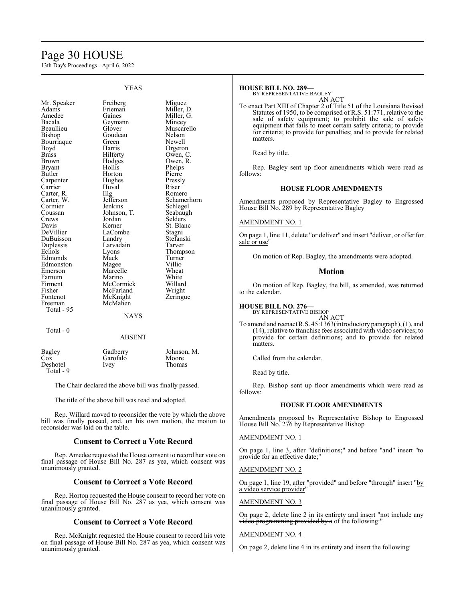# Page 30 HOUSE

13th Day's Proceedings - April 6, 2022

YEAS

|                                | I EAO                         |                                    |
|--------------------------------|-------------------------------|------------------------------------|
| Mr. Speaker<br>Adams<br>Amedee | Freiberg<br>Frieman<br>Gaines | Miguez<br>Miller, D.<br>Miller, G. |
| Bacala                         | Geymann                       | Mincey                             |
| Beaullieu                      | Glover                        | Muscarello                         |
| Bishop                         | Goudeau                       | Nelson                             |
| Bourriaque                     | Green                         | Newell                             |
| Boyd                           | Harris                        | Orgeron                            |
| Brass                          | Hilferty                      | Owen, C.                           |
| Brown                          |                               | Owen, R.                           |
| Bryant                         | Hodges<br>Hollis              | Phelps                             |
| Butler                         | Horton                        | Pierre                             |
| Carpenter                      | Hughes                        | Pressly                            |
| Carrier                        | Huval                         | Riser                              |
| Carter, R.                     | $\prod_{i=1}^{n}$             | Romero                             |
| Carter, W.                     | Jefferson                     | Schamerhorn                        |
| Cormier                        | Jenkins                       | Schlegel                           |
| Coussan                        | Johnson, T.                   | Seabaugh                           |
| Crews                          | Jordan                        | Selders                            |
| Davis                          | Kerner                        | St. Blanc                          |
| DeVillier                      | LaCombe                       | Stagni                             |
| DuBuisson                      | Landry                        | Stefanski                          |
| Duplessis                      | Larvadain                     | Tarver                             |
| Echols                         | Lyons                         | Thompson                           |
| Edmonds                        | Mack                          | Turner                             |
| Edmonston                      | Magee                         | Villio                             |
| Emerson                        | Marcelle                      | Wheat                              |
| Farnum                         | Marino                        | White                              |
| Firment                        | McCormick                     | Willard                            |
| Fisher                         | McFarland                     | Wright                             |
| Fontenot                       | McKnight                      | Zeringue                           |
| Freeman                        | McMahen                       |                                    |
| Total - 95                     |                               |                                    |
|                                | <b>NAYS</b>                   |                                    |
| Total - 0                      |                               |                                    |

# ABSENT

| Bagley    | Gadberry | Johnson, M. |
|-----------|----------|-------------|
| Cox       | Garofalo | Moore       |
| Deshotel  | Ivey     | Thomas      |
| Total - 9 |          |             |

The Chair declared the above bill was finally passed.

The title of the above bill was read and adopted.

Rep. Willard moved to reconsider the vote by which the above bill was finally passed, and, on his own motion, the motion to reconsider was laid on the table.

#### **Consent to Correct a Vote Record**

Rep. Amedee requested the House consent to record her vote on final passage of House Bill No. 287 as yea, which consent was unanimously granted.

#### **Consent to Correct a Vote Record**

Rep. Horton requested the House consent to record her vote on final passage of House Bill No. 287 as yea, which consent was unanimously granted.

#### **Consent to Correct a Vote Record**

Rep. McKnight requested the House consent to record his vote on final passage of House Bill No. 287 as yea, which consent was unanimously granted.

#### **HOUSE BILL NO. 289—**

BY REPRESENTATIVE BAGLEY

AN ACT To enact Part XIII of Chapter 2 of Title 51 of the Louisiana Revised Statutes of 1950, to be comprised of R.S. 51:771, relative to the sale of safety equipment; to prohibit the sale of safety equipment that fails to meet certain safety criteria; to provide for criteria; to provide for penalties; and to provide for related matters.

Read by title.

Rep. Bagley sent up floor amendments which were read as follows:

#### **HOUSE FLOOR AMENDMENTS**

Amendments proposed by Representative Bagley to Engrossed House Bill No. 289 by Representative Bagley

#### AMENDMENT NO. 1

On page 1, line 11, delete "or deliver" and insert "deliver, or offer for sale or use"

On motion of Rep. Bagley, the amendments were adopted.

#### **Motion**

On motion of Rep. Bagley, the bill, as amended, was returned to the calendar.

#### **HOUSE BILL NO. 276—**

BY REPRESENTATIVE BISHOP AN ACT

To amend and reenact R.S. 45:1363(introductory paragraph), (1), and (14), relative to franchise fees associated with video services; to provide for certain definitions; and to provide for related matters.

Called from the calendar.

Read by title.

Rep. Bishop sent up floor amendments which were read as follows:

#### **HOUSE FLOOR AMENDMENTS**

Amendments proposed by Representative Bishop to Engrossed House Bill No. 276 by Representative Bishop

#### AMENDMENT NO. 1

On page 1, line 3, after "definitions;" and before "and" insert "to provide for an effective date;"

#### AMENDMENT NO. 2

On page 1, line 19, after "provided" and before "through" insert "by a video service provider"

#### AMENDMENT NO. 3

On page 2, delete line 2 in its entirety and insert "not include any video programming provided by a of the following:'

#### AMENDMENT NO. 4

On page 2, delete line 4 in its entirety and insert the following: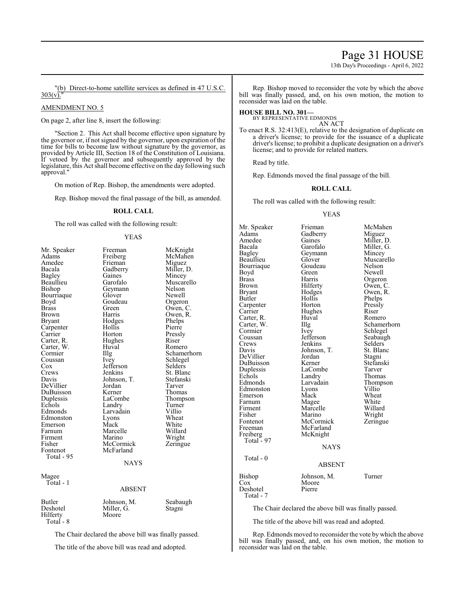# Page 31 HOUSE

13th Day's Proceedings - April 6, 2022

"(b) Direct-to-home satellite services as defined in 47 U.S.C.  $303(v)$ .

#### AMENDMENT NO. 5

On page 2, after line 8, insert the following:

"Section 2. This Act shall become effective upon signature by the governor or, if not signed by the governor, upon expiration of the time for bills to become law without signature by the governor, as provided by Article III, Section 18 of the Constitution of Louisiana. If vetoed by the governor and subsequently approved by the legislature, this Act shall become effective on the day following such approval."

On motion of Rep. Bishop, the amendments were adopted.

Rep. Bishop moved the final passage of the bill, as amended.

#### **ROLL CALL**

The roll was called with the following result:

#### YEAS

| Mr. Speaker<br>Adams<br>Amedee<br>Bacala<br><b>Bagley</b><br>Beaullieu<br>Bishop<br>Bourriaque<br>Boyd<br><b>Brass</b><br><b>Brown</b><br><b>Bryant</b><br>Carpenter<br>Carrier<br>Carter, R.<br>Carter, W.<br>Cormier<br>Coussan<br>Cox<br>Crews<br>Davis<br>DeVillier<br>DuBuisson<br>Duplessis<br>Echols<br>Edmonds<br>Edmonston<br>Emerson<br>Farnum<br>Firment<br>Fisher<br>Fontenot<br>Total - 95 | Freeman<br>Freiberg<br>Frieman<br>Gadberry<br>Gaines<br>Garofalo<br>Geymann<br>Glover<br>Goudeau<br>Green<br>Harris<br>Hodges<br>Hollis<br>Horton<br>Hughes<br>Huval<br>Illg<br>Ivey<br>Jefferson<br>Jenkins<br>Johnson, T.<br>Jordan<br>Kerner<br>LaCombe<br>Landry<br>Larvadain<br>Lyons<br>Mack<br>Marcelle<br>Marino<br>McCormick<br>McFarland<br><b>NAYS</b> | McKnight<br>McMahen<br>Miguez<br>Miller, D.<br>Mincey<br>Muscarello<br>Nelson<br>Newell<br>Orgeron<br>Owen, C.<br>Owen, R.<br>Phelps<br>Pierre<br>Pressly<br>Riser<br>Romero<br>Schamerhorn<br>Schlegel<br>Selders<br>St. Blanc<br>Stefanski<br>Tarver<br>Thomas<br>Thompson<br>Turner<br>Villio<br>Wheat<br>White<br>Willard<br>Wright<br>Zeringue |
|---------------------------------------------------------------------------------------------------------------------------------------------------------------------------------------------------------------------------------------------------------------------------------------------------------------------------------------------------------------------------------------------------------|-------------------------------------------------------------------------------------------------------------------------------------------------------------------------------------------------------------------------------------------------------------------------------------------------------------------------------------------------------------------|-----------------------------------------------------------------------------------------------------------------------------------------------------------------------------------------------------------------------------------------------------------------------------------------------------------------------------------------------------|
| Magee<br>Total - 1                                                                                                                                                                                                                                                                                                                                                                                      | <b>ABSENT</b>                                                                                                                                                                                                                                                                                                                                                     |                                                                                                                                                                                                                                                                                                                                                     |
| <b>Butler</b><br>Deshotel<br>Hilferty<br>Total - 8                                                                                                                                                                                                                                                                                                                                                      | Johnson, M.<br>Miller, G.<br>Moore                                                                                                                                                                                                                                                                                                                                | Seabaugh<br>Stagni                                                                                                                                                                                                                                                                                                                                  |
| 61.11.1                                                                                                                                                                                                                                                                                                                                                                                                 | $-1$<br>$\sim$<br>$\mathbf{1}$ and $\mathbf{1}$                                                                                                                                                                                                                                                                                                                   |                                                                                                                                                                                                                                                                                                                                                     |

The Chair declared the above bill was finally passed.

The title of the above bill was read and adopted.

Rep. Bishop moved to reconsider the vote by which the above bill was finally passed, and, on his own motion, the motion to reconsider was laid on the table.

#### **HOUSE BILL NO. 301—** BY REPRESENTATIVE EDMONDS

AN ACT

To enact R.S. 32:413(E), relative to the designation of duplicate on a driver's license; to provide for the issuance of a duplicate driver's license; to prohibit a duplicate designation on a driver's license; and to provide for related matters.

Read by title.

Rep. Edmonds moved the final passage of the bill.

#### **ROLL CALL**

The roll was called with the following result:

#### YEAS

Mr. Speaker Frieman McMahen<br>Adams Gadberry Miguez Adams Gadberry<br>Amedee Gaines Amedee Gaines Miller, D.<br>Bacala Garofalo Miller, G. Bacala Garofalo Miller, G.<br>Bagley Geymann Mincey Bagley Geymann<br>Beaullieu Glover Bourriaque Goude<br>Boyd Green Boyd Green Newell<br>Brass Harris Orgerol Brass Harris Orgeron<br>Brown Hilferty Owen, C Brown Hilferty Owen, C.<br>Bryant Hodges Owen, R. Bryant Hodges Owen, R.<br>Butler Hollis Phelps Carpenter Horton Pressl<br>Carrier Hughes Riser Carter, R. Huv<br>Carter, W. Illg Carter, W. Illg Schamerhorn<br>
Cormier Ivey Schlegel Cormier Ivey Schlegel<br>Coussan Jefferson Seabaught Coussan Jefferson Seabaugh<br>Crews Jenkins Selders Crews Jenkins Selders<br>Davis Johnson, T. St. Blanc DeVillier Jordan Stagni DuBuisson Kerner Stefans<br>Duplessis LaCombe Tarver Duplessis LaCom<br>Echols Landry Echols Landry Thomas<br>Edmonds Larvadain Thomps Edmonston Lyons<br>Emerson Mack Farnum Magee White<br>
Firment Marcelle Willard Firment Marcelle Willard<br>
Fisher Marino Wright Fisher Marino<br>Fontenot McCormick Fontenot McCormick Zeringue<br>
Freeman McFarland Zeringue Freeman McFarland<br>Freiberg McKnight McKnight Total  $-97$ Total - 0

Glover Muscarello<br>Goudeau Nelson Hollis Phelps<br>Horton Pressly Hughes Riser<br>Huval Romero Johnson, T.<br>
Jordan Stagni Larvadain Thompson<br>
Lyons Villio Mack Wheat<br>
Mage White

# NAYS

#### ABSENT

Bishop Johnson, M. Turner<br>Cox Moore Moore<br>Pierre Deshotel Total - 7

The Chair declared the above bill was finally passed.

The title of the above bill was read and adopted.

Rep. Edmonds moved to reconsider the vote by which the above bill was finally passed, and, on his own motion, the motion to reconsider was laid on the table.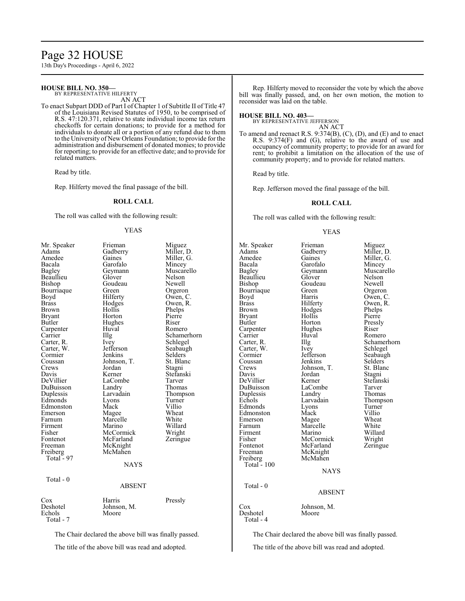# Page 32 HOUSE

13th Day's Proceedings - April 6, 2022

# **HOUSE BILL NO. 350—**

BY REPRESENTATIVE HILFERTY AN ACT

To enact Subpart DDD of Part I of Chapter 1 of Subtitle II of Title 47 of the Louisiana Revised Statutes of 1950, to be comprised of R.S. 47:120.371, relative to state individual income tax return checkoffs for certain donations; to provide for a method for individuals to donate all or a portion of any refund due to them to the University of New Orleans Foundation; to provide for the administration and disbursement of donated monies; to provide for reporting; to provide for an effective date; and to provide for related matters.

Read by title.

Rep. Hilferty moved the final passage of the bill.

#### **ROLL CALL**

The roll was called with the following result:

#### YEAS

| Mr. Speaker                                                                                                                                                                                                                                                                                     | Frieman                          | Miguez                       |  |
|-------------------------------------------------------------------------------------------------------------------------------------------------------------------------------------------------------------------------------------------------------------------------------------------------|----------------------------------|------------------------------|--|
| Adams                                                                                                                                                                                                                                                                                           | Gadberry                         | Miller, D.                   |  |
| Amedee                                                                                                                                                                                                                                                                                          | Gaines                           | Miller, G.                   |  |
| Bacala                                                                                                                                                                                                                                                                                          | Garofalo                         | Mincey                       |  |
| <b>Bagley</b>                                                                                                                                                                                                                                                                                   | Geymann                          | Muscarello                   |  |
| Beaullieu                                                                                                                                                                                                                                                                                       | Glover                           | Nelson                       |  |
| Bishop                                                                                                                                                                                                                                                                                          | Goudeau                          | Newell                       |  |
| Bourriaque                                                                                                                                                                                                                                                                                      | Green                            | Orgeron                      |  |
| Boyd                                                                                                                                                                                                                                                                                            | Hilferty                         | Owen, C.                     |  |
| <b>Brass</b><br><b>Brown</b>                                                                                                                                                                                                                                                                    | Hodges<br>Hollis<br>Horton       | Owen, R.<br>Phelps<br>Pierre |  |
| <b>Bryant</b><br>Butler<br>Carpenter                                                                                                                                                                                                                                                            | Hughes<br>Huval                  | Riser<br>Romero              |  |
| Carrier                                                                                                                                                                                                                                                                                         | Illg                             | Schamerhorn                  |  |
| Carter, R.                                                                                                                                                                                                                                                                                      | Ivey                             | Schlegel                     |  |
| Carter, W.                                                                                                                                                                                                                                                                                      | Jefferson                        | Seabaugh                     |  |
| Cormier                                                                                                                                                                                                                                                                                         | Jenkins                          | Selders                      |  |
| Coussan                                                                                                                                                                                                                                                                                         | Johnson, T.                      | St. Blanc                    |  |
| Crews                                                                                                                                                                                                                                                                                           | Jordan                           | Stagni                       |  |
| Davis                                                                                                                                                                                                                                                                                           | Kerner                           | Stefanski                    |  |
| DeVillier                                                                                                                                                                                                                                                                                       | LaCombe                          | Tarver                       |  |
| DuBuisson                                                                                                                                                                                                                                                                                       | Landry                           | Thomas                       |  |
| Duplessis                                                                                                                                                                                                                                                                                       | Larvadain                        | Thompson                     |  |
| Edmonds                                                                                                                                                                                                                                                                                         | Lyons                            | Turner                       |  |
| Edmonston                                                                                                                                                                                                                                                                                       | Mack                             | Villio                       |  |
| Emerson                                                                                                                                                                                                                                                                                         | Magee                            | Wheat                        |  |
| Farnum                                                                                                                                                                                                                                                                                          | Marcelle                         | White                        |  |
| Firment                                                                                                                                                                                                                                                                                         | Marino                           | Willard                      |  |
| Fisher                                                                                                                                                                                                                                                                                          | McCormick                        | Wright                       |  |
| Fontenot<br>Freeman<br>Freiberg                                                                                                                                                                                                                                                                 | McFarland<br>McKnight<br>McMahen | Zeringue                     |  |
| Total - 97                                                                                                                                                                                                                                                                                      | <b>NAYS</b>                      |                              |  |
| Total - 0                                                                                                                                                                                                                                                                                       | <b>ABSENT</b>                    |                              |  |
| $\cos$<br>Deshotel<br>Echols<br>Total - 7                                                                                                                                                                                                                                                       | Harris<br>Johnson, M.<br>Moore   | Pressly                      |  |
| $\mathbf{T}^1_{1,2}$ . $\mathbf{C}^1_{1,2}$ , $\mathbf{C}^1_{2,2}$ , $\mathbf{C}^1_{2,2}$ , $\mathbf{C}^1_{2,2}$ , $\mathbf{C}^1_{2,2}$ , $\mathbf{C}^1_{2,2}$ , $\mathbf{C}^1_{2,2}$ , $\mathbf{C}^1_{2,2}$ , $\mathbf{C}^1_{2,2}$ , $\mathbf{C}^1_{2,2}$ , $\mathbf{C}^1_{2,2}$ , $\mathbf{C$ |                                  |                              |  |

The Chair declared the above bill was finally passed.

The title of the above bill was read and adopted.

Rep. Hilferty moved to reconsider the vote by which the above bill was finally passed, and, on her own motion, the motion to reconsider was laid on the table.

#### **HOUSE BILL NO. 403—**

BY REPRESENTATIVE JEFFERSON AN ACT

To amend and reenact R.S. 9:374(B), (C), (D), and (E) and to enact R.S. 9:374(F) and (G), relative to the award of use and occupancy of community property; to provide for an award for rent; to prohibit a limitation on the allocation of the use of community property; and to provide for related matters.

Read by title.

Rep. Jefferson moved the final passage of the bill.

#### **ROLL CALL**

The roll was called with the following result:

#### YEAS

Adams Gadberry<br>Amedee Gaines Amedee Gaines Miller, G.<br>Bacala Garofalo Mincey Bacala Garofalo<br>Bagley Geymann Beaullieu Glover Nelson Bourriaque Green<br>Boyd Harris Boyd Harris Owen, C.<br>Brass Hilferty Owen, R. Brass Hilferty Owen, R.<br>Brown Hodges Phelps Brown Hodges Phelps<br>Bryant Hollis Pierre Bryant Hollis Pierre<br>Butler Horton Pressly Carpenter Hughes Riser<br>Carrier Huyal Romero Carrier Huval<br>Carter, R. Illg Carter, W. Ivey<br>Cormier Jefferson Coussan Jenkins Selders<br>Crews Johnson, T. St. Blanc Crews Johnson, T. St. Blanch<br>Davis Jordan Stagni DeVillier Kerner Stefans<br>DuBuisson LaCombe Tarver DuBuisson LaCombe Tarver<br>
Duplessis Landry Thomas Duplessis Landry<br>Echols Larvadain Edmonds Lyons Turner<br>Edmonston Mack Villio Edmonston Mack Villio<br>
Emerson Magee Wheat Emerson Magee Wheat<br>
Farnum Marcelle White Farnum Marcelle White<br>Firment Marino Willard Firment Marino Willard<br>Fisher McCormick Wright Fisher McCormick Wright<br>Fontenot McFarland Zeringue Fontenot McFarland<br>Freeman McKnight Freeman McKnight<br>Freiberg McMahen Total - 100 Total - 0

Mr. Speaker Frieman Miguez<br>Adams Gadberry Miller, D. Horton Press!<br>Hughes Riser McMahen

Muscarello Goudeau Newell<br>Green Orgeron Illg Schamerhorn<br>Ivey Schlegel Jefferson Seabaugh<br>Jenkins Selders Jordan Stagni<br>Kerner Stefanski Larvadain Thompson<br>Lyons Turner

#### **NAYS**

#### ABSENT

Cox Johnson, M. Deshotel Total - 4

The Chair declared the above bill was finally passed.

The title of the above bill was read and adopted.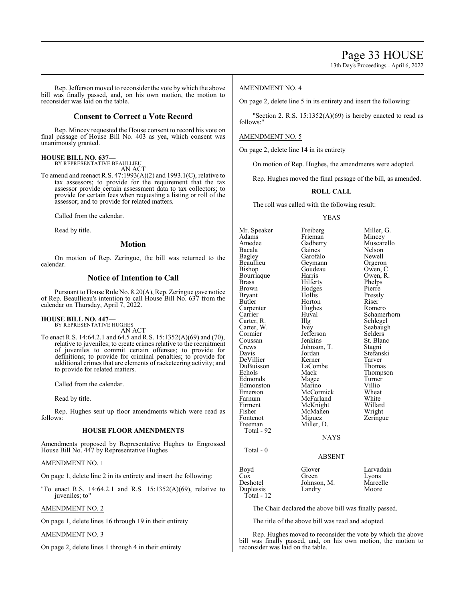13th Day's Proceedings - April 6, 2022

Rep. Jefferson moved to reconsider the vote by which the above bill was finally passed, and, on his own motion, the motion to reconsider was laid on the table.

# **Consent to Correct a Vote Record**

Rep. Mincey requested the House consent to record his vote on final passage of House Bill No. 403 as yea, which consent was unanimously granted.

#### **HOUSE BILL NO. 637—** BY REPRESENTATIVE BEAULLIEU

AN ACT

To amend and reenact R.S. 47:1993(A)(2) and 1993.1(C), relative to tax assessors; to provide for the requirement that the tax assessor provide certain assessment data to tax collectors; to provide for certain fees when requesting a listing or roll of the assessor; and to provide for related matters.

Called from the calendar.

Read by title.

#### **Motion**

On motion of Rep. Zeringue, the bill was returned to the calendar.

## **Notice of Intention to Call**

Pursuant to House Rule No. 8.20(A), Rep. Zeringue gave notice of Rep. Beaullieau's intention to call House Bill No. 637 from the calendar on Thursday, April 7, 2022.

#### **HOUSE BILL NO. 447—** BY REPRESENTATIVE HUGHES

AN ACT

To enact R.S. 14:64.2.1 and 64.5 and R.S. 15:1352(A)(69) and (70), relative to juveniles; to create crimes relative to the recruitment of juveniles to commit certain offenses; to provide for definitions; to provide for criminal penalties; to provide for additional crimes that are elements of racketeering activity; and to provide for related matters.

Called from the calendar.

Read by title.

Rep. Hughes sent up floor amendments which were read as follows:

#### **HOUSE FLOOR AMENDMENTS**

Amendments proposed by Representative Hughes to Engrossed House Bill No. 447 by Representative Hughes

#### AMENDMENT NO. 1

On page 1, delete line 2 in its entirety and insert the following:

"To enact R.S. 14:64.2.1 and R.S. 15:1352(A)(69), relative to juveniles; to"

#### AMENDMENT NO. 2

On page 1, delete lines 16 through 19 in their entirety

#### AMENDMENT NO. 3

On page 2, delete lines 1 through 4 in their entirety

#### AMENDMENT NO. 4

On page 2, delete line 5 in its entirety and insert the following:

"Section 2. R.S.  $15:1352(A)(69)$  is hereby enacted to read as follows:"

### AMENDMENT NO. 5

On page 2, delete line 14 in its entirety

On motion of Rep. Hughes, the amendments were adopted.

Rep. Hughes moved the final passage of the bill, as amended.

#### **ROLL CALL**

The roll was called with the following result:

#### YEAS

Mr. Speaker Freiberg Miller, G.<br>Adams Frieman Mincey Adams Frieman Mincey<br>Amedee Gadberry Muscar Amedee Gadberry Muscarello Bacala Gaines Nelson<br>
Bagley Garofalo Newell Bagley Garofalo<br>Beaullieu Geymann Beaullieu Geymann Orgeron<br>Bishop Goudeau Owen, C Bourriaque Harris Owen,<br>Brass Hilferty Phelps Brass **Hilferty** Phelps<br>Brown Hodges Pierre Brown Hodges<br>Bryant Hollis Bryant Hollis Pressly<br>Butler Horton Riser Carpenter Hughe<br>Carrier Huval Carter, R. Carter, W. Ivey Seabaugh<br>
Cormier Jefferson Selders Cormier Jefferson<br>Coussan Jenkins Coussan Jenkins St. Blanc<br>Crews Johnson, T. Stagni Crews Johnson, T.<br>Davis Jordan DeVillier Kerner Tarver<br>DuBuisson LaCombe Thomas DuBuisson LaCom<br>Echols Mack Edmonds Edmonston Marino Villio<br>Emerson McCormick Wheat Emerson McCormick Wheat<br>Farnum McFarland White Farnum McFarland White<br>Firment McKnight Willard Firment McKnight Willard<br>Fisher McMahen Wright Fisher McMahen<br>Fontenot Miguez Fontenot Miguez Zeringue<br>Freeman Miller, D. Total - 92 Total - 0

Goudeau Owen, C.<br>Harris Owen, R. Horton Riser<br>Hughes Romero Huval Schamerhorn<br>Illg Schlegel Jordan Stefanski<br>Kerner Tarver Mack Thompson<br>
Magee Turner

**NAYS** 

#### ABSENT

| Boyd         | Glover      | Larvadain |
|--------------|-------------|-----------|
| Cox          | Green       | Lyons     |
| Deshotel     | Johnson, M. | Marcelle  |
| Duplessis    | Landry      | Moore     |
| Total - $12$ |             |           |

Miller, D.

The Chair declared the above bill was finally passed.

The title of the above bill was read and adopted.

Rep. Hughes moved to reconsider the vote by which the above bill was finally passed, and, on his own motion, the motion to reconsider was laid on the table.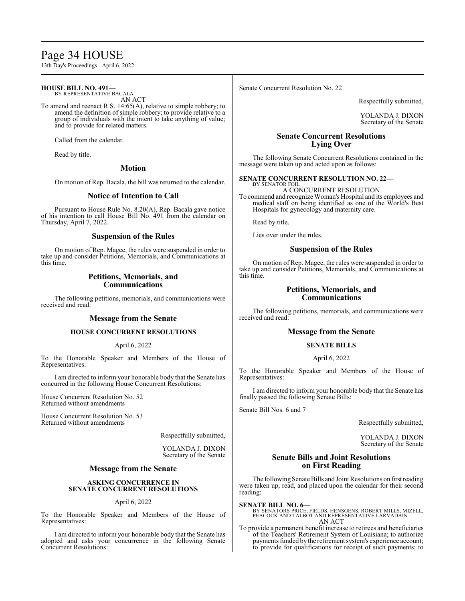# Page 34 HOUSE

13th Day's Proceedings - April 6, 2022

#### **HOUSE BILL NO. 491—** BY REPRESENTATIVE BACALA

AN ACT

To amend and reenact R.S. 14:65(A), relative to simple robbery; to amend the definition of simple robbery; to provide relative to a group of individuals with the intent to take anything of value; and to provide for related matters.

Called from the calendar.

Read by title.

#### **Motion**

On motion of Rep. Bacala, the bill was returned to the calendar.

### **Notice of Intention to Call**

Pursuant to House Rule No. 8.20(A), Rep. Bacala gave notice of his intention to call House Bill No. 491 from the calendar on Thursday, April 7, 2022.

#### **Suspension of the Rules**

On motion of Rep. Magee, the rules were suspended in order to take up and consider Petitions, Memorials, and Communications at this time.

### **Petitions, Memorials, and Communications**

The following petitions, memorials, and communications were received and read:

#### **Message from the Senate**

#### **HOUSE CONCURRENT RESOLUTIONS**

#### April 6, 2022

To the Honorable Speaker and Members of the House of Representatives:

I am directed to inform your honorable body that the Senate has concurred in the following House Concurrent Resolutions:

House Concurrent Resolution No. 52 Returned without amendments

House Concurrent Resolution No. 53 Returned without amendments

Respectfully submitted,

YOLANDA J. DIXON Secretary of the Senate

#### **Message from the Senate**

#### **ASKING CONCURRENCE IN SENATE CONCURRENT RESOLUTIONS**

#### April 6, 2022

To the Honorable Speaker and Members of the House of Representatives:

I am directed to inform your honorable body that the Senate has adopted and asks your concurrence in the following Senate Concurrent Resolutions:

Senate Concurrent Resolution No. 22

Respectfully submitted,

YOLANDA J. DIXON Secretary of the Senate

# **Senate Concurrent Resolutions Lying Over**

The following Senate Concurrent Resolutions contained in the message were taken up and acted upon as follows:

# **SENATE CONCURRENT RESOLUTION NO. 22—** BY SENATOR FOIL

A CONCURRENT RESOLUTION

To commend and recognize Woman's Hospital and its employees and medical staff on being identified as one of the World's Best Hospitals for gynecology and maternity care.

Read by title.

Lies over under the rules.

#### **Suspension of the Rules**

On motion of Rep. Magee, the rules were suspended in order to take up and consider Petitions, Memorials, and Communications at this time.

### **Petitions, Memorials, and Communications**

The following petitions, memorials, and communications were received and read:

### **Message from the Senate**

#### **SENATE BILLS**

#### April 6, 2022

To the Honorable Speaker and Members of the House of Representatives:

I am directed to inform your honorable body that the Senate has finally passed the following Senate Bills:

Senate Bill Nos. 6 and 7

Respectfully submitted,

YOLANDA J. DIXON Secretary of the Senate

### **Senate Bills and Joint Resolutions on First Reading**

The following Senate Bills and Joint Resolutions on first reading were taken up, read, and placed upon the calendar for their second reading:

**SENATE BILL NO. 6—** BY SENATORS PRICE, FIELDS, HENSGENS, ROBERT MILLS, MIZELL, PEACOCK AND TALBOT AND REPRESENTATIVE LARVADAIN AN ACT

To provide a permanent benefit increase to retirees and beneficiaries of the Teachers' Retirement System of Louisiana; to authorize payments funded by the retirement system's experience account; to provide for qualifications for receipt of such payments; to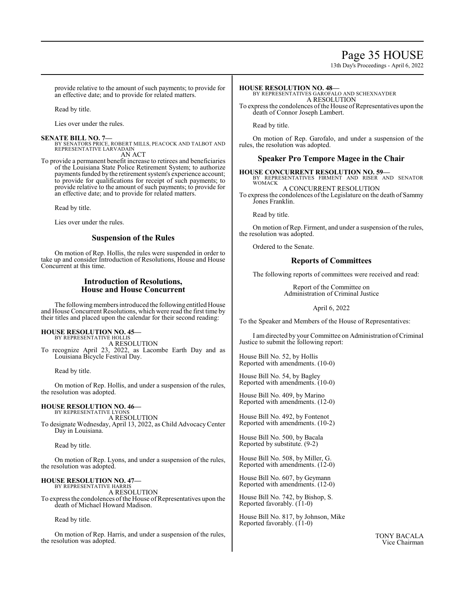# Page 35 HOUSE

13th Day's Proceedings - April 6, 2022

provide relative to the amount of such payments; to provide for an effective date; and to provide for related matters.

Read by title.

Lies over under the rules.

#### **SENATE BILL NO. 7—**

BY SENATORS PRICE, ROBERT MILLS, PEACOCK AND TALBOT AND REPRESENTATIVE LARVADAIN AN ACT

To provide a permanent benefit increase to retirees and beneficiaries of the Louisiana State Police Retirement System; to authorize payments funded by the retirement system's experience account; to provide for qualifications for receipt of such payments; to provide relative to the amount of such payments; to provide for an effective date; and to provide for related matters.

Read by title.

Lies over under the rules.

### **Suspension of the Rules**

On motion of Rep. Hollis, the rules were suspended in order to take up and consider Introduction of Resolutions, House and House Concurrent at this time.

### **Introduction of Resolutions, House and House Concurrent**

The following members introduced the following entitled House and House Concurrent Resolutions, which were read the first time by their titles and placed upon the calendar for their second reading:

#### **HOUSE RESOLUTION NO. 45—**

BY REPRESENTATIVE HOLLIS A RESOLUTION

To recognize April 23, 2022, as Lacombe Earth Day and as Louisiana Bicycle Festival Day.

Read by title.

On motion of Rep. Hollis, and under a suspension of the rules, the resolution was adopted.

# **HOUSE RESOLUTION NO. 46—**

BY REPRESENTATIVE LYONS A RESOLUTION To designate Wednesday, April 13, 2022, as Child Advocacy Center Day in Louisiana.

Read by title.

On motion of Rep. Lyons, and under a suspension of the rules, the resolution was adopted.

# **HOUSE RESOLUTION NO. 47—**

BY REPRESENTATIVE HARRIS A RESOLUTION To express the condolences of the House of Representatives upon the death of Michael Howard Madison.

Read by title.

On motion of Rep. Harris, and under a suspension of the rules, the resolution was adopted.

**HOUSE RESOLUTION NO. 48—** BY REPRESENTATIVES GAROFALO AND SCHEXNAYDER A RESOLUTION

To express the condolences of the House of Representatives upon the death of Connor Joseph Lambert.

Read by title.

On motion of Rep. Garofalo, and under a suspension of the rules, the resolution was adopted.

### **Speaker Pro Tempore Magee in the Chair**

# **HOUSE CONCURRENT RESOLUTION NO. 59—** BY REPRESENTATIVES FIRMENT AND RISER AND SENATOR

WOMACK A CONCURRENT RESOLUTION

To express the condolences of the Legislature on the death of Sammy Jones Franklin.

Read by title.

On motion of Rep. Firment, and under a suspension of the rules, the resolution was adopted.

Ordered to the Senate.

### **Reports of Committees**

The following reports of committees were received and read:

Report of the Committee on Administration of Criminal Justice

April 6, 2022

To the Speaker and Members of the House of Representatives:

I amdirected by your Committee on Administration of Criminal Justice to submit the following report:

House Bill No. 52, by Hollis Reported with amendments. (10-0)

House Bill No. 54, by Bagley Reported with amendments. (10-0)

House Bill No. 409, by Marino Reported with amendments. (12-0)

House Bill No. 492, by Fontenot Reported with amendments. (10-2)

House Bill No. 500, by Bacala Reported by substitute. (9-2)

House Bill No. 508, by Miller, G. Reported with amendments. (12-0)

House Bill No. 607, by Geymann Reported with amendments. (12-0)

House Bill No. 742, by Bishop, S. Reported favorably.  $(11-0)$ 

House Bill No. 817, by Johnson, Mike Reported favorably. (11-0)

> TONY BACALA Vice Chairman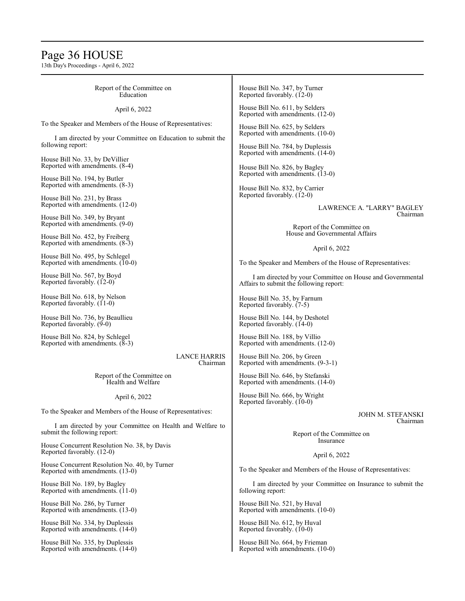# Page 36 HOUSE

13th Day's Proceedings - April 6, 2022

| Report of the Committee on<br>Education                                                  | House Bill No. 347, by Turner<br>Reported favorably. (12-0)                                                                                                                                                                                                                                                                                                                                                                                    |  |
|------------------------------------------------------------------------------------------|------------------------------------------------------------------------------------------------------------------------------------------------------------------------------------------------------------------------------------------------------------------------------------------------------------------------------------------------------------------------------------------------------------------------------------------------|--|
| April 6, 2022                                                                            | House Bill No. 611, by Selders                                                                                                                                                                                                                                                                                                                                                                                                                 |  |
| To the Speaker and Members of the House of Representatives:                              | Reported with amendments. (12-0)<br>House Bill No. 625, by Selders<br>Reported with amendments. (10-0)<br>House Bill No. 784, by Duplessis<br>Reported with amendments. (14-0)<br>House Bill No. 826, by Bagley<br>Reported with amendments. (13-0)<br>House Bill No. 832, by Carrier<br>Reported favorably. (12-0)<br>LAWRENCE A. "LARRY" BAGLEY<br>Chairman<br>Report of the Committee on<br>House and Governmental Affairs<br>April 6, 2022 |  |
| I am directed by your Committee on Education to submit the<br>following report:          |                                                                                                                                                                                                                                                                                                                                                                                                                                                |  |
| House Bill No. 33, by DeVillier<br>Reported with amendments. (8-4)                       |                                                                                                                                                                                                                                                                                                                                                                                                                                                |  |
| House Bill No. 194, by Butler<br>Reported with amendments. (8-3)                         |                                                                                                                                                                                                                                                                                                                                                                                                                                                |  |
| House Bill No. 231, by Brass<br>Reported with amendments. (12-0)                         |                                                                                                                                                                                                                                                                                                                                                                                                                                                |  |
| House Bill No. 349, by Bryant                                                            |                                                                                                                                                                                                                                                                                                                                                                                                                                                |  |
| Reported with amendments. (9-0)<br>House Bill No. 452, by Freiberg                       |                                                                                                                                                                                                                                                                                                                                                                                                                                                |  |
| Reported with amendments. (8-3)                                                          |                                                                                                                                                                                                                                                                                                                                                                                                                                                |  |
| House Bill No. 495, by Schlegel<br>Reported with amendments. (10-0)                      | To the Speaker and Members of the House of Representatives:                                                                                                                                                                                                                                                                                                                                                                                    |  |
| House Bill No. 567, by Boyd<br>Reported favorably. (12-0)                                | I am directed by your Committee on House and Governmental<br>Affairs to submit the following report:                                                                                                                                                                                                                                                                                                                                           |  |
| House Bill No. 618, by Nelson<br>Reported favorably. (11-0)                              | House Bill No. 35, by Farnum<br>Reported favorably. (7-5)                                                                                                                                                                                                                                                                                                                                                                                      |  |
| House Bill No. 736, by Beaullieu<br>Reported favorably. (9-0)                            | House Bill No. 144, by Deshotel<br>Reported favorably. (14-0)                                                                                                                                                                                                                                                                                                                                                                                  |  |
| House Bill No. 824, by Schlegel<br>Reported with amendments. (8-3)                       | House Bill No. 188, by Villio<br>Reported with amendments. (12-0)                                                                                                                                                                                                                                                                                                                                                                              |  |
| <b>LANCE HARRIS</b><br>Chairman                                                          | House Bill No. 206, by Green<br>Reported with amendments. (9-3-1)                                                                                                                                                                                                                                                                                                                                                                              |  |
| Report of the Committee on<br>Health and Welfare                                         | House Bill No. 646, by Stefanski<br>Reported with amendments. (14-0)                                                                                                                                                                                                                                                                                                                                                                           |  |
| April 6, 2022                                                                            | House Bill No. 666, by Wright<br>Reported favorably. (10-0)                                                                                                                                                                                                                                                                                                                                                                                    |  |
| To the Speaker and Members of the House of Representatives:                              | JOHN M. STEFANSKI                                                                                                                                                                                                                                                                                                                                                                                                                              |  |
| I am directed by your Committee on Health and Welfare to<br>submit the following report: | Chairman<br>Report of the Committee on                                                                                                                                                                                                                                                                                                                                                                                                         |  |
| House Concurrent Resolution No. 38, by Davis<br>Reported favorably. (12-0)               | Insurance                                                                                                                                                                                                                                                                                                                                                                                                                                      |  |
| House Concurrent Resolution No. 40, by Turner                                            | April 6, 2022<br>To the Speaker and Members of the House of Representatives:                                                                                                                                                                                                                                                                                                                                                                   |  |
| Reported with amendments. (13-0)<br>House Bill No. 189, by Bagley                        | I am directed by your Committee on Insurance to submit the                                                                                                                                                                                                                                                                                                                                                                                     |  |
| Reported with amendments. (11-0)                                                         | following report:                                                                                                                                                                                                                                                                                                                                                                                                                              |  |
| House Bill No. 286, by Turner<br>Reported with amendments. (13-0)                        | House Bill No. 521, by Huval<br>Reported with amendments. (10-0)                                                                                                                                                                                                                                                                                                                                                                               |  |
| House Bill No. 334, by Duplessis<br>Reported with amendments. (14-0)                     | House Bill No. 612, by Huval<br>Reported favorably. (10-0)                                                                                                                                                                                                                                                                                                                                                                                     |  |

House Bill No. 664, by Frieman Reported with amendments. (10-0)

House Bill No. 335, by Duplessis Reported with amendments. (14-0)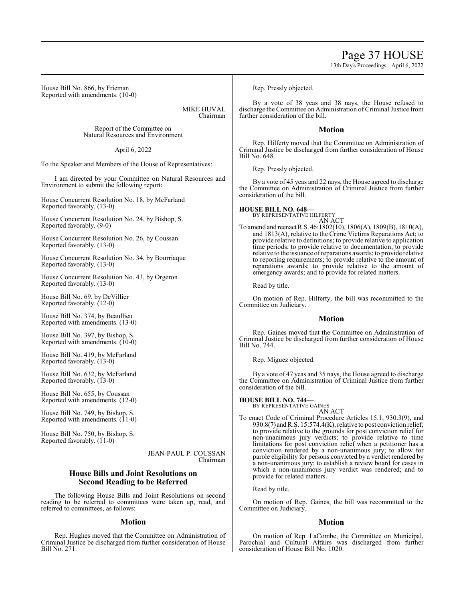13th Day's Proceedings - April 6, 2022

House Bill No. 866, by Frieman Reported with amendments. (10-0)

> MIKE HUVAL Chairman

Report of the Committee on Natural Resources and Environment

April 6, 2022

To the Speaker and Members of the House of Representatives:

I am directed by your Committee on Natural Resources and Environment to submit the following report:

House Concurrent Resolution No. 18, by McFarland Reported favorably. (13-0)

House Concurrent Resolution No. 24, by Bishop, S. Reported favorably. (9-0)

House Concurrent Resolution No. 26, by Coussan Reported favorably. (13-0)

House Concurrent Resolution No. 34, by Bourriaque Reported favorably. (13-0)

House Concurrent Resolution No. 43, by Orgeron Reported favorably. (13-0)

House Bill No. 69, by DeVillier Reported favorably. (12-0)

House Bill No. 374, by Beaullieu Reported with amendments. (13-0)

House Bill No. 397, by Bishop, S. Reported with amendments. (10-0)

House Bill No. 419, by McFarland Reported favorably. (13-0)

House Bill No. 632, by McFarland Reported favorably. (13-0)

House Bill No. 655, by Coussan Reported with amendments. (12-0)

House Bill No. 749, by Bishop, S. Reported with amendments.  $(11-0)$ 

House Bill No. 750, by Bishop, S. Reported favorably.  $(11-0)$ 

> JEAN-PAUL P. COUSSAN Chairman

### **House Bills and Joint Resolutions on Second Reading to be Referred**

The following House Bills and Joint Resolutions on second reading to be referred to committees were taken up, read, and referred to committees, as follows:

### **Motion**

Rep. Hughes moved that the Committee on Administration of Criminal Justice be discharged from further consideration of House Bill No. 271.

Rep. Pressly objected.

By a vote of 38 yeas and 38 nays, the House refused to discharge the Committee on Administration of Criminal Justice from further consideration of the bill.

### **Motion**

Rep. Hilferty moved that the Committee on Administration of Criminal Justice be discharged from further consideration of House Bill No. 648.

Rep. Pressly objected.

By a vote of 45 yeas and 22 nays, the House agreed to discharge the Committee on Administration of Criminal Justice from further consideration of the bill.

## **HOUSE BILL NO. 648—**

BY REPRESENTATIVE HILFERTY AN ACT

To amend and reenactR.S. 46:1802(10), 1806(A), 1809(B), 1810(A), and 1813(A), relative to the Crime Victims Reparations Act; to provide relative to definitions; to provide relative to application time periods; to provide relative to documentation; to provide relative to the issuance ofreparations awards; to provide relative to reporting requirements; to provide relative to the amount of reparations awards; to provide relative to the amount of emergency awards; and to provide for related matters.

Read by title.

On motion of Rep. Hilferty, the bill was recommitted to the Committee on Judiciary.

### **Motion**

Rep. Gaines moved that the Committee on Administration of Criminal Justice be discharged from further consideration of House Bill No. 744.

Rep. Miguez objected.

By a vote of 47 yeas and 35 nays, the House agreed to discharge the Committee on Administration of Criminal Justice from further consideration of the bill.

**HOUSE BILL NO. 744—**

BY REPRESENTATIVE GAINES AN ACT

To enact Code of Criminal Procedure Articles 15.1, 930.3(9), and  $930.8(7)$  and R.S. 15:574.4(K), relative to post conviction relief; to provide relative to the grounds for post conviction relief for non-unanimous jury verdicts; to provide relative to time limitations for post conviction relief when a petitioner has a conviction rendered by a non-unanimous jury; to allow for parole eligibility for persons convicted by a verdict rendered by a non-unanimous jury; to establish a review board for cases in which a non-unanimous jury verdict was rendered; and to provide for related matters.

Read by title.

On motion of Rep. Gaines, the bill was recommitted to the Committee on Judiciary.

### **Motion**

On motion of Rep. LaCombe, the Committee on Municipal, Parochial and Cultural Affairs was discharged from further consideration of House Bill No. 1020.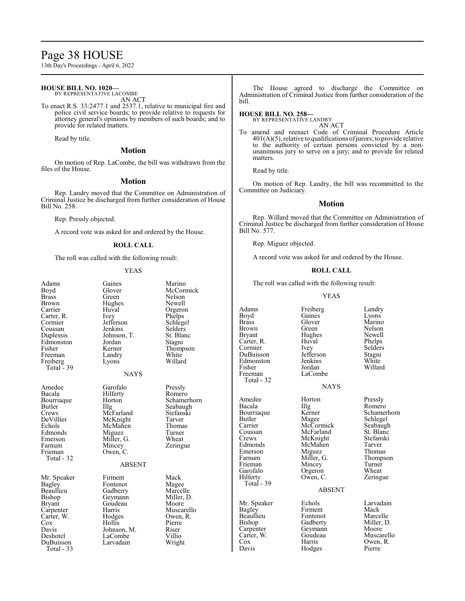# Page 38 HOUSE

13th Day's Proceedings - April 6, 2022

#### **HOUSE BILL NO. 1020—** BY REPRESENTATIVE LACOMBE

AN ACT

To enact R.S. 33:2477.1 and 2537.1, relative to municipal fire and police civil service boards; to provide relative to requests for attorney general's opinions by members of such boards; and to provide for related matters.

Read by title.

# **Motion**

On motion of Rep. LaCombe, the bill was withdrawn from the files of the House.

#### **Motion**

Rep. Landry moved that the Committee on Administration of Criminal Justice be discharged from further consideration of House Bill No. 258.

Rep. Pressly objected.

A record vote was asked for and ordered by the House.

#### **ROLL CALL**

The roll was called with the following result:

#### YEAS

| Adams<br>Boyd<br>Brass<br>Brown<br>Carrier<br>Carter, R.<br>Cormier<br>Coussan                                                           | Gaines<br>Glover<br>Green<br>Hughes<br>Huval<br>Ivey<br>Jefferson<br>Jenkins                                                              | Marino<br>McCormick<br>Nelson<br>Newell<br>Orgeron<br>Phelps<br>Schlegel<br>Selders                               |  |  |  |
|------------------------------------------------------------------------------------------------------------------------------------------|-------------------------------------------------------------------------------------------------------------------------------------------|-------------------------------------------------------------------------------------------------------------------|--|--|--|
| Duplessis<br>Edmonston<br>Fisher<br>Freeman<br>Freiberg<br>Total $-39$                                                                   | Johnson, T.<br>Jordan<br>Kerner<br>Landry<br>Lyons                                                                                        | St. Blanc<br>Stagni<br>Thompson<br>White<br>Willard                                                               |  |  |  |
| <b>NAYS</b>                                                                                                                              |                                                                                                                                           |                                                                                                                   |  |  |  |
| Amedee<br>Bacala<br>Bourriaque<br>Butler<br>Crews<br>DeVillier<br>Echols<br>Edmonds<br>Emerson<br>Farnum<br>Frieman<br>Total - 32        | Garofalo<br>Hilferty<br>Horton<br>Illg<br>McFarland<br>McKnight<br>McMahen<br>Miguez<br>Miller, G.<br>Mincey<br>Owen, C.<br><b>ABSENT</b> | Pressly<br>Romero<br>Schamerhorn<br>Seabaugh<br>Stefanski<br>Tarver<br>Thomas<br>Turner<br>Wheat<br>Zeringue      |  |  |  |
| Mr. Speaker<br>Bagley<br>Beaullieu<br>Bishop<br>Bryant<br>Carpenter<br>Carter, W.<br>Cox<br>Davis<br>Deshotel<br>DuBuisson<br>Total - 33 | Firment<br>Fontenot<br>Gadberry<br>Geymann<br>Goudeau<br>Harris<br>Hodges<br>Hollis<br>Johnson, M.<br>LaCombe<br>Larvadain                | Mack<br>Magee<br>Marcelle<br>Miller, D.<br>Moore<br>Muscarello<br>Owen, R.<br>Pierre<br>Riser<br>Villio<br>Wright |  |  |  |

The House agreed to discharge the Committee on Administration of Criminal Justice from further consideration of the bill.

### **HOUSE BILL NO. 258—**

BY REPRESENTATIVE LANDRY AN ACT

To amend and reenact Code of Criminal Procedure Article  $401(A)(5)$ , relative to qualifications of jurors; to provide relative to the authority of certain persons convicted by a nonunanimous jury to serve on a jury; and to provide for related matters.

Read by title.

On motion of Rep. Landry, the bill was recommitted to the Committee on Judiciary.

#### **Motion**

Rep. Willard moved that the Committee on Administration of Criminal Justice be discharged from further consideration of House Bill No. 577.

Rep. Miguez objected.

A record vote was asked for and ordered by the House.

### **ROLL CALL**

The roll was called with the following result:

#### YEAS

Adams Freiberg Landry<br>Boyd Gaines Lyons Boyd Gaines Lyons<br>Brass Glover Marino Brass Glover Marino<br>Brown Green Nelson Brown Green Nelson<br>Bryant Hughes Newell Carter, R. Huval Phelps<br>
Cormier Ivey Selders Cormier Ivey Selders<br>
DuBuisson Jefferson Stagni DuBuisson Jefferson Stagni Edmonston Jenkins White<br>
Fisher Iordan Willard Fisher Jordan Willard Freeman LaCombe Total - 32

Total - 39

Hughes Newell<br>Huval Phelps

#### **NAYS**

Amedee Horton Pressly<br>Bacala IIIg Romero Bacala Illg Romero<br>Bourriaque Kerner Schame Coussan McFarland St. Blanc<br>Crews McKnight Stefanski Crews McKnight Stefans<br>Edmonds McMahen Tarver Edmonds McMahen Tarver<br>
Emerson Miguez Thomas Emerson Miguez<br>Farnum Miller, G. Frieman Mincey Turner<br>Garofalo Orgeron Wheat Garofalo Orgeron Wheat<br>
Hilferty Owen, C. Zeringue Owen, C.

ABSENT

Beaullieu Fontenot<br>Bishop Gadberry Carpenter Geymann<br>Carter, W. Goudeau Hodges

Bourriaque Kerner Schamerhorn<br>Butler Magee Schlegel Butler Mage Mage Schlegel<br>
Carrier McCormick Seabaugh Carrier McCormick Seabaugh<br>
Coussan McFarland St. Blanc Miller, G. Thompson<br>Mincey Turner

Mr. Speaker Echols Larvadain<br>
Bagley Firment Mack Bagley Firment Mack<br>Beaullieu Fontenot Marcelle Bishop Gadberry Miller, D.<br>Carpenter Geymann Moore Carter, W. Goudeau Muscarello<br>Cox Harris Owen, R. Cox Harris Owen, R.<br>Davis Hodges Pierre